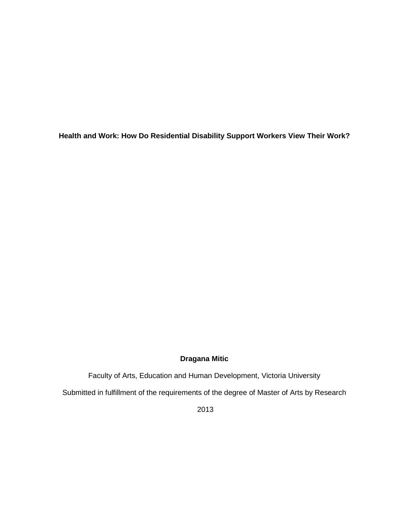**Health and Work: How Do Residential Disability Support Workers View Their Work?**

# **Dragana Mitic**

Faculty of Arts, Education and Human Development, Victoria University

Submitted in fulfillment of the requirements of the degree of Master of Arts by Research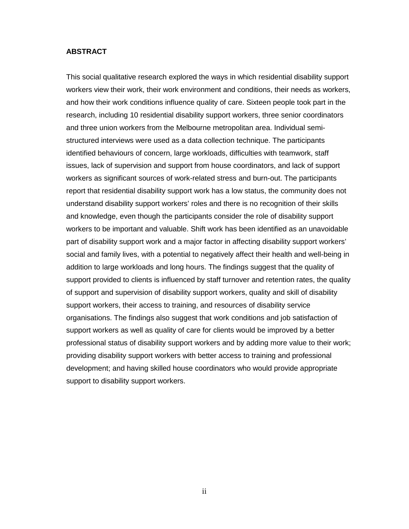### **ABSTRACT**

This social qualitative research explored the ways in which residential disability support workers view their work, their work environment and conditions, their needs as workers, and how their work conditions influence quality of care. Sixteen people took part in the research, including 10 residential disability support workers, three senior coordinators and three union workers from the Melbourne metropolitan area. Individual semistructured interviews were used as a data collection technique. The participants identified behaviours of concern, large workloads, difficulties with teamwork, staff issues, lack of supervision and support from house coordinators, and lack of support workers as significant sources of work-related stress and burn-out. The participants report that residential disability support work has a low status, the community does not understand disability support workers' roles and there is no recognition of their skills and knowledge, even though the participants consider the role of disability support workers to be important and valuable. Shift work has been identified as an unavoidable part of disability support work and a major factor in affecting disability support workers' social and family lives, with a potential to negatively affect their health and well-being in addition to large workloads and long hours. The findings suggest that the quality of support provided to clients is influenced by staff turnover and retention rates, the quality of support and supervision of disability support workers, quality and skill of disability support workers, their access to training, and resources of disability service organisations. The findings also suggest that work conditions and job satisfaction of support workers as well as quality of care for clients would be improved by a better professional status of disability support workers and by adding more value to their work; providing disability support workers with better access to training and professional development; and having skilled house coordinators who would provide appropriate support to disability support workers.

ii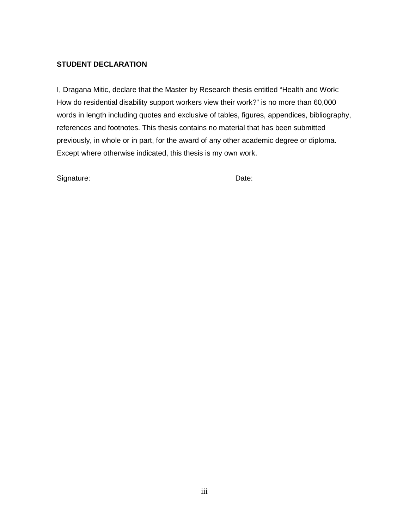# **STUDENT DECLARATION**

I, Dragana Mitic, declare that the Master by Research thesis entitled "Health and Work: How do residential disability support workers view their work?" is no more than 60,000 words in length including quotes and exclusive of tables, figures, appendices, bibliography, references and footnotes. This thesis contains no material that has been submitted previously, in whole or in part, for the award of any other academic degree or diploma. Except where otherwise indicated, this thesis is my own work.

Signature: Date: Date: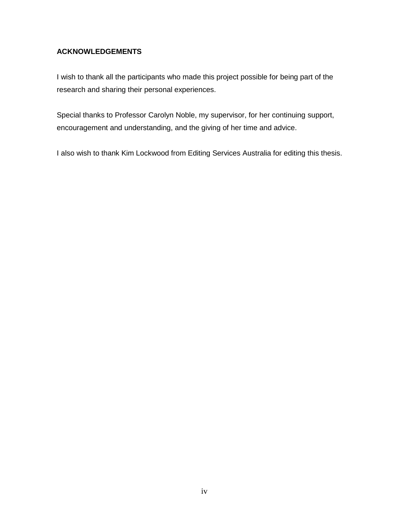# **ACKNOWLEDGEMENTS**

I wish to thank all the participants who made this project possible for being part of the research and sharing their personal experiences.

Special thanks to Professor Carolyn Noble, my supervisor, for her continuing support, encouragement and understanding, and the giving of her time and advice.

I also wish to thank Kim Lockwood from Editing Services Australia for editing this thesis.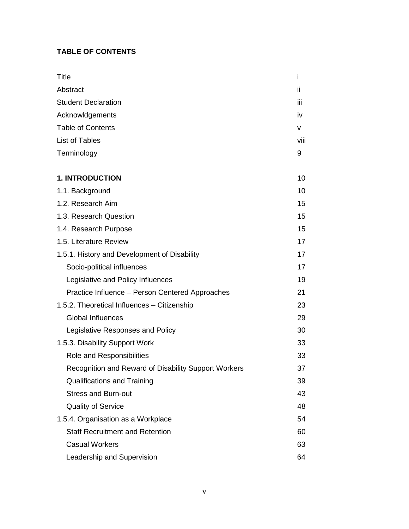# **TABLE OF CONTENTS**

| <b>Title</b>                                                | i    |
|-------------------------------------------------------------|------|
| Abstract                                                    | ii.  |
| <b>Student Declaration</b>                                  | iii  |
| Acknowldgements                                             | iv   |
| <b>Table of Contents</b>                                    | v    |
| <b>List of Tables</b>                                       | viii |
| Terminology                                                 | 9    |
| <b>1. INTRODUCTION</b>                                      | 10   |
| 1.1. Background                                             | 10   |
| 1.2. Research Aim                                           | 15   |
| 1.3. Research Question                                      | 15   |
| 1.4. Research Purpose                                       | 15   |
| 1.5. Literature Review                                      | 17   |
| 1.5.1. History and Development of Disability                | 17   |
| Socio-political influences                                  | 17   |
| Legislative and Policy Influences                           | 19   |
| Practice Influence - Person Centered Approaches             | 21   |
| 1.5.2. Theoretical Influences - Citizenship                 | 23   |
| <b>Global Influences</b>                                    | 29   |
| Legislative Responses and Policy                            | 30   |
| 1.5.3. Disability Support Work                              | 33   |
| Role and Responsibilities                                   | 33   |
| <b>Recognition and Reward of Disability Support Workers</b> | 37   |
| <b>Qualifications and Training</b>                          | 39   |
| <b>Stress and Burn-out</b>                                  | 43   |
| <b>Quality of Service</b>                                   | 48   |
| 1.5.4. Organisation as a Workplace                          | 54   |
| <b>Staff Recruitment and Retention</b>                      | 60   |
| <b>Casual Workers</b>                                       | 63   |
| Leadership and Supervision                                  | 64   |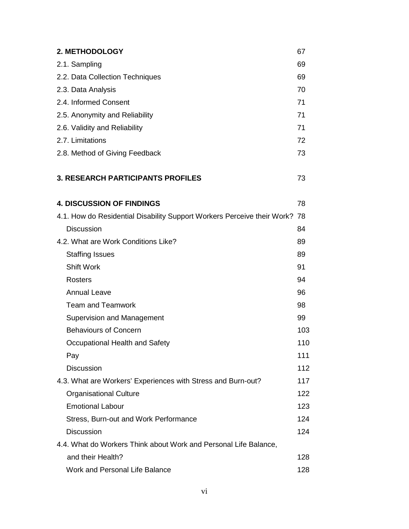| 2. METHODOLOGY                                                             | 67  |
|----------------------------------------------------------------------------|-----|
| 2.1. Sampling                                                              | 69  |
| 2.2. Data Collection Techniques                                            | 69  |
| 2.3. Data Analysis                                                         | 70  |
| 2.4. Informed Consent                                                      | 71  |
| 2.5. Anonymity and Reliability                                             | 71  |
| 2.6. Validity and Reliability                                              | 71  |
| 2.7. Limitations                                                           | 72  |
| 2.8. Method of Giving Feedback                                             | 73  |
| <b>3. RESEARCH PARTICIPANTS PROFILES</b>                                   | 73  |
| <b>4. DISCUSSION OF FINDINGS</b>                                           | 78  |
| 4.1. How do Residential Disability Support Workers Perceive their Work? 78 |     |
| <b>Discussion</b>                                                          | 84  |
| 4.2. What are Work Conditions Like?                                        | 89  |
| <b>Staffing Issues</b>                                                     | 89  |
| <b>Shift Work</b>                                                          | 91  |
| <b>Rosters</b>                                                             | 94  |
| <b>Annual Leave</b>                                                        | 96  |
| <b>Team and Teamwork</b>                                                   | 98  |
| Supervision and Management                                                 | 99  |
| <b>Behaviours of Concern</b>                                               | 103 |
| Occupational Health and Safety                                             | 110 |
| Pay                                                                        | 111 |
| <b>Discussion</b>                                                          | 112 |
| 4.3. What are Workers' Experiences with Stress and Burn-out?               | 117 |
| <b>Organisational Culture</b>                                              | 122 |
| <b>Emotional Labour</b>                                                    | 123 |
| Stress, Burn-out and Work Performance                                      | 124 |
| <b>Discussion</b>                                                          | 124 |
| 4.4. What do Workers Think about Work and Personal Life Balance,           |     |
| and their Health?                                                          | 128 |
| <b>Work and Personal Life Balance</b>                                      | 128 |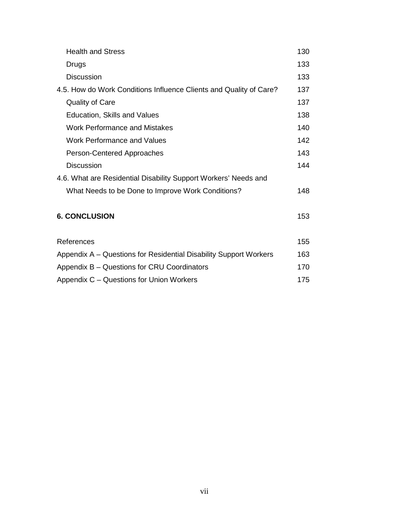| <b>Health and Stress</b>                                           | 130 |
|--------------------------------------------------------------------|-----|
| Drugs                                                              | 133 |
| <b>Discussion</b>                                                  | 133 |
| 4.5. How do Work Conditions Influence Clients and Quality of Care? | 137 |
| <b>Quality of Care</b>                                             | 137 |
| Education, Skills and Values                                       | 138 |
| <b>Work Performance and Mistakes</b>                               | 140 |
| <b>Work Performance and Values</b>                                 | 142 |
| Person-Centered Approaches                                         | 143 |
| <b>Discussion</b>                                                  | 144 |
| 4.6. What are Residential Disability Support Workers' Needs and    |     |
| What Needs to be Done to Improve Work Conditions?                  | 148 |
| <b>6. CONCLUSION</b>                                               | 153 |
| References                                                         | 155 |
| Appendix A – Questions for Residential Disability Support Workers  | 163 |
| Appendix B – Questions for CRU Coordinators                        | 170 |
| Appendix C – Questions for Union Workers                           | 175 |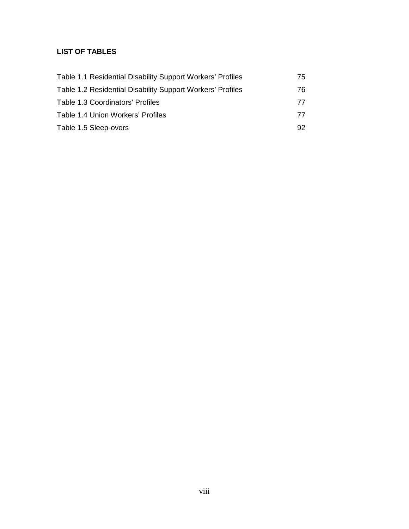# **LIST OF TABLES**

| Table 1.1 Residential Disability Support Workers' Profiles | 75. |
|------------------------------------------------------------|-----|
| Table 1.2 Residential Disability Support Workers' Profiles | 76. |
| Table 1.3 Coordinators' Profiles                           | 77  |
| Table 1.4 Union Workers' Profiles                          | 77  |
| Table 1.5 Sleep-overs                                      | 92  |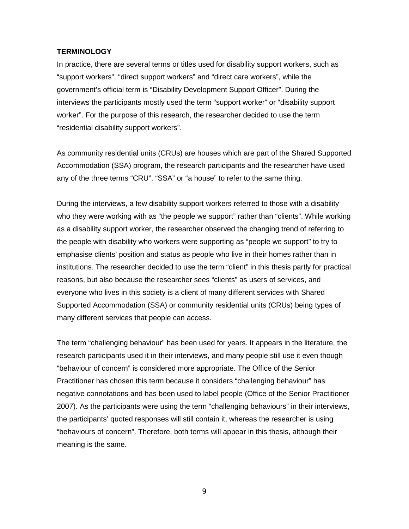#### **TERMINOLOGY**

In practice, there are several terms or titles used for disability support workers, such as "support workers", "direct support workers" and "direct care workers", while the government's official term is "Disability Development Support Officer". During the interviews the participants mostly used the term "support worker" or "disability support worker". For the purpose of this research, the researcher decided to use the term "residential disability support workers".

As community residential units (CRUs) are houses which are part of the Shared Supported Accommodation (SSA) program, the research participants and the researcher have used any of the three terms "CRU", "SSA" or "a house" to refer to the same thing.

During the interviews, a few disability support workers referred to those with a disability who they were working with as "the people we support" rather than "clients". While working as a disability support worker, the researcher observed the changing trend of referring to the people with disability who workers were supporting as "people we support" to try to emphasise clients' position and status as people who live in their homes rather than in institutions. The researcher decided to use the term "client" in this thesis partly for practical reasons, but also because the researcher sees "clients" as users of services, and everyone who lives in this society is a client of many different services with Shared Supported Accommodation (SSA) or community residential units (CRUs) being types of many different services that people can access.

The term "challenging behaviour" has been used for years. It appears in the literature, the research participants used it in their interviews, and many people still use it even though "behaviour of concern" is considered more appropriate. The Office of the Senior Practitioner has chosen this term because it considers "challenging behaviour" has negative connotations and has been used to label people (Office of the Senior Practitioner 2007). As the participants were using the term "challenging behaviours" in their interviews, the participants' quoted responses will still contain it, whereas the researcher is using "behaviours of concern". Therefore, both terms will appear in this thesis, although their meaning is the same.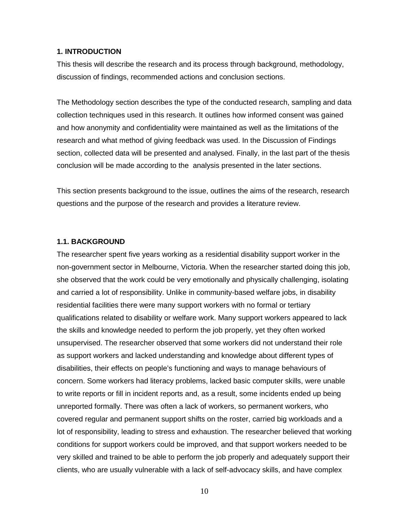## **1. INTRODUCTION**

This thesis will describe the research and its process through background, methodology, discussion of findings, recommended actions and conclusion sections.

The Methodology section describes the type of the conducted research, sampling and data collection techniques used in this research. It outlines how informed consent was gained and how anonymity and confidentiality were maintained as well as the limitations of the research and what method of giving feedback was used. In the Discussion of Findings section, collected data will be presented and analysed. Finally, in the last part of the thesis conclusion will be made according to the analysis presented in the later sections.

This section presents background to the issue, outlines the aims of the research, research questions and the purpose of the research and provides a literature review.

#### **1.1. BACKGROUND**

The researcher spent five years working as a residential disability support worker in the non-government sector in Melbourne, Victoria. When the researcher started doing this job, she observed that the work could be very emotionally and physically challenging, isolating and carried a lot of responsibility. Unlike in community-based welfare jobs, in disability residential facilities there were many support workers with no formal or tertiary qualifications related to disability or welfare work. Many support workers appeared to lack the skills and knowledge needed to perform the job properly, yet they often worked unsupervised. The researcher observed that some workers did not understand their role as support workers and lacked understanding and knowledge about different types of disabilities, their effects on people's functioning and ways to manage behaviours of concern. Some workers had literacy problems, lacked basic computer skills, were unable to write reports or fill in incident reports and, as a result, some incidents ended up being unreported formally. There was often a lack of workers, so permanent workers, who covered regular and permanent support shifts on the roster, carried big workloads and a lot of responsibility, leading to stress and exhaustion. The researcher believed that working conditions for support workers could be improved, and that support workers needed to be very skilled and trained to be able to perform the job properly and adequately support their clients, who are usually vulnerable with a lack of self-advocacy skills, and have complex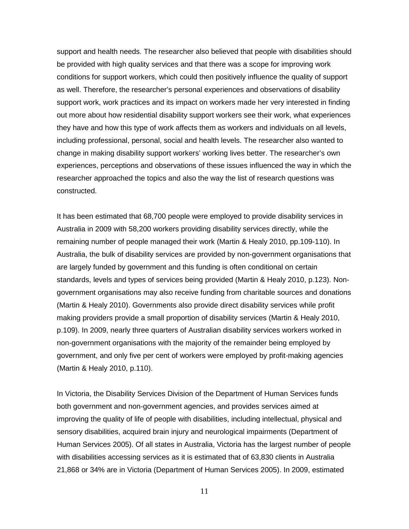support and health needs. The researcher also believed that people with disabilities should be provided with high quality services and that there was a scope for improving work conditions for support workers, which could then positively influence the quality of support as well. Therefore, the researcher's personal experiences and observations of disability support work, work practices and its impact on workers made her very interested in finding out more about how residential disability support workers see their work, what experiences they have and how this type of work affects them as workers and individuals on all levels, including professional, personal, social and health levels. The researcher also wanted to change in making disability support workers' working lives better. The researcher's own experiences, perceptions and observations of these issues influenced the way in which the researcher approached the topics and also the way the list of research questions was constructed.

It has been estimated that 68,700 people were employed to provide disability services in Australia in 2009 with 58,200 workers providing disability services directly, while the remaining number of people managed their work (Martin & Healy 2010, pp.109-110). In Australia, the bulk of disability services are provided by non-government organisations that are largely funded by government and this funding is often conditional on certain standards, levels and types of services being provided (Martin & Healy 2010, p.123). Nongovernment organisations may also receive funding from charitable sources and donations (Martin & Healy 2010). Governments also provide direct disability services while profit making providers provide a small proportion of disability services (Martin & Healy 2010, p.109). In 2009, nearly three quarters of Australian disability services workers worked in non-government organisations with the majority of the remainder being employed by government, and only five per cent of workers were employed by profit-making agencies (Martin & Healy 2010, p.110).

In Victoria, the Disability Services Division of the Department of Human Services funds both government and non-government agencies, and provides services aimed at improving the quality of life of people with disabilities, including intellectual, physical and sensory disabilities, acquired brain injury and neurological impairments (Department of Human Services 2005). Of all states in Australia, Victoria has the largest number of people with disabilities accessing services as it is estimated that of 63,830 clients in Australia 21,868 or 34% are in Victoria (Department of Human Services 2005). In 2009, estimated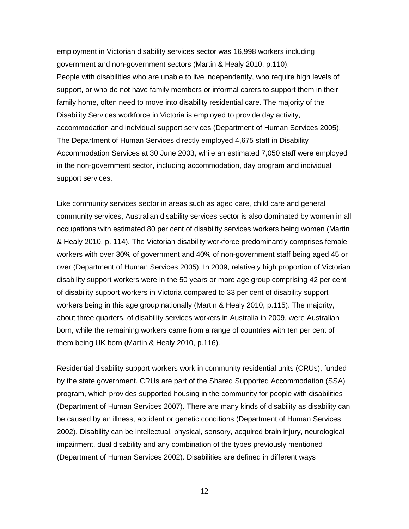employment in Victorian disability services sector was 16,998 workers including government and non-government sectors (Martin & Healy 2010, p.110). People with disabilities who are unable to live independently, who require high levels of support, or who do not have family members or informal carers to support them in their family home, often need to move into disability residential care. The majority of the Disability Services workforce in Victoria is employed to provide day activity, accommodation and individual support services (Department of Human Services 2005). The Department of Human Services directly employed 4,675 staff in Disability Accommodation Services at 30 June 2003, while an estimated 7,050 staff were employed in the non-government sector, including accommodation, day program and individual support services.

Like community services sector in areas such as aged care, child care and general community services, Australian disability services sector is also dominated by women in all occupations with estimated 80 per cent of disability services workers being women (Martin & Healy 2010, p. 114). The Victorian disability workforce predominantly comprises female workers with over 30% of government and 40% of non-government staff being aged 45 or over (Department of Human Services 2005). In 2009, relatively high proportion of Victorian disability support workers were in the 50 years or more age group comprising 42 per cent of disability support workers in Victoria compared to 33 per cent of disability support workers being in this age group nationally (Martin & Healy 2010, p.115). The majority, about three quarters, of disability services workers in Australia in 2009, were Australian born, while the remaining workers came from a range of countries with ten per cent of them being UK born (Martin & Healy 2010, p.116).

Residential disability support workers work in community residential units (CRUs), funded by the state government. CRUs are part of the Shared Supported Accommodation (SSA) program, which provides supported housing in the community for people with disabilities (Department of Human Services 2007). There are many kinds of disability as disability can be caused by an illness, accident or genetic conditions (Department of Human Services 2002). Disability can be intellectual, physical, sensory, acquired brain injury, neurological impairment, dual disability and any combination of the types previously mentioned (Department of Human Services 2002). Disabilities are defined in different ways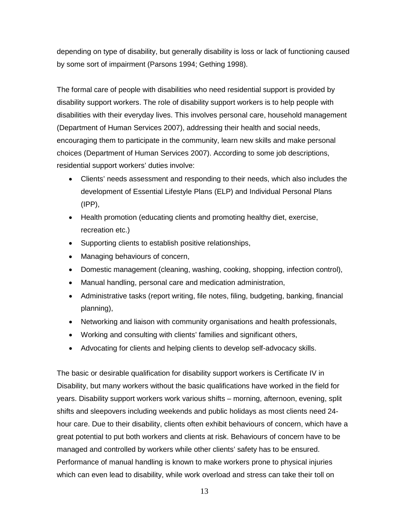depending on type of disability, but generally disability is loss or lack of functioning caused by some sort of impairment (Parsons 1994; Gething 1998).

The formal care of people with disabilities who need residential support is provided by disability support workers. The role of disability support workers is to help people with disabilities with their everyday lives. This involves personal care, household management (Department of Human Services 2007), addressing their health and social needs, encouraging them to participate in the community, learn new skills and make personal choices (Department of Human Services 2007). According to some job descriptions, residential support workers' duties involve:

- Clients' needs assessment and responding to their needs, which also includes the development of Essential Lifestyle Plans (ELP) and Individual Personal Plans (IPP),
- Health promotion (educating clients and promoting healthy diet, exercise, recreation etc.)
- Supporting clients to establish positive relationships,
- Managing behaviours of concern,
- Domestic management (cleaning, washing, cooking, shopping, infection control),
- Manual handling, personal care and medication administration,
- Administrative tasks (report writing, file notes, filing, budgeting, banking, financial planning),
- Networking and liaison with community organisations and health professionals,
- Working and consulting with clients' families and significant others,
- Advocating for clients and helping clients to develop self-advocacy skills.

The basic or desirable qualification for disability support workers is Certificate IV in Disability, but many workers without the basic qualifications have worked in the field for years. Disability support workers work various shifts – morning, afternoon, evening, split shifts and sleepovers including weekends and public holidays as most clients need 24 hour care. Due to their disability, clients often exhibit behaviours of concern, which have a great potential to put both workers and clients at risk. Behaviours of concern have to be managed and controlled by workers while other clients' safety has to be ensured. Performance of manual handling is known to make workers prone to physical injuries which can even lead to disability, while work overload and stress can take their toll on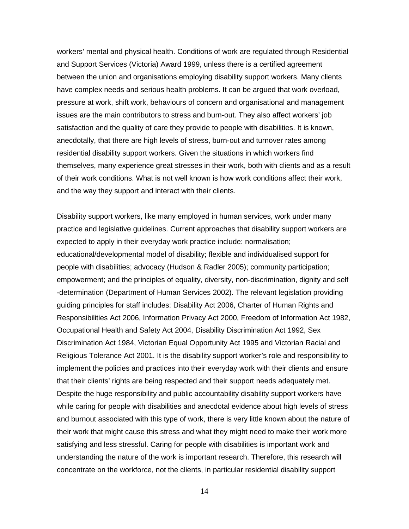workers' mental and physical health. Conditions of work are regulated through Residential and Support Services (Victoria) Award 1999, unless there is a certified agreement between the union and organisations employing disability support workers. Many clients have complex needs and serious health problems. It can be argued that work overload, pressure at work, shift work, behaviours of concern and organisational and management issues are the main contributors to stress and burn-out. They also affect workers' job satisfaction and the quality of care they provide to people with disabilities. It is known, anecdotally, that there are high levels of stress, burn-out and turnover rates among residential disability support workers. Given the situations in which workers find themselves, many experience great stresses in their work, both with clients and as a result of their work conditions. What is not well known is how work conditions affect their work, and the way they support and interact with their clients.

Disability support workers, like many employed in human services, work under many practice and legislative guidelines. Current approaches that disability support workers are expected to apply in their everyday work practice include: normalisation; educational/developmental model of disability; flexible and individualised support for people with disabilities; advocacy (Hudson & Radler 2005); community participation; empowerment; and the principles of equality, diversity, non-discrimination, dignity and self -determination (Department of Human Services 2002). The relevant legislation providing guiding principles for staff includes: Disability Act 2006, Charter of Human Rights and Responsibilities Act 2006, Information Privacy Act 2000, Freedom of Information Act 1982, Occupational Health and Safety Act 2004, Disability Discrimination Act 1992, Sex Discrimination Act 1984, Victorian Equal Opportunity Act 1995 and Victorian Racial and Religious Tolerance Act 2001. It is the disability support worker's role and responsibility to implement the policies and practices into their everyday work with their clients and ensure that their clients' rights are being respected and their support needs adequately met. Despite the huge responsibility and public accountability disability support workers have while caring for people with disabilities and anecdotal evidence about high levels of stress and burnout associated with this type of work, there is very little known about the nature of their work that might cause this stress and what they might need to make their work more satisfying and less stressful. Caring for people with disabilities is important work and understanding the nature of the work is important research. Therefore, this research will concentrate on the workforce, not the clients, in particular residential disability support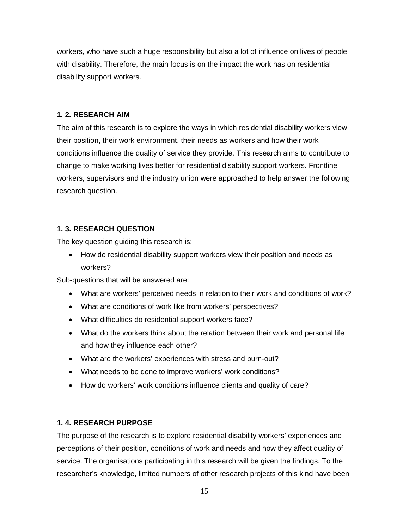workers, who have such a huge responsibility but also a lot of influence on lives of people with disability. Therefore, the main focus is on the impact the work has on residential disability support workers.

## **1. 2. RESEARCH AIM**

The aim of this research is to explore the ways in which residential disability workers view their position, their work environment, their needs as workers and how their work conditions influence the quality of service they provide. This research aims to contribute to change to make working lives better for residential disability support workers. Frontline workers, supervisors and the industry union were approached to help answer the following research question.

# **1. 3. RESEARCH QUESTION**

The key question guiding this research is:

• How do residential disability support workers view their position and needs as workers?

Sub-questions that will be answered are:

- What are workers' perceived needs in relation to their work and conditions of work?
- What are conditions of work like from workers' perspectives?
- What difficulties do residential support workers face?
- What do the workers think about the relation between their work and personal life and how they influence each other?
- What are the workers' experiences with stress and burn-out?
- What needs to be done to improve workers' work conditions?
- How do workers' work conditions influence clients and quality of care?

# **1. 4. RESEARCH PURPOSE**

The purpose of the research is to explore residential disability workers' experiences and perceptions of their position, conditions of work and needs and how they affect quality of service. The organisations participating in this research will be given the findings. To the researcher's knowledge, limited numbers of other research projects of this kind have been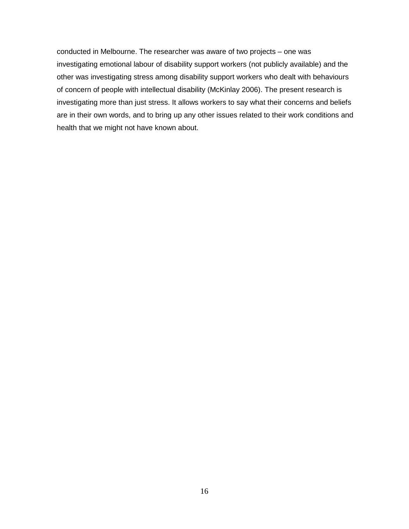conducted in Melbourne. The researcher was aware of two projects – one was investigating emotional labour of disability support workers (not publicly available) and the other was investigating stress among disability support workers who dealt with behaviours of concern of people with intellectual disability (McKinlay 2006). The present research is investigating more than just stress. It allows workers to say what their concerns and beliefs are in their own words, and to bring up any other issues related to their work conditions and health that we might not have known about.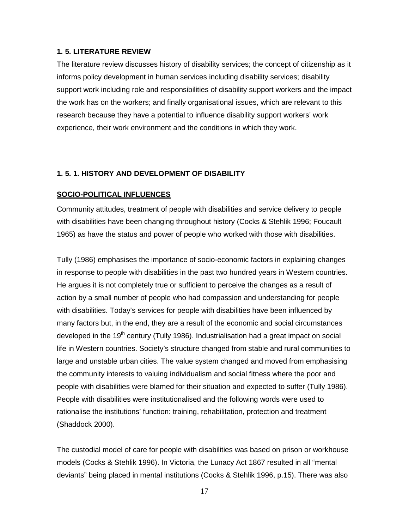## **1. 5. LITERATURE REVIEW**

The literature review discusses history of disability services; the concept of citizenship as it informs policy development in human services including disability services; disability support work including role and responsibilities of disability support workers and the impact the work has on the workers; and finally organisational issues, which are relevant to this research because they have a potential to influence disability support workers' work experience, their work environment and the conditions in which they work.

## **1. 5. 1. HISTORY AND DEVELOPMENT OF DISABILITY**

#### **SOCIO-POLITICAL INFLUENCES**

Community attitudes, treatment of people with disabilities and service delivery to people with disabilities have been changing throughout history (Cocks & Stehlik 1996; Foucault 1965) as have the status and power of people who worked with those with disabilities.

Tully (1986) emphasises the importance of socio-economic factors in explaining changes in response to people with disabilities in the past two hundred years in Western countries. He argues it is not completely true or sufficient to perceive the changes as a result of action by a small number of people who had compassion and understanding for people with disabilities. Today's services for people with disabilities have been influenced by many factors but, in the end, they are a result of the economic and social circumstances developed in the 19<sup>th</sup> century (Tully 1986). Industrialisation had a great impact on social life in Western countries. Society's structure changed from stable and rural communities to large and unstable urban cities. The value system changed and moved from emphasising the community interests to valuing individualism and social fitness where the poor and people with disabilities were blamed for their situation and expected to suffer (Tully 1986). People with disabilities were institutionalised and the following words were used to rationalise the institutions' function: training, rehabilitation, protection and treatment (Shaddock 2000).

The custodial model of care for people with disabilities was based on prison or workhouse models (Cocks & Stehlik 1996). In Victoria, the Lunacy Act 1867 resulted in all "mental deviants" being placed in mental institutions (Cocks & Stehlik 1996, p.15). There was also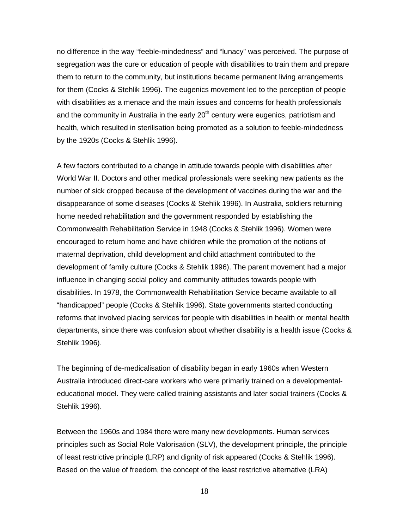no difference in the way "feeble-mindedness" and "lunacy" was perceived. The purpose of segregation was the cure or education of people with disabilities to train them and prepare them to return to the community, but institutions became permanent living arrangements for them (Cocks & Stehlik 1996). The eugenics movement led to the perception of people with disabilities as a menace and the main issues and concerns for health professionals and the community in Australia in the early  $20<sup>th</sup>$  century were eugenics, patriotism and health, which resulted in sterilisation being promoted as a solution to feeble-mindedness by the 1920s (Cocks & Stehlik 1996).

A few factors contributed to a change in attitude towards people with disabilities after World War II. Doctors and other medical professionals were seeking new patients as the number of sick dropped because of the development of vaccines during the war and the disappearance of some diseases (Cocks & Stehlik 1996). In Australia, soldiers returning home needed rehabilitation and the government responded by establishing the Commonwealth Rehabilitation Service in 1948 (Cocks & Stehlik 1996). Women were encouraged to return home and have children while the promotion of the notions of maternal deprivation, child development and child attachment contributed to the development of family culture (Cocks & Stehlik 1996). The parent movement had a major influence in changing social policy and community attitudes towards people with disabilities. In 1978, the Commonwealth Rehabilitation Service became available to all "handicapped" people (Cocks & Stehlik 1996). State governments started conducting reforms that involved placing services for people with disabilities in health or mental health departments, since there was confusion about whether disability is a health issue (Cocks & Stehlik 1996).

The beginning of de-medicalisation of disability began in early 1960s when Western Australia introduced direct-care workers who were primarily trained on a developmentaleducational model. They were called training assistants and later social trainers (Cocks & Stehlik 1996).

Between the 1960s and 1984 there were many new developments. Human services principles such as Social Role Valorisation (SLV), the development principle, the principle of least restrictive principle (LRP) and dignity of risk appeared (Cocks & Stehlik 1996). Based on the value of freedom, the concept of the least restrictive alternative (LRA)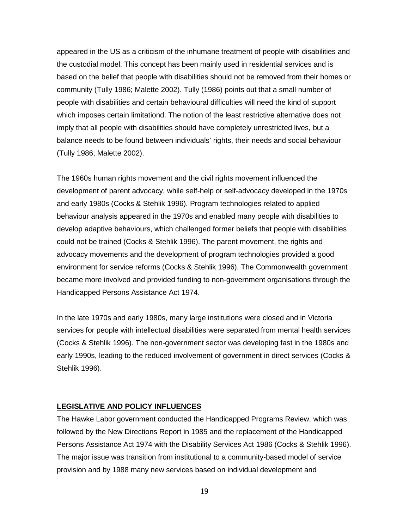appeared in the US as a criticism of the inhumane treatment of people with disabilities and the custodial model. This concept has been mainly used in residential services and is based on the belief that people with disabilities should not be removed from their homes or community (Tully 1986; Malette 2002). Tully (1986) points out that a small number of people with disabilities and certain behavioural difficulties will need the kind of support which imposes certain limitationd. The notion of the least restrictive alternative does not imply that all people with disabilities should have completely unrestricted lives, but a balance needs to be found between individuals' rights, their needs and social behaviour (Tully 1986; Malette 2002).

The 1960s human rights movement and the civil rights movement influenced the development of parent advocacy, while self-help or self-advocacy developed in the 1970s and early 1980s (Cocks & Stehlik 1996). Program technologies related to applied behaviour analysis appeared in the 1970s and enabled many people with disabilities to develop adaptive behaviours, which challenged former beliefs that people with disabilities could not be trained (Cocks & Stehlik 1996). The parent movement, the rights and advocacy movements and the development of program technologies provided a good environment for service reforms (Cocks & Stehlik 1996). The Commonwealth government became more involved and provided funding to non-government organisations through the Handicapped Persons Assistance Act 1974.

In the late 1970s and early 1980s, many large institutions were closed and in Victoria services for people with intellectual disabilities were separated from mental health services (Cocks & Stehlik 1996). The non-government sector was developing fast in the 1980s and early 1990s, leading to the reduced involvement of government in direct services (Cocks & Stehlik 1996).

#### **LEGISLATIVE AND POLICY INFLUENCES**

The Hawke Labor government conducted the Handicapped Programs Review, which was followed by the New Directions Report in 1985 and the replacement of the Handicapped Persons Assistance Act 1974 with the Disability Services Act 1986 (Cocks & Stehlik 1996). The major issue was transition from institutional to a community-based model of service provision and by 1988 many new services based on individual development and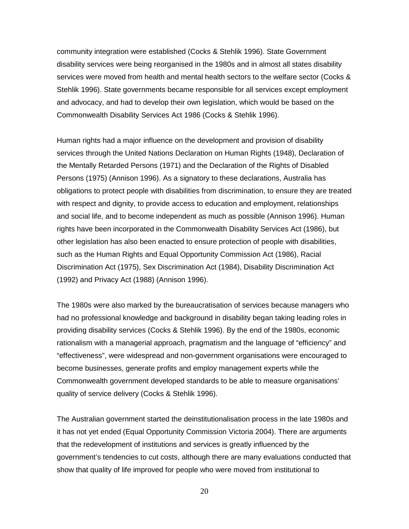community integration were established (Cocks & Stehlik 1996). State Government disability services were being reorganised in the 1980s and in almost all states disability services were moved from health and mental health sectors to the welfare sector (Cocks & Stehlik 1996). State governments became responsible for all services except employment and advocacy, and had to develop their own legislation, which would be based on the Commonwealth Disability Services Act 1986 (Cocks & Stehlik 1996).

Human rights had a major influence on the development and provision of disability services through the United Nations Declaration on Human Rights (1948), Declaration of the Mentally Retarded Persons (1971) and the Declaration of the Rights of Disabled Persons (1975) (Annison 1996). As a signatory to these declarations, Australia has obligations to protect people with disabilities from discrimination, to ensure they are treated with respect and dignity, to provide access to education and employment, relationships and social life, and to become independent as much as possible (Annison 1996). Human rights have been incorporated in the Commonwealth Disability Services Act (1986), but other legislation has also been enacted to ensure protection of people with disabilities, such as the Human Rights and Equal Opportunity Commission Act (1986), Racial Discrimination Act (1975), Sex Discrimination Act (1984), Disability Discrimination Act (1992) and Privacy Act (1988) (Annison 1996).

The 1980s were also marked by the bureaucratisation of services because managers who had no professional knowledge and background in disability began taking leading roles in providing disability services (Cocks & Stehlik 1996). By the end of the 1980s, economic rationalism with a managerial approach, pragmatism and the language of "efficiency" and "effectiveness", were widespread and non-government organisations were encouraged to become businesses, generate profits and employ management experts while the Commonwealth government developed standards to be able to measure organisations' quality of service delivery (Cocks & Stehlik 1996).

The Australian government started the deinstitutionalisation process in the late 1980s and it has not yet ended (Equal Opportunity Commission Victoria 2004). There are arguments that the redevelopment of institutions and services is greatly influenced by the government's tendencies to cut costs, although there are many evaluations conducted that show that quality of life improved for people who were moved from institutional to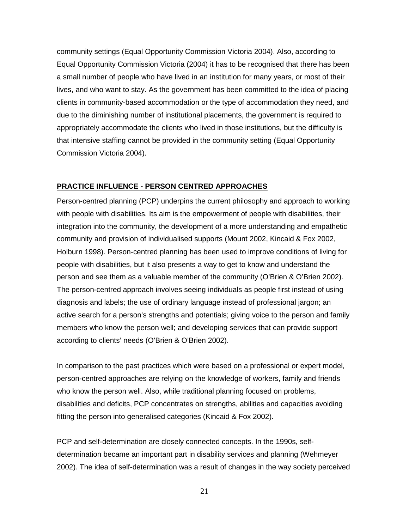community settings (Equal Opportunity Commission Victoria 2004). Also, according to Equal Opportunity Commission Victoria (2004) it has to be recognised that there has been a small number of people who have lived in an institution for many years, or most of their lives, and who want to stay. As the government has been committed to the idea of placing clients in community-based accommodation or the type of accommodation they need, and due to the diminishing number of institutional placements, the government is required to appropriately accommodate the clients who lived in those institutions, but the difficulty is that intensive staffing cannot be provided in the community setting (Equal Opportunity Commission Victoria 2004).

#### **PRACTICE INFLUENCE - PERSON CENTRED APPROACHES**

Person-centred planning (PCP) underpins the current philosophy and approach to working with people with disabilities. Its aim is the empowerment of people with disabilities, their integration into the community, the development of a more understanding and empathetic community and provision of individualised supports (Mount 2002, Kincaid & Fox 2002, Holburn 1998). Person-centred planning has been used to improve conditions of living for people with disabilities, but it also presents a way to get to know and understand the person and see them as a valuable member of the community (O'Brien & O'Brien 2002). The person-centred approach involves seeing individuals as people first instead of using diagnosis and labels; the use of ordinary language instead of professional jargon; an active search for a person's strengths and potentials; giving voice to the person and family members who know the person well; and developing services that can provide support according to clients' needs (O'Brien & O'Brien 2002).

In comparison to the past practices which were based on a professional or expert model, person-centred approaches are relying on the knowledge of workers, family and friends who know the person well. Also, while traditional planning focused on problems, disabilities and deficits, PCP concentrates on strengths, abilities and capacities avoiding fitting the person into generalised categories (Kincaid & Fox 2002).

PCP and self-determination are closely connected concepts. In the 1990s, selfdetermination became an important part in disability services and planning (Wehmeyer 2002). The idea of self-determination was a result of changes in the way society perceived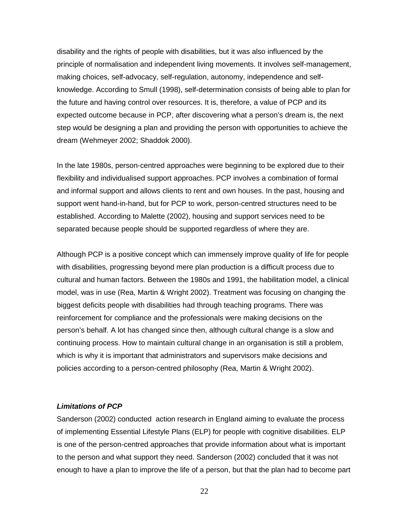disability and the rights of people with disabilities, but it was also influenced by the principle of normalisation and independent living movements. It involves self-management, making choices, self-advocacy, self-regulation, autonomy, independence and selfknowledge. According to Smull (1998), self-determination consists of being able to plan for the future and having control over resources. It is, therefore, a value of PCP and its expected outcome because in PCP, after discovering what a person's dream is, the next step would be designing a plan and providing the person with opportunities to achieve the dream (Wehmeyer 2002; Shaddok 2000).

In the late 1980s, person-centred approaches were beginning to be explored due to their flexibility and individualised support approaches. PCP involves a combination of formal and informal support and allows clients to rent and own houses. In the past, housing and support went hand-in-hand, but for PCP to work, person-centred structures need to be established. According to Malette (2002), housing and support services need to be separated because people should be supported regardless of where they are.

Although PCP is a positive concept which can immensely improve quality of life for people with disabilities, progressing beyond mere plan production is a difficult process due to cultural and human factors. Between the 1980s and 1991, the habilitation model, a clinical model, was in use (Rea, Martin & Wright 2002). Treatment was focusing on changing the biggest deficits people with disabilities had through teaching programs. There was reinforcement for compliance and the professionals were making decisions on the person's behalf. A lot has changed since then, although cultural change is a slow and continuing process. How to maintain cultural change in an organisation is still a problem, which is why it is important that administrators and supervisors make decisions and policies according to a person-centred philosophy (Rea, Martin & Wright 2002).

## *Limitations of PCP*

Sanderson (2002) conducted action research in England aiming to evaluate the process of implementing Essential Lifestyle Plans (ELP) for people with cognitive disabilities. ELP is one of the person-centred approaches that provide information about what is important to the person and what support they need. Sanderson (2002) concluded that it was not enough to have a plan to improve the life of a person, but that the plan had to become part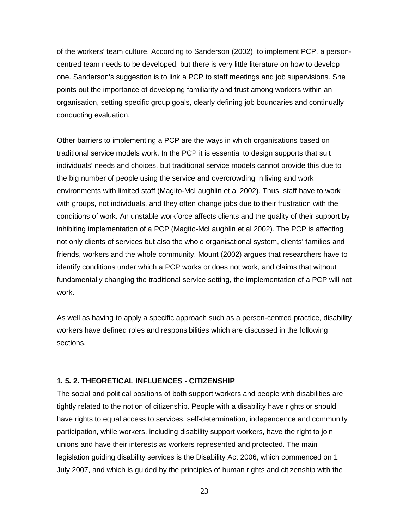of the workers' team culture. According to Sanderson (2002), to implement PCP, a personcentred team needs to be developed, but there is very little literature on how to develop one. Sanderson's suggestion is to link a PCP to staff meetings and job supervisions. She points out the importance of developing familiarity and trust among workers within an organisation, setting specific group goals, clearly defining job boundaries and continually conducting evaluation.

Other barriers to implementing a PCP are the ways in which organisations based on traditional service models work. In the PCP it is essential to design supports that suit individuals' needs and choices, but traditional service models cannot provide this due to the big number of people using the service and overcrowding in living and work environments with limited staff (Magito-McLaughlin et al 2002). Thus, staff have to work with groups, not individuals, and they often change jobs due to their frustration with the conditions of work. An unstable workforce affects clients and the quality of their support by inhibiting implementation of a PCP (Magito-McLaughlin et al 2002). The PCP is affecting not only clients of services but also the whole organisational system, clients' families and friends, workers and the whole community. Mount (2002) argues that researchers have to identify conditions under which a PCP works or does not work, and claims that without fundamentally changing the traditional service setting, the implementation of a PCP will not work.

As well as having to apply a specific approach such as a person-centred practice, disability workers have defined roles and responsibilities which are discussed in the following sections.

## **1. 5. 2. THEORETICAL INFLUENCES - CITIZENSHIP**

The social and political positions of both support workers and people with disabilities are tightly related to the notion of citizenship. People with a disability have rights or should have rights to equal access to services, self-determination, independence and community participation, while workers, including disability support workers, have the right to join unions and have their interests as workers represented and protected. The main legislation guiding disability services is the Disability Act 2006, which commenced on 1 July 2007, and which is guided by the principles of human rights and citizenship with the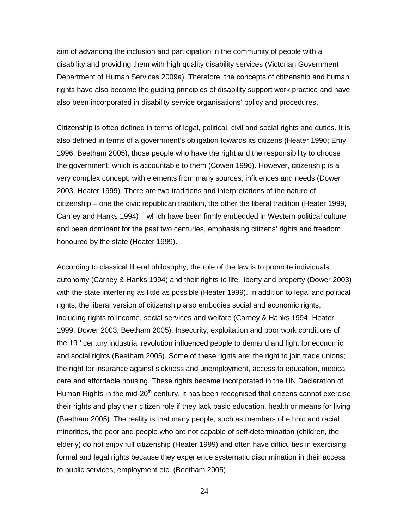aim of advancing the inclusion and participation in the community of people with a disability and providing them with high quality disability services (Victorian Government Department of Human Services 2009a). Therefore, the concepts of citizenship and human rights have also become the guiding principles of disability support work practice and have also been incorporated in disability service organisations' policy and procedures.

Citizenship is often defined in terms of legal, political, civil and social rights and duties. It is also defined in terms of a government's obligation towards its citizens (Heater 1990; Emy 1996; Beetham 2005), those people who have the right and the responsibility to choose the government, which is accountable to them (Cowen 1996). However, citizenship is a very complex concept, with elements from many sources, influences and needs (Dower 2003, Heater 1999). There are two traditions and interpretations of the nature of citizenship – one the civic republican tradition, the other the liberal tradition (Heater 1999, Carney and Hanks 1994) – which have been firmly embedded in Western political culture and been dominant for the past two centuries, emphasising citizens' rights and freedom honoured by the state (Heater 1999).

According to classical liberal philosophy, the role of the law is to promote individuals' autonomy (Carney & Hanks 1994) and their rights to life, liberty and property (Dower 2003) with the state interfering as little as possible (Heater 1999). In addition to legal and political rights, the liberal version of citizenship also embodies social and economic rights, including rights to income, social services and welfare (Carney & Hanks 1994; Heater 1999; Dower 2003; Beetham 2005). Insecurity, exploitation and poor work conditions of the 19<sup>th</sup> century industrial revolution influenced people to demand and fight for economic and social rights (Beetham 2005). Some of these rights are: the right to join trade unions; the right for insurance against sickness and unemployment, access to education, medical care and affordable housing. These rights became incorporated in the UN Declaration of Human Rights in the mid- $20<sup>th</sup>$  century. It has been recognised that citizens cannot exercise their rights and play their citizen role if they lack basic education, health or means for living (Beetham 2005). The reality is that many people, such as members of ethnic and racial minorities, the poor and people who are not capable of self-determination (children, the elderly) do not enjoy full citizenship (Heater 1999) and often have difficulties in exercising formal and legal rights because they experience systematic discrimination in their access to public services, employment etc. (Beetham 2005).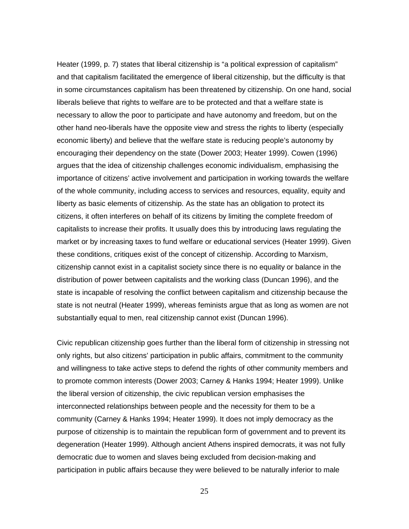Heater (1999, p. 7) states that liberal citizenship is "a political expression of capitalism" and that capitalism facilitated the emergence of liberal citizenship, but the difficulty is that in some circumstances capitalism has been threatened by citizenship. On one hand, social liberals believe that rights to welfare are to be protected and that a welfare state is necessary to allow the poor to participate and have autonomy and freedom, but on the other hand neo-liberals have the opposite view and stress the rights to liberty (especially economic liberty) and believe that the welfare state is reducing people's autonomy by encouraging their dependency on the state (Dower 2003; Heater 1999). Cowen (1996) argues that the idea of citizenship challenges economic individualism, emphasising the importance of citizens' active involvement and participation in working towards the welfare of the whole community, including access to services and resources, equality, equity and liberty as basic elements of citizenship. As the state has an obligation to protect its citizens, it often interferes on behalf of its citizens by limiting the complete freedom of capitalists to increase their profits. It usually does this by introducing laws regulating the market or by increasing taxes to fund welfare or educational services (Heater 1999). Given these conditions, critiques exist of the concept of citizenship. According to Marxism, citizenship cannot exist in a capitalist society since there is no equality or balance in the distribution of power between capitalists and the working class (Duncan 1996), and the state is incapable of resolving the conflict between capitalism and citizenship because the state is not neutral (Heater 1999), whereas feminists argue that as long as women are not substantially equal to men, real citizenship cannot exist (Duncan 1996).

Civic republican citizenship goes further than the liberal form of citizenship in stressing not only rights, but also citizens' participation in public affairs, commitment to the community and willingness to take active steps to defend the rights of other community members and to promote common interests (Dower 2003; Carney & Hanks 1994; Heater 1999). Unlike the liberal version of citizenship, the civic republican version emphasises the interconnected relationships between people and the necessity for them to be a community (Carney & Hanks 1994; Heater 1999). It does not imply democracy as the purpose of citizenship is to maintain the republican form of government and to prevent its degeneration (Heater 1999). Although ancient Athens inspired democrats, it was not fully democratic due to women and slaves being excluded from decision-making and participation in public affairs because they were believed to be naturally inferior to male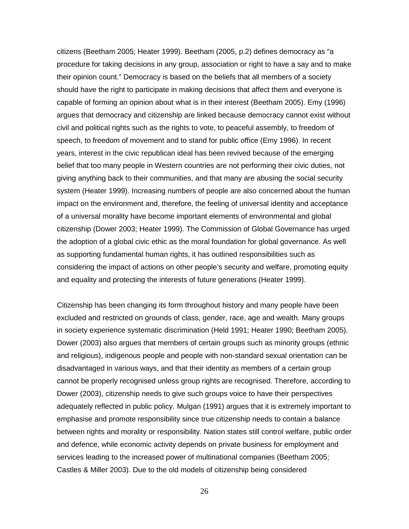citizens (Beetham 2005; Heater 1999). Beetham (2005, p.2) defines democracy as "a procedure for taking decisions in any group, association or right to have a say and to make their opinion count." Democracy is based on the beliefs that all members of a society should have the right to participate in making decisions that affect them and everyone is capable of forming an opinion about what is in their interest (Beetham 2005). Emy (1996) argues that democracy and citizenship are linked because democracy cannot exist without civil and political rights such as the rights to vote, to peaceful assembly, to freedom of speech, to freedom of movement and to stand for public office (Emy 1996). In recent years, interest in the civic republican ideal has been revived because of the emerging belief that too many people in Western countries are not performing their civic duties, not giving anything back to their communities, and that many are abusing the social security system (Heater 1999). Increasing numbers of people are also concerned about the human impact on the environment and, therefore, the feeling of universal identity and acceptance of a universal morality have become important elements of environmental and global citizenship (Dower 2003; Heater 1999). The Commission of Global Governance has urged the adoption of a global civic ethic as the moral foundation for global governance. As well as supporting fundamental human rights, it has outlined responsibilities such as considering the impact of actions on other people's security and welfare, promoting equity and equality and protecting the interests of future generations (Heater 1999).

Citizenship has been changing its form throughout history and many people have been excluded and restricted on grounds of class, gender, race, age and wealth. Many groups in society experience systematic discrimination (Held 1991; Heater 1990; Beetham 2005). Dower (2003) also argues that members of certain groups such as minority groups (ethnic and religious), indigenous people and people with non-standard sexual orientation can be disadvantaged in various ways, and that their identity as members of a certain group cannot be properly recognised unless group rights are recognised. Therefore, according to Dower (2003), citizenship needs to give such groups voice to have their perspectives adequately reflected in public policy. Mulgan (1991) argues that it is extremely important to emphasise and promote responsibility since true citizenship needs to contain a balance between rights and morality or responsibility. Nation states still control welfare, public order and defence, while economic activity depends on private business for employment and services leading to the increased power of multinational companies (Beetham 2005; Castles & Miller 2003). Due to the old models of citizenship being considered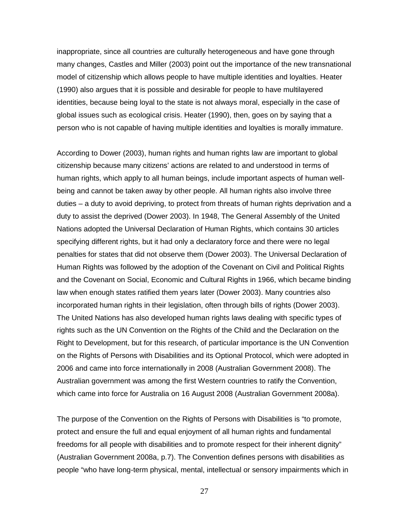inappropriate, since all countries are culturally heterogeneous and have gone through many changes, Castles and Miller (2003) point out the importance of the new transnational model of citizenship which allows people to have multiple identities and loyalties. Heater (1990) also argues that it is possible and desirable for people to have multilayered identities, because being loyal to the state is not always moral, especially in the case of global issues such as ecological crisis. Heater (1990), then, goes on by saying that a person who is not capable of having multiple identities and loyalties is morally immature.

According to Dower (2003), human rights and human rights law are important to global citizenship because many citizens' actions are related to and understood in terms of human rights, which apply to all human beings, include important aspects of human wellbeing and cannot be taken away by other people. All human rights also involve three duties – a duty to avoid depriving, to protect from threats of human rights deprivation and a duty to assist the deprived (Dower 2003). In 1948, The General Assembly of the United Nations adopted the Universal Declaration of Human Rights, which contains 30 articles specifying different rights, but it had only a declaratory force and there were no legal penalties for states that did not observe them (Dower 2003). The Universal Declaration of Human Rights was followed by the adoption of the Covenant on Civil and Political Rights and the Covenant on Social, Economic and Cultural Rights in 1966, which became binding law when enough states ratified them years later (Dower 2003). Many countries also incorporated human rights in their legislation, often through bills of rights (Dower 2003). The United Nations has also developed human rights laws dealing with specific types of rights such as the UN Convention on the Rights of the Child and the Declaration on the Right to Development, but for this research, of particular importance is the UN Convention on the Rights of Persons with Disabilities and its Optional Protocol, which were adopted in 2006 and came into force internationally in 2008 (Australian Government 2008). The Australian government was among the first Western countries to ratify the Convention, which came into force for Australia on 16 August 2008 (Australian Government 2008a).

The purpose of the Convention on the Rights of Persons with Disabilities is "to promote, protect and ensure the full and equal enjoyment of all human rights and fundamental freedoms for all people with disabilities and to promote respect for their inherent dignity" (Australian Government 2008a, p.7). The Convention defines persons with disabilities as people "who have long-term physical, mental, intellectual or sensory impairments which in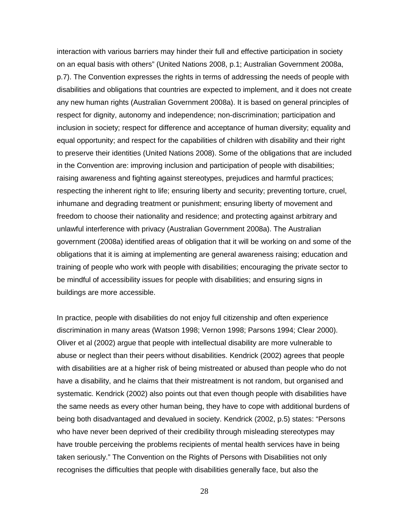interaction with various barriers may hinder their full and effective participation in society on an equal basis with others" (United Nations 2008, p.1; Australian Government 2008a, p.7). The Convention expresses the rights in terms of addressing the needs of people with disabilities and obligations that countries are expected to implement, and it does not create any new human rights (Australian Government 2008a). It is based on general principles of respect for dignity, autonomy and independence; non-discrimination; participation and inclusion in society; respect for difference and acceptance of human diversity; equality and equal opportunity; and respect for the capabilities of children with disability and their right to preserve their identities (United Nations 2008). Some of the obligations that are included in the Convention are: improving inclusion and participation of people with disabilities; raising awareness and fighting against stereotypes, prejudices and harmful practices; respecting the inherent right to life; ensuring liberty and security; preventing torture, cruel, inhumane and degrading treatment or punishment; ensuring liberty of movement and freedom to choose their nationality and residence; and protecting against arbitrary and unlawful interference with privacy (Australian Government 2008a). The Australian government (2008a) identified areas of obligation that it will be working on and some of the obligations that it is aiming at implementing are general awareness raising; education and training of people who work with people with disabilities; encouraging the private sector to be mindful of accessibility issues for people with disabilities; and ensuring signs in buildings are more accessible.

In practice, people with disabilities do not enjoy full citizenship and often experience discrimination in many areas (Watson 1998; Vernon 1998; Parsons 1994; Clear 2000). Oliver et al (2002) argue that people with intellectual disability are more vulnerable to abuse or neglect than their peers without disabilities. Kendrick (2002) agrees that people with disabilities are at a higher risk of being mistreated or abused than people who do not have a disability, and he claims that their mistreatment is not random, but organised and systematic. Kendrick (2002) also points out that even though people with disabilities have the same needs as every other human being, they have to cope with additional burdens of being both disadvantaged and devalued in society. Kendrick (2002, p.5) states: "Persons who have never been deprived of their credibility through misleading stereotypes may have trouble perceiving the problems recipients of mental health services have in being taken seriously." The Convention on the Rights of Persons with Disabilities not only recognises the difficulties that people with disabilities generally face, but also the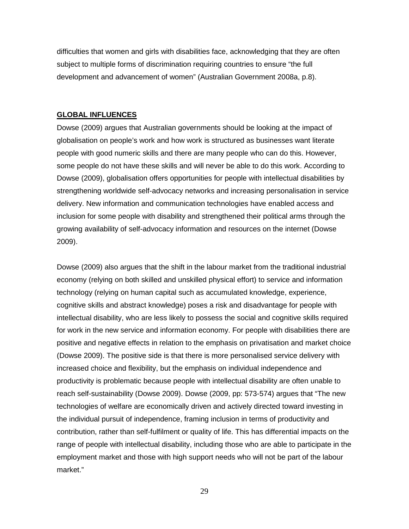difficulties that women and girls with disabilities face, acknowledging that they are often subject to multiple forms of discrimination requiring countries to ensure "the full development and advancement of women" (Australian Government 2008a, p.8).

#### **GLOBAL INFLUENCES**

Dowse (2009) argues that Australian governments should be looking at the impact of globalisation on people's work and how work is structured as businesses want literate people with good numeric skills and there are many people who can do this. However, some people do not have these skills and will never be able to do this work. According to Dowse (2009), globalisation offers opportunities for people with intellectual disabilities by strengthening worldwide self-advocacy networks and increasing personalisation in service delivery. New information and communication technologies have enabled access and inclusion for some people with disability and strengthened their political arms through the growing availability of self-advocacy information and resources on the internet (Dowse 2009).

Dowse (2009) also argues that the shift in the labour market from the traditional industrial economy (relying on both skilled and unskilled physical effort) to service and information technology (relying on human capital such as accumulated knowledge, experience, cognitive skills and abstract knowledge) poses a risk and disadvantage for people with intellectual disability, who are less likely to possess the social and cognitive skills required for work in the new service and information economy. For people with disabilities there are positive and negative effects in relation to the emphasis on privatisation and market choice (Dowse 2009). The positive side is that there is more personalised service delivery with increased choice and flexibility, but the emphasis on individual independence and productivity is problematic because people with intellectual disability are often unable to reach self-sustainability (Dowse 2009). Dowse (2009, pp: 573-574) argues that "The new technologies of welfare are economically driven and actively directed toward investing in the individual pursuit of independence, framing inclusion in terms of productivity and contribution, rather than self-fulfilment or quality of life. This has differential impacts on the range of people with intellectual disability, including those who are able to participate in the employment market and those with high support needs who will not be part of the labour market."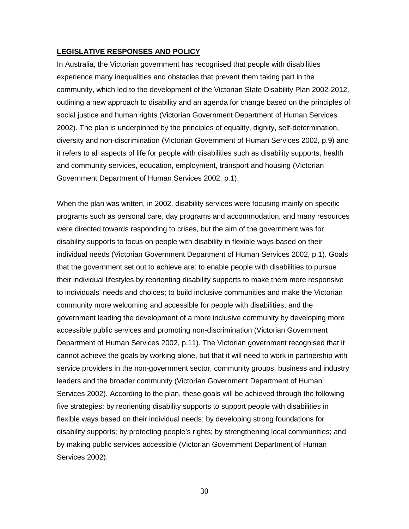## **LEGISLATIVE RESPONSES AND POLICY**

In Australia, the Victorian government has recognised that people with disabilities experience many inequalities and obstacles that prevent them taking part in the community, which led to the development of the Victorian State Disability Plan 2002-2012, outlining a new approach to disability and an agenda for change based on the principles of social justice and human rights (Victorian Government Department of Human Services 2002). The plan is underpinned by the principles of equality, dignity, self-determination, diversity and non-discrimination (Victorian Government of Human Services 2002, p.9) and it refers to all aspects of life for people with disabilities such as disability supports, health and community services, education, employment, transport and housing (Victorian Government Department of Human Services 2002, p.1).

When the plan was written, in 2002, disability services were focusing mainly on specific programs such as personal care, day programs and accommodation, and many resources were directed towards responding to crises, but the aim of the government was for disability supports to focus on people with disability in flexible ways based on their individual needs (Victorian Government Department of Human Services 2002, p.1). Goals that the government set out to achieve are: to enable people with disabilities to pursue their individual lifestyles by reorienting disability supports to make them more responsive to individuals' needs and choices; to build inclusive communities and make the Victorian community more welcoming and accessible for people with disabilities; and the government leading the development of a more inclusive community by developing more accessible public services and promoting non-discrimination (Victorian Government Department of Human Services 2002, p.11). The Victorian government recognised that it cannot achieve the goals by working alone, but that it will need to work in partnership with service providers in the non-government sector, community groups, business and industry leaders and the broader community (Victorian Government Department of Human Services 2002). According to the plan, these goals will be achieved through the following five strategies: by reorienting disability supports to support people with disabilities in flexible ways based on their individual needs; by developing strong foundations for disability supports; by protecting people's rights; by strengthening local communities; and by making public services accessible (Victorian Government Department of Human Services 2002).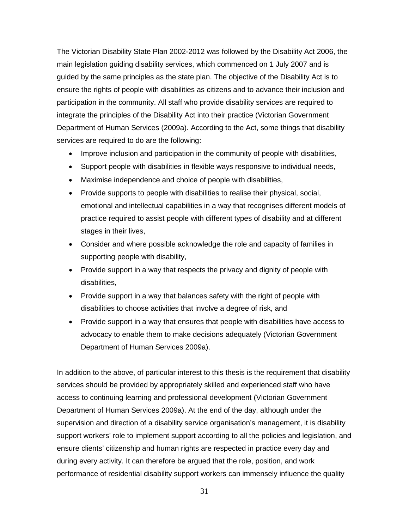The Victorian Disability State Plan 2002-2012 was followed by the Disability Act 2006, the main legislation guiding disability services, which commenced on 1 July 2007 and is guided by the same principles as the state plan. The objective of the Disability Act is to ensure the rights of people with disabilities as citizens and to advance their inclusion and participation in the community. All staff who provide disability services are required to integrate the principles of the Disability Act into their practice (Victorian Government Department of Human Services (2009a). According to the Act, some things that disability services are required to do are the following:

- Improve inclusion and participation in the community of people with disabilities,
- Support people with disabilities in flexible ways responsive to individual needs,
- Maximise independence and choice of people with disabilities,
- Provide supports to people with disabilities to realise their physical, social, emotional and intellectual capabilities in a way that recognises different models of practice required to assist people with different types of disability and at different stages in their lives,
- Consider and where possible acknowledge the role and capacity of families in supporting people with disability,
- Provide support in a way that respects the privacy and dignity of people with disabilities,
- Provide support in a way that balances safety with the right of people with disabilities to choose activities that involve a degree of risk, and
- Provide support in a way that ensures that people with disabilities have access to advocacy to enable them to make decisions adequately (Victorian Government Department of Human Services 2009a).

In addition to the above, of particular interest to this thesis is the requirement that disability services should be provided by appropriately skilled and experienced staff who have access to continuing learning and professional development (Victorian Government Department of Human Services 2009a). At the end of the day, although under the supervision and direction of a disability service organisation's management, it is disability support workers' role to implement support according to all the policies and legislation, and ensure clients' citizenship and human rights are respected in practice every day and during every activity. It can therefore be argued that the role, position, and work performance of residential disability support workers can immensely influence the quality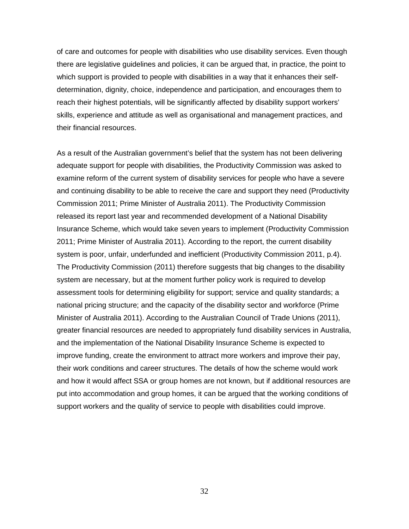of care and outcomes for people with disabilities who use disability services. Even though there are legislative guidelines and policies, it can be argued that, in practice, the point to which support is provided to people with disabilities in a way that it enhances their selfdetermination, dignity, choice, independence and participation, and encourages them to reach their highest potentials, will be significantly affected by disability support workers' skills, experience and attitude as well as organisational and management practices, and their financial resources.

As a result of the Australian government's belief that the system has not been delivering adequate support for people with disabilities, the Productivity Commission was asked to examine reform of the current system of disability services for people who have a severe and continuing disability to be able to receive the care and support they need (Productivity Commission 2011; Prime Minister of Australia 2011). The Productivity Commission released its report last year and recommended development of a National Disability Insurance Scheme, which would take seven years to implement (Productivity Commission 2011; Prime Minister of Australia 2011). According to the report, the current disability system is poor, unfair, underfunded and inefficient (Productivity Commission 2011, p.4). The Productivity Commission (2011) therefore suggests that big changes to the disability system are necessary, but at the moment further policy work is required to develop assessment tools for determining eligibility for support; service and quality standards; a national pricing structure; and the capacity of the disability sector and workforce (Prime Minister of Australia 2011). According to the Australian Council of Trade Unions (2011), greater financial resources are needed to appropriately fund disability services in Australia, and the implementation of the National Disability Insurance Scheme is expected to improve funding, create the environment to attract more workers and improve their pay, their work conditions and career structures. The details of how the scheme would work and how it would affect SSA or group homes are not known, but if additional resources are put into accommodation and group homes, it can be argued that the working conditions of support workers and the quality of service to people with disabilities could improve.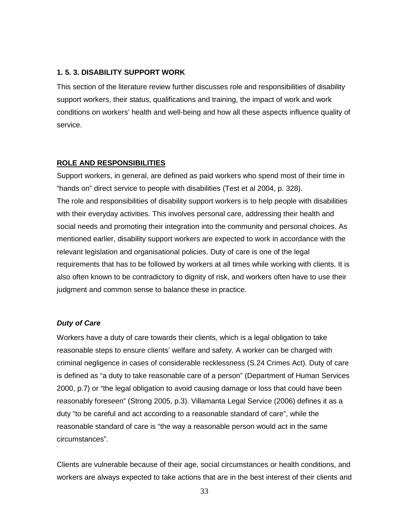#### **1. 5. 3. DISABILITY SUPPORT WORK**

This section of the literature review further discusses role and responsibilities of disability support workers, their status, qualifications and training, the impact of work and work conditions on workers' health and well-being and how all these aspects influence quality of service.

#### **ROLE AND RESPONSIBILITIES**

Support workers, in general, are defined as paid workers who spend most of their time in "hands on" direct service to people with disabilities (Test et al 2004, p. 328). The role and responsibilities of disability support workers is to help people with disabilities with their everyday activities. This involves personal care, addressing their health and social needs and promoting their integration into the community and personal choices. As mentioned earlier, disability support workers are expected to work in accordance with the relevant legislation and organisational policies. Duty of care is one of the legal requirements that has to be followed by workers at all times while working with clients. It is also often known to be contradictory to dignity of risk, and workers often have to use their judgment and common sense to balance these in practice.

### *Duty of Care*

Workers have a duty of care towards their clients, which is a legal obligation to take reasonable steps to ensure clients' welfare and safety. A worker can be charged with criminal negligence in cases of considerable recklessness (S.24 Crimes Act). Duty of care is defined as "a duty to take reasonable care of a person" (Department of Human Services 2000, p.7) or "the legal obligation to avoid causing damage or loss that could have been reasonably foreseen" (Strong 2005, p.3). Villamanta Legal Service (2006) defines it as a duty "to be careful and act according to a reasonable standard of care", while the reasonable standard of care is "the way a reasonable person would act in the same circumstances".

Clients are vulnerable because of their age, social circumstances or health conditions, and workers are always expected to take actions that are in the best interest of their clients and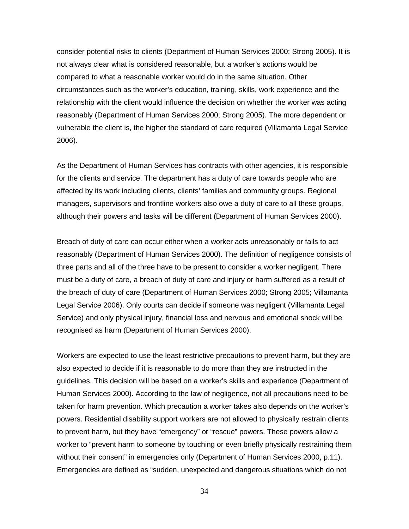consider potential risks to clients (Department of Human Services 2000; Strong 2005). It is not always clear what is considered reasonable, but a worker's actions would be compared to what a reasonable worker would do in the same situation. Other circumstances such as the worker's education, training, skills, work experience and the relationship with the client would influence the decision on whether the worker was acting reasonably (Department of Human Services 2000; Strong 2005). The more dependent or vulnerable the client is, the higher the standard of care required (Villamanta Legal Service 2006).

As the Department of Human Services has contracts with other agencies, it is responsible for the clients and service. The department has a duty of care towards people who are affected by its work including clients, clients' families and community groups. Regional managers, supervisors and frontline workers also owe a duty of care to all these groups, although their powers and tasks will be different (Department of Human Services 2000).

Breach of duty of care can occur either when a worker acts unreasonably or fails to act reasonably (Department of Human Services 2000). The definition of negligence consists of three parts and all of the three have to be present to consider a worker negligent. There must be a duty of care, a breach of duty of care and injury or harm suffered as a result of the breach of duty of care (Department of Human Services 2000; Strong 2005; Villamanta Legal Service 2006). Only courts can decide if someone was negligent (Villamanta Legal Service) and only physical injury, financial loss and nervous and emotional shock will be recognised as harm (Department of Human Services 2000).

Workers are expected to use the least restrictive precautions to prevent harm, but they are also expected to decide if it is reasonable to do more than they are instructed in the guidelines. This decision will be based on a worker's skills and experience (Department of Human Services 2000). According to the law of negligence, not all precautions need to be taken for harm prevention. Which precaution a worker takes also depends on the worker's powers. Residential disability support workers are not allowed to physically restrain clients to prevent harm, but they have "emergency" or "rescue" powers. These powers allow a worker to "prevent harm to someone by touching or even briefly physically restraining them without their consent" in emergencies only (Department of Human Services 2000, p.11). Emergencies are defined as "sudden, unexpected and dangerous situations which do not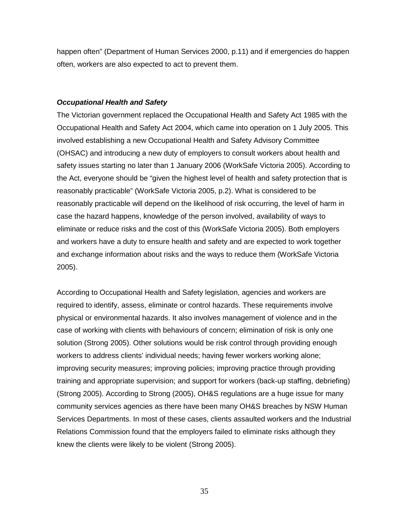happen often" (Department of Human Services 2000, p.11) and if emergencies do happen often, workers are also expected to act to prevent them.

## *Occupational Health and Safety*

The Victorian government replaced the Occupational Health and Safety Act 1985 with the Occupational Health and Safety Act 2004, which came into operation on 1 July 2005. This involved establishing a new Occupational Health and Safety Advisory Committee (OHSAC) and introducing a new duty of employers to consult workers about health and safety issues starting no later than 1 January 2006 (WorkSafe Victoria 2005). According to the Act, everyone should be "given the highest level of health and safety protection that is reasonably practicable" (WorkSafe Victoria 2005, p.2). What is considered to be reasonably practicable will depend on the likelihood of risk occurring, the level of harm in case the hazard happens, knowledge of the person involved, availability of ways to eliminate or reduce risks and the cost of this (WorkSafe Victoria 2005). Both employers and workers have a duty to ensure health and safety and are expected to work together and exchange information about risks and the ways to reduce them (WorkSafe Victoria 2005).

According to Occupational Health and Safety legislation, agencies and workers are required to identify, assess, eliminate or control hazards. These requirements involve physical or environmental hazards. It also involves management of violence and in the case of working with clients with behaviours of concern; elimination of risk is only one solution (Strong 2005). Other solutions would be risk control through providing enough workers to address clients' individual needs; having fewer workers working alone; improving security measures; improving policies; improving practice through providing training and appropriate supervision; and support for workers (back-up staffing, debriefing) (Strong 2005). According to Strong (2005), OH&S regulations are a huge issue for many community services agencies as there have been many OH&S breaches by NSW Human Services Departments. In most of these cases, clients assaulted workers and the Industrial Relations Commission found that the employers failed to eliminate risks although they knew the clients were likely to be violent (Strong 2005).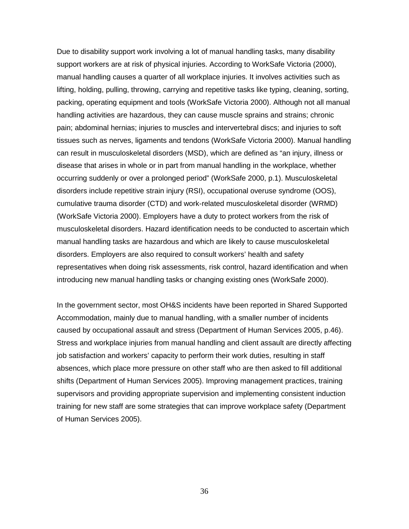Due to disability support work involving a lot of manual handling tasks, many disability support workers are at risk of physical injuries. According to WorkSafe Victoria (2000), manual handling causes a quarter of all workplace injuries. It involves activities such as lifting, holding, pulling, throwing, carrying and repetitive tasks like typing, cleaning, sorting, packing, operating equipment and tools (WorkSafe Victoria 2000). Although not all manual handling activities are hazardous, they can cause muscle sprains and strains; chronic pain; abdominal hernias; injuries to muscles and intervertebral discs; and injuries to soft tissues such as nerves, ligaments and tendons (WorkSafe Victoria 2000). Manual handling can result in musculoskeletal disorders (MSD), which are defined as "an injury, illness or disease that arises in whole or in part from manual handling in the workplace, whether occurring suddenly or over a prolonged period" (WorkSafe 2000, p.1). Musculoskeletal disorders include repetitive strain injury (RSI), occupational overuse syndrome (OOS), cumulative trauma disorder (CTD) and work-related musculoskeletal disorder (WRMD) (WorkSafe Victoria 2000). Employers have a duty to protect workers from the risk of musculoskeletal disorders. Hazard identification needs to be conducted to ascertain which manual handling tasks are hazardous and which are likely to cause musculoskeletal disorders. Employers are also required to consult workers' health and safety representatives when doing risk assessments, risk control, hazard identification and when introducing new manual handling tasks or changing existing ones (WorkSafe 2000).

In the government sector, most OH&S incidents have been reported in Shared Supported Accommodation, mainly due to manual handling, with a smaller number of incidents caused by occupational assault and stress (Department of Human Services 2005, p.46). Stress and workplace injuries from manual handling and client assault are directly affecting job satisfaction and workers' capacity to perform their work duties, resulting in staff absences, which place more pressure on other staff who are then asked to fill additional shifts (Department of Human Services 2005). Improving management practices, training supervisors and providing appropriate supervision and implementing consistent induction training for new staff are some strategies that can improve workplace safety (Department of Human Services 2005).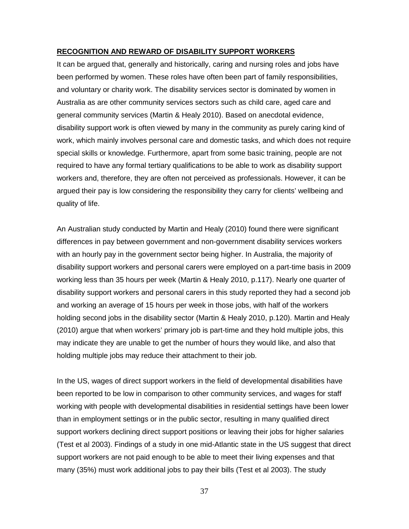### **RECOGNITION AND REWARD OF DISABILITY SUPPORT WORKERS**

It can be argued that, generally and historically, caring and nursing roles and jobs have been performed by women. These roles have often been part of family responsibilities, and voluntary or charity work. The disability services sector is dominated by women in Australia as are other community services sectors such as child care, aged care and general community services (Martin & Healy 2010). Based on anecdotal evidence, disability support work is often viewed by many in the community as purely caring kind of work, which mainly involves personal care and domestic tasks, and which does not require special skills or knowledge. Furthermore, apart from some basic training, people are not required to have any formal tertiary qualifications to be able to work as disability support workers and, therefore, they are often not perceived as professionals. However, it can be argued their pay is low considering the responsibility they carry for clients' wellbeing and quality of life.

An Australian study conducted by Martin and Healy (2010) found there were significant differences in pay between government and non-government disability services workers with an hourly pay in the government sector being higher. In Australia, the majority of disability support workers and personal carers were employed on a part-time basis in 2009 working less than 35 hours per week (Martin & Healy 2010, p.117). Nearly one quarter of disability support workers and personal carers in this study reported they had a second job and working an average of 15 hours per week in those jobs, with half of the workers holding second jobs in the disability sector (Martin & Healy 2010, p.120). Martin and Healy (2010) argue that when workers' primary job is part-time and they hold multiple jobs, this may indicate they are unable to get the number of hours they would like, and also that holding multiple jobs may reduce their attachment to their job.

In the US, wages of direct support workers in the field of developmental disabilities have been reported to be low in comparison to other community services, and wages for staff working with people with developmental disabilities in residential settings have been lower than in employment settings or in the public sector, resulting in many qualified direct support workers declining direct support positions or leaving their jobs for higher salaries (Test et al 2003). Findings of a study in one mid-Atlantic state in the US suggest that direct support workers are not paid enough to be able to meet their living expenses and that many (35%) must work additional jobs to pay their bills (Test et al 2003). The study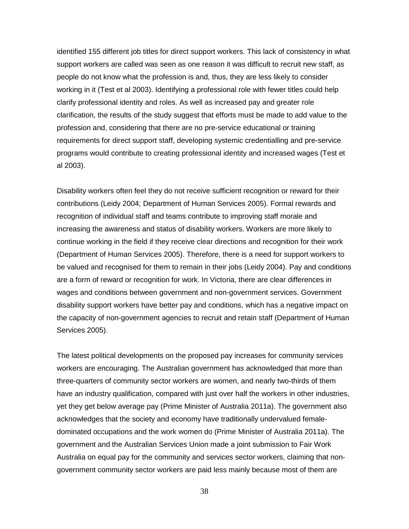identified 155 different job titles for direct support workers. This lack of consistency in what support workers are called was seen as one reason it was difficult to recruit new staff, as people do not know what the profession is and, thus, they are less likely to consider working in it (Test et al 2003). Identifying a professional role with fewer titles could help clarify professional identity and roles. As well as increased pay and greater role clarification, the results of the study suggest that efforts must be made to add value to the profession and, considering that there are no pre-service educational or training requirements for direct support staff, developing systemic credentialling and pre-service programs would contribute to creating professional identity and increased wages (Test et al 2003).

Disability workers often feel they do not receive sufficient recognition or reward for their contributions (Leidy 2004; Department of Human Services 2005). Formal rewards and recognition of individual staff and teams contribute to improving staff morale and increasing the awareness and status of disability workers. Workers are more likely to continue working in the field if they receive clear directions and recognition for their work (Department of Human Services 2005). Therefore, there is a need for support workers to be valued and recognised for them to remain in their jobs (Leidy 2004). Pay and conditions are a form of reward or recognition for work. In Victoria, there are clear differences in wages and conditions between government and non-government services. Government disability support workers have better pay and conditions, which has a negative impact on the capacity of non-government agencies to recruit and retain staff (Department of Human Services 2005).

The latest political developments on the proposed pay increases for community services workers are encouraging. The Australian government has acknowledged that more than three-quarters of community sector workers are women, and nearly two-thirds of them have an industry qualification, compared with just over half the workers in other industries, yet they get below average pay (Prime Minister of Australia 2011a). The government also acknowledges that the society and economy have traditionally undervalued femaledominated occupations and the work women do (Prime Minister of Australia 2011a). The government and the Australian Services Union made a joint submission to Fair Work Australia on equal pay for the community and services sector workers, claiming that nongovernment community sector workers are paid less mainly because most of them are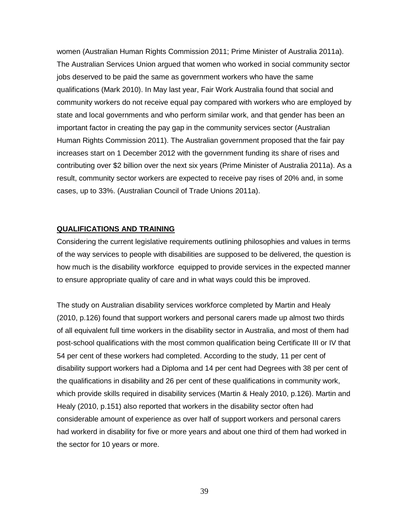women (Australian Human Rights Commission 2011; Prime Minister of Australia 2011a). The Australian Services Union argued that women who worked in social community sector jobs deserved to be paid the same as government workers who have the same qualifications (Mark 2010). In May last year, Fair Work Australia found that social and community workers do not receive equal pay compared with workers who are employed by state and local governments and who perform similar work, and that gender has been an important factor in creating the pay gap in the community services sector (Australian Human Rights Commission 2011). The Australian government proposed that the fair pay increases start on 1 December 2012 with the government funding its share of rises and contributing over \$2 billion over the next six years (Prime Minister of Australia 2011a). As a result, community sector workers are expected to receive pay rises of 20% and, in some cases, up to 33%. (Australian Council of Trade Unions 2011a).

### **QUALIFICATIONS AND TRAINING**

Considering the current legislative requirements outlining philosophies and values in terms of the way services to people with disabilities are supposed to be delivered, the question is how much is the disability workforce equipped to provide services in the expected manner to ensure appropriate quality of care and in what ways could this be improved.

The study on Australian disability services workforce completed by Martin and Healy (2010, p.126) found that support workers and personal carers made up almost two thirds of all equivalent full time workers in the disability sector in Australia, and most of them had post-school qualifications with the most common qualification being Certificate III or IV that 54 per cent of these workers had completed. According to the study, 11 per cent of disability support workers had a Diploma and 14 per cent had Degrees with 38 per cent of the qualifications in disability and 26 per cent of these qualifications in community work, which provide skills required in disability services (Martin & Healy 2010, p.126). Martin and Healy (2010, p.151) also reported that workers in the disability sector often had considerable amount of experience as over half of support workers and personal carers had workerd in disability for five or more years and about one third of them had worked in the sector for 10 years or more.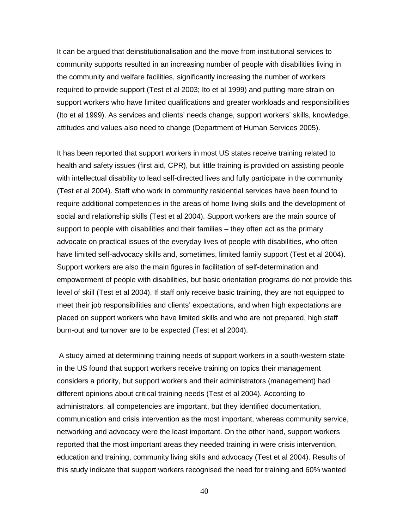It can be argued that deinstitutionalisation and the move from institutional services to community supports resulted in an increasing number of people with disabilities living in the community and welfare facilities, significantly increasing the number of workers required to provide support (Test et al 2003; Ito et al 1999) and putting more strain on support workers who have limited qualifications and greater workloads and responsibilities (Ito et al 1999). As services and clients' needs change, support workers' skills, knowledge, attitudes and values also need to change (Department of Human Services 2005).

It has been reported that support workers in most US states receive training related to health and safety issues (first aid, CPR), but little training is provided on assisting people with intellectual disability to lead self-directed lives and fully participate in the community (Test et al 2004). Staff who work in community residential services have been found to require additional competencies in the areas of home living skills and the development of social and relationship skills (Test et al 2004). Support workers are the main source of support to people with disabilities and their families – they often act as the primary advocate on practical issues of the everyday lives of people with disabilities, who often have limited self-advocacy skills and, sometimes, limited family support (Test et al 2004). Support workers are also the main figures in facilitation of self-determination and empowerment of people with disabilities, but basic orientation programs do not provide this level of skill (Test et al 2004). If staff only receive basic training, they are not equipped to meet their job responsibilities and clients' expectations, and when high expectations are placed on support workers who have limited skills and who are not prepared, high staff burn-out and turnover are to be expected (Test et al 2004).

A study aimed at determining training needs of support workers in a south-western state in the US found that support workers receive training on topics their management considers a priority, but support workers and their administrators (management) had different opinions about critical training needs (Test et al 2004). According to administrators, all competencies are important, but they identified documentation, communication and crisis intervention as the most important, whereas community service, networking and advocacy were the least important. On the other hand, support workers reported that the most important areas they needed training in were crisis intervention, education and training, community living skills and advocacy (Test et al 2004). Results of this study indicate that support workers recognised the need for training and 60% wanted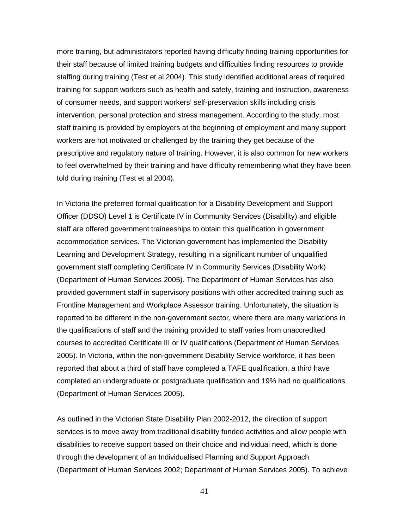more training, but administrators reported having difficulty finding training opportunities for their staff because of limited training budgets and difficulties finding resources to provide staffing during training (Test et al 2004). This study identified additional areas of required training for support workers such as health and safety, training and instruction, awareness of consumer needs, and support workers' self-preservation skills including crisis intervention, personal protection and stress management. According to the study, most staff training is provided by employers at the beginning of employment and many support workers are not motivated or challenged by the training they get because of the prescriptive and regulatory nature of training. However, it is also common for new workers to feel overwhelmed by their training and have difficulty remembering what they have been told during training (Test et al 2004).

In Victoria the preferred formal qualification for a Disability Development and Support Officer (DDSO) Level 1 is Certificate IV in Community Services (Disability) and eligible staff are offered government traineeships to obtain this qualification in government accommodation services. The Victorian government has implemented the Disability Learning and Development Strategy, resulting in a significant number of unqualified government staff completing Certificate IV in Community Services (Disability Work) (Department of Human Services 2005). The Department of Human Services has also provided government staff in supervisory positions with other accredited training such as Frontline Management and Workplace Assessor training. Unfortunately, the situation is reported to be different in the non-government sector, where there are many variations in the qualifications of staff and the training provided to staff varies from unaccredited courses to accredited Certificate III or IV qualifications (Department of Human Services 2005). In Victoria, within the non-government Disability Service workforce, it has been reported that about a third of staff have completed a TAFE qualification, a third have completed an undergraduate or postgraduate qualification and 19% had no qualifications (Department of Human Services 2005).

As outlined in the Victorian State Disability Plan 2002-2012, the direction of support services is to move away from traditional disability funded activities and allow people with disabilities to receive support based on their choice and individual need, which is done through the development of an Individualised Planning and Support Approach (Department of Human Services 2002; Department of Human Services 2005). To achieve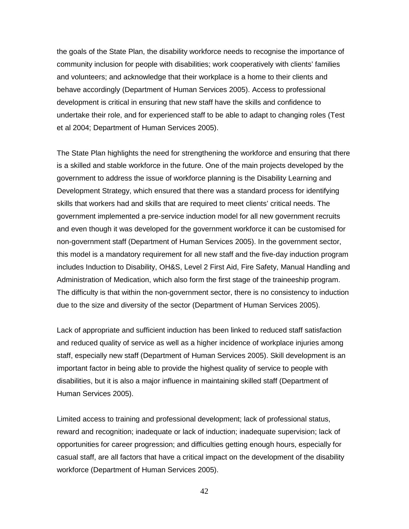the goals of the State Plan, the disability workforce needs to recognise the importance of community inclusion for people with disabilities; work cooperatively with clients' families and volunteers; and acknowledge that their workplace is a home to their clients and behave accordingly (Department of Human Services 2005). Access to professional development is critical in ensuring that new staff have the skills and confidence to undertake their role, and for experienced staff to be able to adapt to changing roles (Test et al 2004; Department of Human Services 2005).

The State Plan highlights the need for strengthening the workforce and ensuring that there is a skilled and stable workforce in the future. One of the main projects developed by the government to address the issue of workforce planning is the Disability Learning and Development Strategy, which ensured that there was a standard process for identifying skills that workers had and skills that are required to meet clients' critical needs. The government implemented a pre-service induction model for all new government recruits and even though it was developed for the government workforce it can be customised for non-government staff (Department of Human Services 2005). In the government sector, this model is a mandatory requirement for all new staff and the five-day induction program includes Induction to Disability, OH&S, Level 2 First Aid, Fire Safety, Manual Handling and Administration of Medication, which also form the first stage of the traineeship program. The difficulty is that within the non-government sector, there is no consistency to induction due to the size and diversity of the sector (Department of Human Services 2005).

Lack of appropriate and sufficient induction has been linked to reduced staff satisfaction and reduced quality of service as well as a higher incidence of workplace injuries among staff, especially new staff (Department of Human Services 2005). Skill development is an important factor in being able to provide the highest quality of service to people with disabilities, but it is also a major influence in maintaining skilled staff (Department of Human Services 2005).

Limited access to training and professional development; lack of professional status, reward and recognition; inadequate or lack of induction; inadequate supervision; lack of opportunities for career progression; and difficulties getting enough hours, especially for casual staff, are all factors that have a critical impact on the development of the disability workforce (Department of Human Services 2005).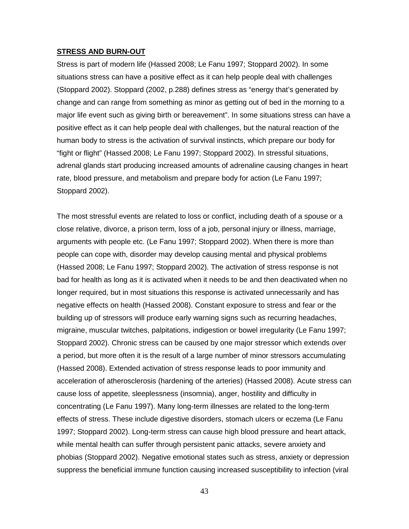### **STRESS AND BURN-OUT**

Stress is part of modern life (Hassed 2008; Le Fanu 1997; Stoppard 2002). In some situations stress can have a positive effect as it can help people deal with challenges (Stoppard 2002). Stoppard (2002, p.288) defines stress as "energy that's generated by change and can range from something as minor as getting out of bed in the morning to a major life event such as giving birth or bereavement". In some situations stress can have a positive effect as it can help people deal with challenges, but the natural reaction of the human body to stress is the activation of survival instincts, which prepare our body for "fight or flight" (Hassed 2008; Le Fanu 1997; Stoppard 2002). In stressful situations, adrenal glands start producing increased amounts of adrenaline causing changes in heart rate, blood pressure, and metabolism and prepare body for action (Le Fanu 1997; Stoppard 2002).

The most stressful events are related to loss or conflict, including death of a spouse or a close relative, divorce, a prison term, loss of a job, personal injury or illness, marriage, arguments with people etc. (Le Fanu 1997; Stoppard 2002). When there is more than people can cope with, disorder may develop causing mental and physical problems (Hassed 2008; Le Fanu 1997; Stoppard 2002). The activation of stress response is not bad for health as long as it is activated when it needs to be and then deactivated when no longer required, but in most situations this response is activated unnecessarily and has negative effects on health (Hassed 2008). Constant exposure to stress and fear or the building up of stressors will produce early warning signs such as recurring headaches, migraine, muscular twitches, palpitations, indigestion or bowel irregularity (Le Fanu 1997; Stoppard 2002). Chronic stress can be caused by one major stressor which extends over a period, but more often it is the result of a large number of minor stressors accumulating (Hassed 2008). Extended activation of stress response leads to poor immunity and acceleration of atherosclerosis (hardening of the arteries) (Hassed 2008). Acute stress can cause loss of appetite, sleeplessness (insomnia), anger, hostility and difficulty in concentrating (Le Fanu 1997). Many long-term illnesses are related to the long-term effects of stress. These include digestive disorders, stomach ulcers or eczema (Le Fanu 1997; Stoppard 2002). Long-term stress can cause high blood pressure and heart attack, while mental health can suffer through persistent panic attacks, severe anxiety and phobias (Stoppard 2002). Negative emotional states such as stress, anxiety or depression suppress the beneficial immune function causing increased susceptibility to infection (viral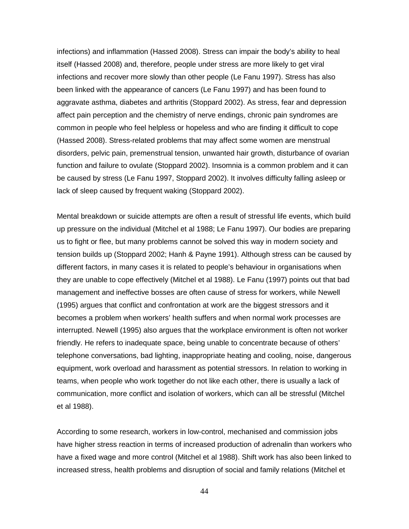infections) and inflammation (Hassed 2008). Stress can impair the body's ability to heal itself (Hassed 2008) and, therefore, people under stress are more likely to get viral infections and recover more slowly than other people (Le Fanu 1997). Stress has also been linked with the appearance of cancers (Le Fanu 1997) and has been found to aggravate asthma, diabetes and arthritis (Stoppard 2002). As stress, fear and depression affect pain perception and the chemistry of nerve endings, chronic pain syndromes are common in people who feel helpless or hopeless and who are finding it difficult to cope (Hassed 2008). Stress-related problems that may affect some women are menstrual disorders, pelvic pain, premenstrual tension, unwanted hair growth, disturbance of ovarian function and failure to ovulate (Stoppard 2002). Insomnia is a common problem and it can be caused by stress (Le Fanu 1997, Stoppard 2002). It involves difficulty falling asleep or lack of sleep caused by frequent waking (Stoppard 2002).

Mental breakdown or suicide attempts are often a result of stressful life events, which build up pressure on the individual (Mitchel et al 1988; Le Fanu 1997). Our bodies are preparing us to fight or flee, but many problems cannot be solved this way in modern society and tension builds up (Stoppard 2002; Hanh & Payne 1991). Although stress can be caused by different factors, in many cases it is related to people's behaviour in organisations when they are unable to cope effectively (Mitchel et al 1988). Le Fanu (1997) points out that bad management and ineffective bosses are often cause of stress for workers, while Newell (1995) argues that conflict and confrontation at work are the biggest stressors and it becomes a problem when workers' health suffers and when normal work processes are interrupted. Newell (1995) also argues that the workplace environment is often not worker friendly. He refers to inadequate space, being unable to concentrate because of others' telephone conversations, bad lighting, inappropriate heating and cooling, noise, dangerous equipment, work overload and harassment as potential stressors. In relation to working in teams, when people who work together do not like each other, there is usually a lack of communication, more conflict and isolation of workers, which can all be stressful (Mitchel et al 1988).

According to some research, workers in low-control, mechanised and commission jobs have higher stress reaction in terms of increased production of adrenalin than workers who have a fixed wage and more control (Mitchel et al 1988). Shift work has also been linked to increased stress, health problems and disruption of social and family relations (Mitchel et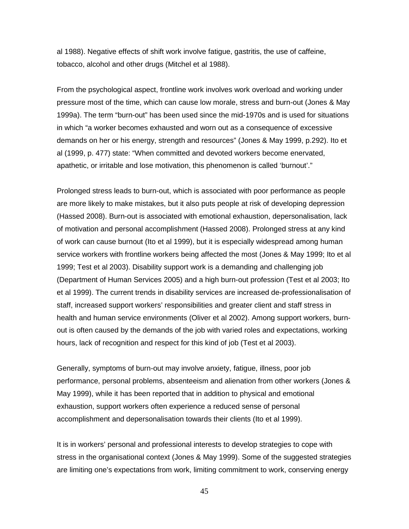al 1988). Negative effects of shift work involve fatigue, gastritis, the use of caffeine, tobacco, alcohol and other drugs (Mitchel et al 1988).

From the psychological aspect, frontline work involves work overload and working under pressure most of the time, which can cause low morale, stress and burn-out (Jones & May 1999a). The term "burn-out" has been used since the mid-1970s and is used for situations in which "a worker becomes exhausted and worn out as a consequence of excessive demands on her or his energy, strength and resources" (Jones & May 1999, p.292). Ito et al (1999, p. 477) state: "When committed and devoted workers become enervated, apathetic, or irritable and lose motivation, this phenomenon is called 'burnout'."

Prolonged stress leads to burn-out, which is associated with poor performance as people are more likely to make mistakes, but it also puts people at risk of developing depression (Hassed 2008). Burn-out is associated with emotional exhaustion, depersonalisation, lack of motivation and personal accomplishment (Hassed 2008). Prolonged stress at any kind of work can cause burnout (Ito et al 1999), but it is especially widespread among human service workers with frontline workers being affected the most (Jones & May 1999; Ito et al 1999; Test et al 2003). Disability support work is a demanding and challenging job (Department of Human Services 2005) and a high burn-out profession (Test et al 2003; Ito et al 1999). The current trends in disability services are increased de-professionalisation of staff, increased support workers' responsibilities and greater client and staff stress in health and human service environments (Oliver et al 2002). Among support workers, burnout is often caused by the demands of the job with varied roles and expectations, working hours, lack of recognition and respect for this kind of job (Test et al 2003).

Generally, symptoms of burn-out may involve anxiety, fatigue, illness, poor job performance, personal problems, absenteeism and alienation from other workers (Jones & May 1999), while it has been reported that in addition to physical and emotional exhaustion, support workers often experience a reduced sense of personal accomplishment and depersonalisation towards their clients (Ito et al 1999).

It is in workers' personal and professional interests to develop strategies to cope with stress in the organisational context (Jones & May 1999). Some of the suggested strategies are limiting one's expectations from work, limiting commitment to work, conserving energy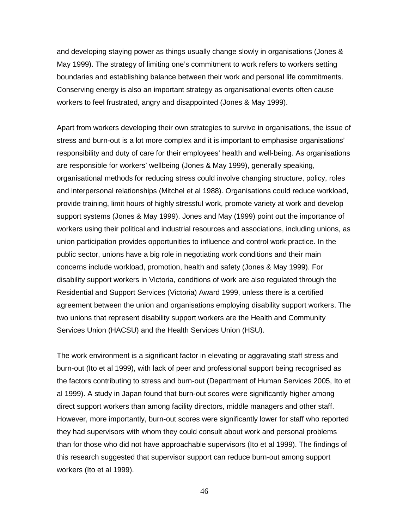and developing staying power as things usually change slowly in organisations (Jones & May 1999). The strategy of limiting one's commitment to work refers to workers setting boundaries and establishing balance between their work and personal life commitments. Conserving energy is also an important strategy as organisational events often cause workers to feel frustrated, angry and disappointed (Jones & May 1999).

Apart from workers developing their own strategies to survive in organisations, the issue of stress and burn-out is a lot more complex and it is important to emphasise organisations' responsibility and duty of care for their employees' health and well-being. As organisations are responsible for workers' wellbeing (Jones & May 1999), generally speaking, organisational methods for reducing stress could involve changing structure, policy, roles and interpersonal relationships (Mitchel et al 1988). Organisations could reduce workload, provide training, limit hours of highly stressful work, promote variety at work and develop support systems (Jones & May 1999). Jones and May (1999) point out the importance of workers using their political and industrial resources and associations, including unions, as union participation provides opportunities to influence and control work practice. In the public sector, unions have a big role in negotiating work conditions and their main concerns include workload, promotion, health and safety (Jones & May 1999). For disability support workers in Victoria, conditions of work are also regulated through the Residential and Support Services (Victoria) Award 1999, unless there is a certified agreement between the union and organisations employing disability support workers. The two unions that represent disability support workers are the Health and Community Services Union (HACSU) and the Health Services Union (HSU).

The work environment is a significant factor in elevating or aggravating staff stress and burn-out (Ito et al 1999), with lack of peer and professional support being recognised as the factors contributing to stress and burn-out (Department of Human Services 2005, Ito et al 1999). A study in Japan found that burn-out scores were significantly higher among direct support workers than among facility directors, middle managers and other staff. However, more importantly, burn-out scores were significantly lower for staff who reported they had supervisors with whom they could consult about work and personal problems than for those who did not have approachable supervisors (Ito et al 1999). The findings of this research suggested that supervisor support can reduce burn-out among support workers (Ito et al 1999).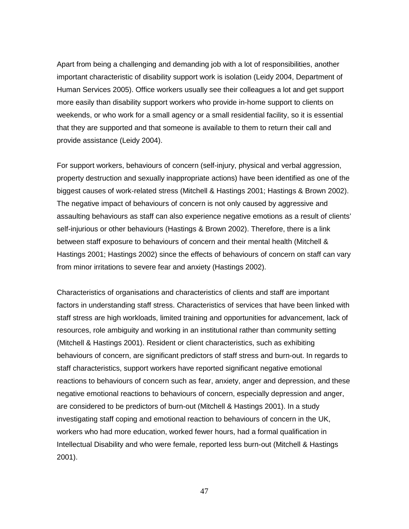Apart from being a challenging and demanding job with a lot of responsibilities, another important characteristic of disability support work is isolation (Leidy 2004, Department of Human Services 2005). Office workers usually see their colleagues a lot and get support more easily than disability support workers who provide in-home support to clients on weekends, or who work for a small agency or a small residential facility, so it is essential that they are supported and that someone is available to them to return their call and provide assistance (Leidy 2004).

For support workers, behaviours of concern (self-injury, physical and verbal aggression, property destruction and sexually inappropriate actions) have been identified as one of the biggest causes of work-related stress (Mitchell & Hastings 2001; Hastings & Brown 2002). The negative impact of behaviours of concern is not only caused by aggressive and assaulting behaviours as staff can also experience negative emotions as a result of clients' self-injurious or other behaviours (Hastings & Brown 2002). Therefore, there is a link between staff exposure to behaviours of concern and their mental health (Mitchell & Hastings 2001; Hastings 2002) since the effects of behaviours of concern on staff can vary from minor irritations to severe fear and anxiety (Hastings 2002).

Characteristics of organisations and characteristics of clients and staff are important factors in understanding staff stress. Characteristics of services that have been linked with staff stress are high workloads, limited training and opportunities for advancement, lack of resources, role ambiguity and working in an institutional rather than community setting (Mitchell & Hastings 2001). Resident or client characteristics, such as exhibiting behaviours of concern, are significant predictors of staff stress and burn-out. In regards to staff characteristics, support workers have reported significant negative emotional reactions to behaviours of concern such as fear, anxiety, anger and depression, and these negative emotional reactions to behaviours of concern, especially depression and anger, are considered to be predictors of burn-out (Mitchell & Hastings 2001). In a study investigating staff coping and emotional reaction to behaviours of concern in the UK, workers who had more education, worked fewer hours, had a formal qualification in Intellectual Disability and who were female, reported less burn-out (Mitchell & Hastings 2001).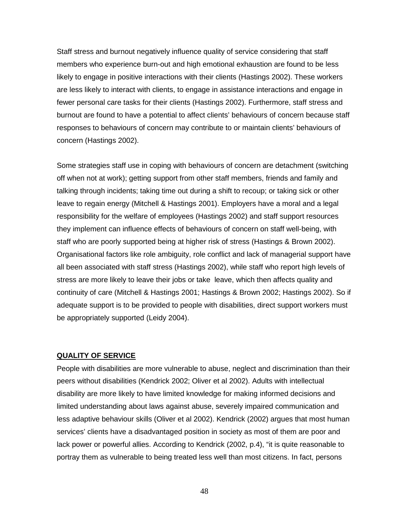Staff stress and burnout negatively influence quality of service considering that staff members who experience burn-out and high emotional exhaustion are found to be less likely to engage in positive interactions with their clients (Hastings 2002). These workers are less likely to interact with clients, to engage in assistance interactions and engage in fewer personal care tasks for their clients (Hastings 2002). Furthermore, staff stress and burnout are found to have a potential to affect clients' behaviours of concern because staff responses to behaviours of concern may contribute to or maintain clients' behaviours of concern (Hastings 2002).

Some strategies staff use in coping with behaviours of concern are detachment (switching off when not at work); getting support from other staff members, friends and family and talking through incidents; taking time out during a shift to recoup; or taking sick or other leave to regain energy (Mitchell & Hastings 2001). Employers have a moral and a legal responsibility for the welfare of employees (Hastings 2002) and staff support resources they implement can influence effects of behaviours of concern on staff well-being, with staff who are poorly supported being at higher risk of stress (Hastings & Brown 2002). Organisational factors like role ambiguity, role conflict and lack of managerial support have all been associated with staff stress (Hastings 2002), while staff who report high levels of stress are more likely to leave their jobs or take leave, which then affects quality and continuity of care (Mitchell & Hastings 2001; Hastings & Brown 2002; Hastings 2002). So if adequate support is to be provided to people with disabilities, direct support workers must be appropriately supported (Leidy 2004).

## **QUALITY OF SERVICE**

People with disabilities are more vulnerable to abuse, neglect and discrimination than their peers without disabilities (Kendrick 2002; Oliver et al 2002). Adults with intellectual disability are more likely to have limited knowledge for making informed decisions and limited understanding about laws against abuse, severely impaired communication and less adaptive behaviour skills (Oliver et al 2002). Kendrick (2002) argues that most human services' clients have a disadvantaged position in society as most of them are poor and lack power or powerful allies. According to Kendrick (2002, p.4), "it is quite reasonable to portray them as vulnerable to being treated less well than most citizens. In fact, persons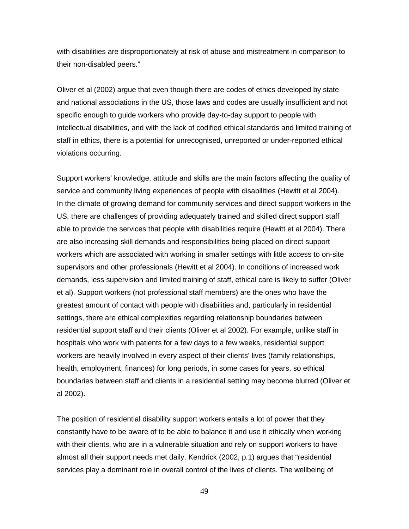with disabilities are disproportionately at risk of abuse and mistreatment in comparison to their non-disabled peers."

Oliver et al (2002) argue that even though there are codes of ethics developed by state and national associations in the US, those laws and codes are usually insufficient and not specific enough to guide workers who provide day-to-day support to people with intellectual disabilities, and with the lack of codified ethical standards and limited training of staff in ethics, there is a potential for unrecognised, unreported or under-reported ethical violations occurring.

Support workers' knowledge, attitude and skills are the main factors affecting the quality of service and community living experiences of people with disabilities (Hewitt et al 2004). In the climate of growing demand for community services and direct support workers in the US, there are challenges of providing adequately trained and skilled direct support staff able to provide the services that people with disabilities require (Hewitt et al 2004). There are also increasing skill demands and responsibilities being placed on direct support workers which are associated with working in smaller settings with little access to on-site supervisors and other professionals (Hewitt et al 2004). In conditions of increased work demands, less supervision and limited training of staff, ethical care is likely to suffer (Oliver et al). Support workers (not professional staff members) are the ones who have the greatest amount of contact with people with disabilities and, particularly in residential settings, there are ethical complexities regarding relationship boundaries between residential support staff and their clients (Oliver et al 2002). For example, unlike staff in hospitals who work with patients for a few days to a few weeks, residential support workers are heavily involved in every aspect of their clients' lives (family relationships, health, employment, finances) for long periods, in some cases for years, so ethical boundaries between staff and clients in a residential setting may become blurred (Oliver et al 2002).

The position of residential disability support workers entails a lot of power that they constantly have to be aware of to be able to balance it and use it ethically when working with their clients, who are in a vulnerable situation and rely on support workers to have almost all their support needs met daily. Kendrick (2002, p.1) argues that "residential services play a dominant role in overall control of the lives of clients. The wellbeing of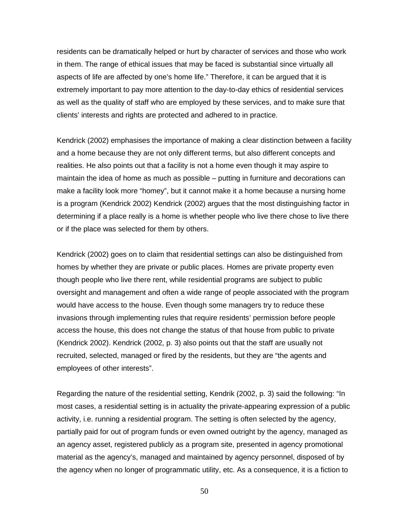residents can be dramatically helped or hurt by character of services and those who work in them. The range of ethical issues that may be faced is substantial since virtually all aspects of life are affected by one's home life." Therefore, it can be argued that it is extremely important to pay more attention to the day-to-day ethics of residential services as well as the quality of staff who are employed by these services, and to make sure that clients' interests and rights are protected and adhered to in practice.

Kendrick (2002) emphasises the importance of making a clear distinction between a facility and a home because they are not only different terms, but also different concepts and realities. He also points out that a facility is not a home even though it may aspire to maintain the idea of home as much as possible – putting in furniture and decorations can make a facility look more "homey", but it cannot make it a home because a nursing home is a program (Kendrick 2002) Kendrick (2002) argues that the most distinguishing factor in determining if a place really is a home is whether people who live there chose to live there or if the place was selected for them by others.

Kendrick (2002) goes on to claim that residential settings can also be distinguished from homes by whether they are private or public places. Homes are private property even though people who live there rent, while residential programs are subject to public oversight and management and often a wide range of people associated with the program would have access to the house. Even though some managers try to reduce these invasions through implementing rules that require residents' permission before people access the house, this does not change the status of that house from public to private (Kendrick 2002). Kendrick (2002, p. 3) also points out that the staff are usually not recruited, selected, managed or fired by the residents, but they are "the agents and employees of other interests".

Regarding the nature of the residential setting, Kendrik (2002, p. 3) said the following: "In most cases, a residential setting is in actuality the private-appearing expression of a public activity, i.e. running a residential program. The setting is often selected by the agency, partially paid for out of program funds or even owned outright by the agency, managed as an agency asset, registered publicly as a program site, presented in agency promotional material as the agency's, managed and maintained by agency personnel, disposed of by the agency when no longer of programmatic utility, etc. As a consequence, it is a fiction to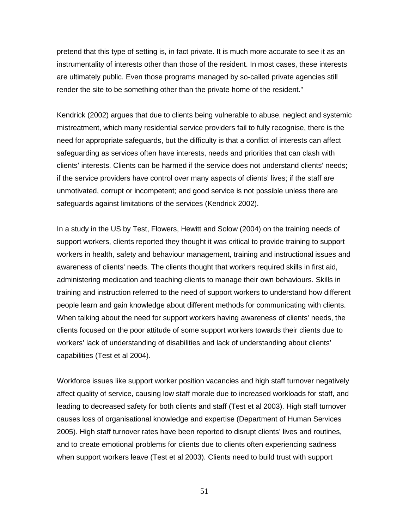pretend that this type of setting is, in fact private. It is much more accurate to see it as an instrumentality of interests other than those of the resident. In most cases, these interests are ultimately public. Even those programs managed by so-called private agencies still render the site to be something other than the private home of the resident."

Kendrick (2002) argues that due to clients being vulnerable to abuse, neglect and systemic mistreatment, which many residential service providers fail to fully recognise, there is the need for appropriate safeguards, but the difficulty is that a conflict of interests can affect safeguarding as services often have interests, needs and priorities that can clash with clients' interests. Clients can be harmed if the service does not understand clients' needs; if the service providers have control over many aspects of clients' lives; if the staff are unmotivated, corrupt or incompetent; and good service is not possible unless there are safeguards against limitations of the services (Kendrick 2002).

In a study in the US by Test, Flowers, Hewitt and Solow (2004) on the training needs of support workers, clients reported they thought it was critical to provide training to support workers in health, safety and behaviour management, training and instructional issues and awareness of clients' needs. The clients thought that workers required skills in first aid, administering medication and teaching clients to manage their own behaviours. Skills in training and instruction referred to the need of support workers to understand how different people learn and gain knowledge about different methods for communicating with clients. When talking about the need for support workers having awareness of clients' needs, the clients focused on the poor attitude of some support workers towards their clients due to workers' lack of understanding of disabilities and lack of understanding about clients' capabilities (Test et al 2004).

Workforce issues like support worker position vacancies and high staff turnover negatively affect quality of service, causing low staff morale due to increased workloads for staff, and leading to decreased safety for both clients and staff (Test et al 2003). High staff turnover causes loss of organisational knowledge and expertise (Department of Human Services 2005). High staff turnover rates have been reported to disrupt clients' lives and routines, and to create emotional problems for clients due to clients often experiencing sadness when support workers leave (Test et al 2003). Clients need to build trust with support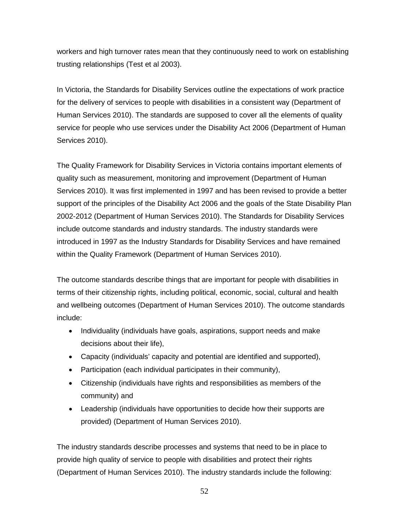workers and high turnover rates mean that they continuously need to work on establishing trusting relationships (Test et al 2003).

In Victoria, the Standards for Disability Services outline the expectations of work practice for the delivery of services to people with disabilities in a consistent way (Department of Human Services 2010). The standards are supposed to cover all the elements of quality service for people who use services under the Disability Act 2006 (Department of Human Services 2010).

The Quality Framework for Disability Services in Victoria contains important elements of quality such as measurement, monitoring and improvement (Department of Human Services 2010). It was first implemented in 1997 and has been revised to provide a better support of the principles of the Disability Act 2006 and the goals of the State Disability Plan 2002-2012 (Department of Human Services 2010). The Standards for Disability Services include outcome standards and industry standards. The industry standards were introduced in 1997 as the Industry Standards for Disability Services and have remained within the Quality Framework (Department of Human Services 2010).

The outcome standards describe things that are important for people with disabilities in terms of their citizenship rights, including political, economic, social, cultural and health and wellbeing outcomes (Department of Human Services 2010). The outcome standards include:

- Individuality (individuals have goals, aspirations, support needs and make decisions about their life),
- Capacity (individuals' capacity and potential are identified and supported),
- Participation (each individual participates in their community),
- Citizenship (individuals have rights and responsibilities as members of the community) and
- Leadership (individuals have opportunities to decide how their supports are provided) (Department of Human Services 2010).

The industry standards describe processes and systems that need to be in place to provide high quality of service to people with disabilities and protect their rights (Department of Human Services 2010). The industry standards include the following: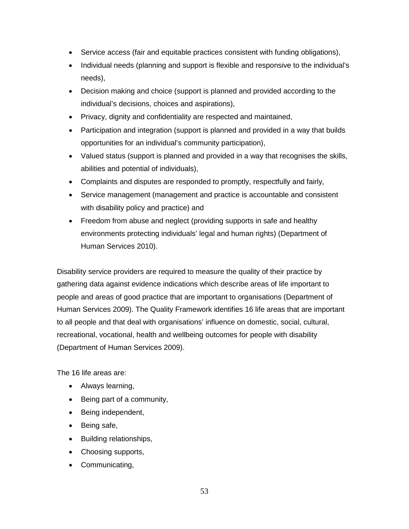- Service access (fair and equitable practices consistent with funding obligations),
- Individual needs (planning and support is flexible and responsive to the individual's needs),
- Decision making and choice (support is planned and provided according to the individual's decisions, choices and aspirations),
- Privacy, dignity and confidentiality are respected and maintained,
- Participation and integration (support is planned and provided in a way that builds opportunities for an individual's community participation),
- Valued status (support is planned and provided in a way that recognises the skills, abilities and potential of individuals),
- Complaints and disputes are responded to promptly, respectfully and fairly,
- Service management (management and practice is accountable and consistent with disability policy and practice) and
- Freedom from abuse and neglect (providing supports in safe and healthy environments protecting individuals' legal and human rights) (Department of Human Services 2010).

Disability service providers are required to measure the quality of their practice by gathering data against evidence indications which describe areas of life important to people and areas of good practice that are important to organisations (Department of Human Services 2009). The Quality Framework identifies 16 life areas that are important to all people and that deal with organisations' influence on domestic, social, cultural, recreational, vocational, health and wellbeing outcomes for people with disability (Department of Human Services 2009).

The 16 life areas are:

- Always learning,
- Being part of a community,
- Being independent,
- Being safe,
- Building relationships,
- Choosing supports,
- Communicating,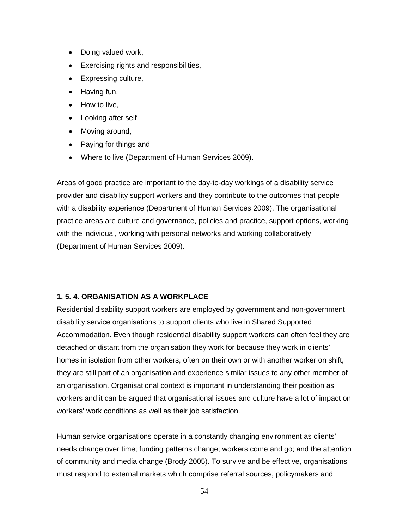- Doing valued work,
- Exercising rights and responsibilities,
- Expressing culture,
- Having fun,
- How to live,
- Looking after self,
- Moving around,
- Paying for things and
- Where to live (Department of Human Services 2009).

Areas of good practice are important to the day-to-day workings of a disability service provider and disability support workers and they contribute to the outcomes that people with a disability experience (Department of Human Services 2009). The organisational practice areas are culture and governance, policies and practice, support options, working with the individual, working with personal networks and working collaboratively (Department of Human Services 2009).

# **1. 5. 4. ORGANISATION AS A WORKPLACE**

Residential disability support workers are employed by government and non-government disability service organisations to support clients who live in Shared Supported Accommodation. Even though residential disability support workers can often feel they are detached or distant from the organisation they work for because they work in clients' homes in isolation from other workers, often on their own or with another worker on shift, they are still part of an organisation and experience similar issues to any other member of an organisation. Organisational context is important in understanding their position as workers and it can be argued that organisational issues and culture have a lot of impact on workers' work conditions as well as their job satisfaction.

Human service organisations operate in a constantly changing environment as clients' needs change over time; funding patterns change; workers come and go; and the attention of community and media change (Brody 2005). To survive and be effective, organisations must respond to external markets which comprise referral sources, policymakers and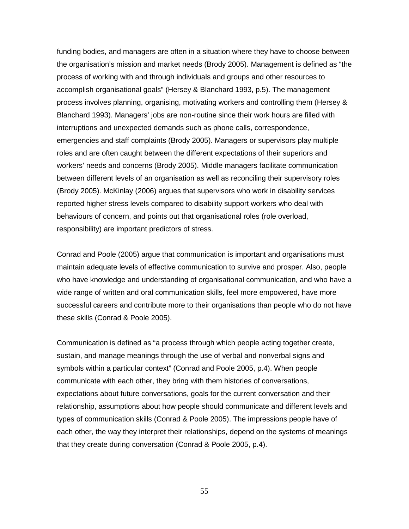funding bodies, and managers are often in a situation where they have to choose between the organisation's mission and market needs (Brody 2005). Management is defined as "the process of working with and through individuals and groups and other resources to accomplish organisational goals" (Hersey & Blanchard 1993, p.5). The management process involves planning, organising, motivating workers and controlling them (Hersey & Blanchard 1993). Managers' jobs are non-routine since their work hours are filled with interruptions and unexpected demands such as phone calls, correspondence, emergencies and staff complaints (Brody 2005). Managers or supervisors play multiple roles and are often caught between the different expectations of their superiors and workers' needs and concerns (Brody 2005). Middle managers facilitate communication between different levels of an organisation as well as reconciling their supervisory roles (Brody 2005). McKinlay (2006) argues that supervisors who work in disability services reported higher stress levels compared to disability support workers who deal with behaviours of concern, and points out that organisational roles (role overload, responsibility) are important predictors of stress.

Conrad and Poole (2005) argue that communication is important and organisations must maintain adequate levels of effective communication to survive and prosper. Also, people who have knowledge and understanding of organisational communication, and who have a wide range of written and oral communication skills, feel more empowered, have more successful careers and contribute more to their organisations than people who do not have these skills (Conrad & Poole 2005).

Communication is defined as "a process through which people acting together create, sustain, and manage meanings through the use of verbal and nonverbal signs and symbols within a particular context" (Conrad and Poole 2005, p.4). When people communicate with each other, they bring with them histories of conversations, expectations about future conversations, goals for the current conversation and their relationship, assumptions about how people should communicate and different levels and types of communication skills (Conrad & Poole 2005). The impressions people have of each other, the way they interpret their relationships, depend on the systems of meanings that they create during conversation (Conrad & Poole 2005, p.4).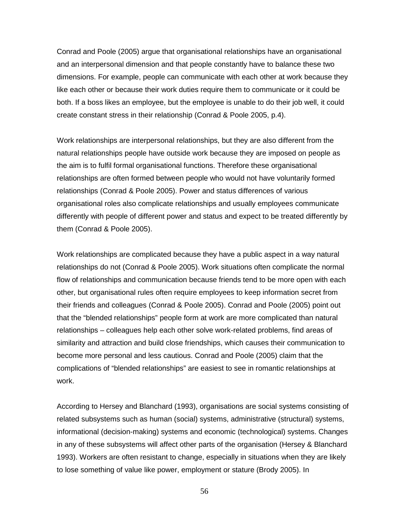Conrad and Poole (2005) argue that organisational relationships have an organisational and an interpersonal dimension and that people constantly have to balance these two dimensions. For example, people can communicate with each other at work because they like each other or because their work duties require them to communicate or it could be both. If a boss likes an employee, but the employee is unable to do their job well, it could create constant stress in their relationship (Conrad & Poole 2005, p.4).

Work relationships are interpersonal relationships, but they are also different from the natural relationships people have outside work because they are imposed on people as the aim is to fulfil formal organisational functions. Therefore these organisational relationships are often formed between people who would not have voluntarily formed relationships (Conrad & Poole 2005). Power and status differences of various organisational roles also complicate relationships and usually employees communicate differently with people of different power and status and expect to be treated differently by them (Conrad & Poole 2005).

Work relationships are complicated because they have a public aspect in a way natural relationships do not (Conrad & Poole 2005). Work situations often complicate the normal flow of relationships and communication because friends tend to be more open with each other, but organisational rules often require employees to keep information secret from their friends and colleagues (Conrad & Poole 2005). Conrad and Poole (2005) point out that the "blended relationships" people form at work are more complicated than natural relationships – colleagues help each other solve work-related problems, find areas of similarity and attraction and build close friendships, which causes their communication to become more personal and less cautious. Conrad and Poole (2005) claim that the complications of "blended relationships" are easiest to see in romantic relationships at work.

According to Hersey and Blanchard (1993), organisations are social systems consisting of related subsystems such as human (social) systems, administrative (structural) systems, informational (decision-making) systems and economic (technological) systems. Changes in any of these subsystems will affect other parts of the organisation (Hersey & Blanchard 1993). Workers are often resistant to change, especially in situations when they are likely to lose something of value like power, employment or stature (Brody 2005). In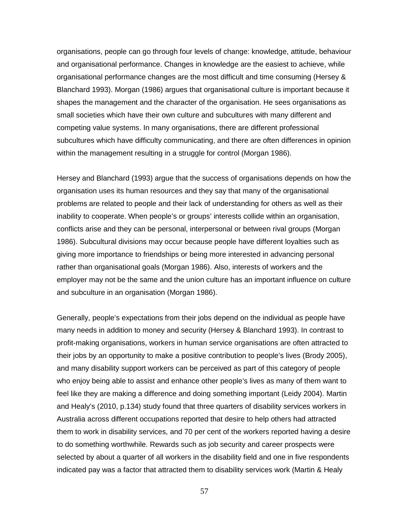organisations, people can go through four levels of change: knowledge, attitude, behaviour and organisational performance. Changes in knowledge are the easiest to achieve, while organisational performance changes are the most difficult and time consuming (Hersey & Blanchard 1993). Morgan (1986) argues that organisational culture is important because it shapes the management and the character of the organisation. He sees organisations as small societies which have their own culture and subcultures with many different and competing value systems. In many organisations, there are different professional subcultures which have difficulty communicating, and there are often differences in opinion within the management resulting in a struggle for control (Morgan 1986).

Hersey and Blanchard (1993) argue that the success of organisations depends on how the organisation uses its human resources and they say that many of the organisational problems are related to people and their lack of understanding for others as well as their inability to cooperate. When people's or groups' interests collide within an organisation, conflicts arise and they can be personal, interpersonal or between rival groups (Morgan 1986). Subcultural divisions may occur because people have different loyalties such as giving more importance to friendships or being more interested in advancing personal rather than organisational goals (Morgan 1986). Also, interests of workers and the employer may not be the same and the union culture has an important influence on culture and subculture in an organisation (Morgan 1986).

Generally, people's expectations from their jobs depend on the individual as people have many needs in addition to money and security (Hersey & Blanchard 1993). In contrast to profit-making organisations, workers in human service organisations are often attracted to their jobs by an opportunity to make a positive contribution to people's lives (Brody 2005), and many disability support workers can be perceived as part of this category of people who enjoy being able to assist and enhance other people's lives as many of them want to feel like they are making a difference and doing something important (Leidy 2004). Martin and Healy's (2010, p.134) study found that three quarters of disability services workers in Australia across different occupations reported that desire to help others had attracted them to work in disability services, and 70 per cent of the workers reported having a desire to do something worthwhile. Rewards such as job security and career prospects were selected by about a quarter of all workers in the disability field and one in five respondents indicated pay was a factor that attracted them to disability services work (Martin & Healy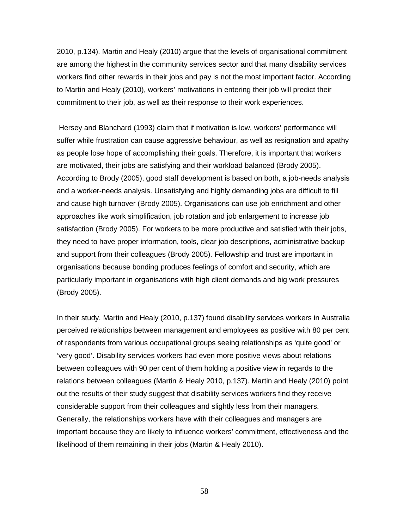2010, p.134). Martin and Healy (2010) argue that the levels of organisational commitment are among the highest in the community services sector and that many disability services workers find other rewards in their jobs and pay is not the most important factor. According to Martin and Healy (2010), workers' motivations in entering their job will predict their commitment to their job, as well as their response to their work experiences.

Hersey and Blanchard (1993) claim that if motivation is low, workers' performance will suffer while frustration can cause aggressive behaviour, as well as resignation and apathy as people lose hope of accomplishing their goals. Therefore, it is important that workers are motivated, their jobs are satisfying and their workload balanced (Brody 2005). According to Brody (2005), good staff development is based on both, a job-needs analysis and a worker-needs analysis. Unsatisfying and highly demanding jobs are difficult to fill and cause high turnover (Brody 2005). Organisations can use job enrichment and other approaches like work simplification, job rotation and job enlargement to increase job satisfaction (Brody 2005). For workers to be more productive and satisfied with their jobs, they need to have proper information, tools, clear job descriptions, administrative backup and support from their colleagues (Brody 2005). Fellowship and trust are important in organisations because bonding produces feelings of comfort and security, which are particularly important in organisations with high client demands and big work pressures (Brody 2005).

In their study, Martin and Healy (2010, p.137) found disability services workers in Australia perceived relationships between management and employees as positive with 80 per cent of respondents from various occupational groups seeing relationships as 'quite good' or 'very good'. Disability services workers had even more positive views about relations between colleagues with 90 per cent of them holding a positive view in regards to the relations between colleagues (Martin & Healy 2010, p.137). Martin and Healy (2010) point out the results of their study suggest that disability services workers find they receive considerable support from their colleagues and slightly less from their managers. Generally, the relationships workers have with their colleagues and managers are important because they are likely to influence workers' commitment, effectiveness and the likelihood of them remaining in their jobs (Martin & Healy 2010).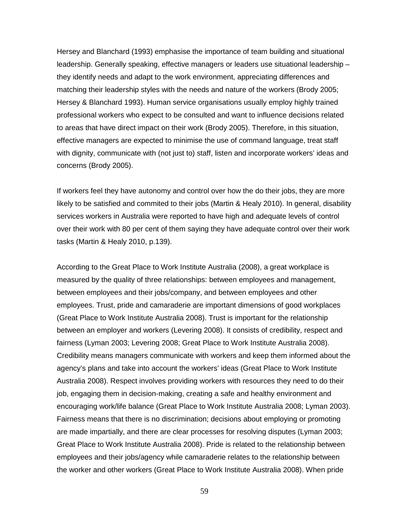Hersey and Blanchard (1993) emphasise the importance of team building and situational leadership. Generally speaking, effective managers or leaders use situational leadership – they identify needs and adapt to the work environment, appreciating differences and matching their leadership styles with the needs and nature of the workers (Brody 2005; Hersey & Blanchard 1993). Human service organisations usually employ highly trained professional workers who expect to be consulted and want to influence decisions related to areas that have direct impact on their work (Brody 2005). Therefore, in this situation, effective managers are expected to minimise the use of command language, treat staff with dignity, communicate with (not just to) staff, listen and incorporate workers' ideas and concerns (Brody 2005).

If workers feel they have autonomy and control over how the do their jobs, they are more likely to be satisfied and commited to their jobs (Martin & Healy 2010). In general, disability services workers in Australia were reported to have high and adequate levels of control over their work with 80 per cent of them saying they have adequate control over their work tasks (Martin & Healy 2010, p.139).

According to the Great Place to Work Institute Australia (2008), a great workplace is measured by the quality of three relationships: between employees and management, between employees and their jobs/company, and between employees and other employees. Trust, pride and camaraderie are important dimensions of good workplaces (Great Place to Work Institute Australia 2008). Trust is important for the relationship between an employer and workers (Levering 2008). It consists of credibility, respect and fairness (Lyman 2003; Levering 2008; Great Place to Work Institute Australia 2008). Credibility means managers communicate with workers and keep them informed about the agency's plans and take into account the workers' ideas (Great Place to Work Institute Australia 2008). Respect involves providing workers with resources they need to do their job, engaging them in decision-making, creating a safe and healthy environment and encouraging work/life balance (Great Place to Work Institute Australia 2008; Lyman 2003). Fairness means that there is no discrimination; decisions about employing or promoting are made impartially, and there are clear processes for resolving disputes (Lyman 2003; Great Place to Work Institute Australia 2008). Pride is related to the relationship between employees and their jobs/agency while camaraderie relates to the relationship between the worker and other workers (Great Place to Work Institute Australia 2008). When pride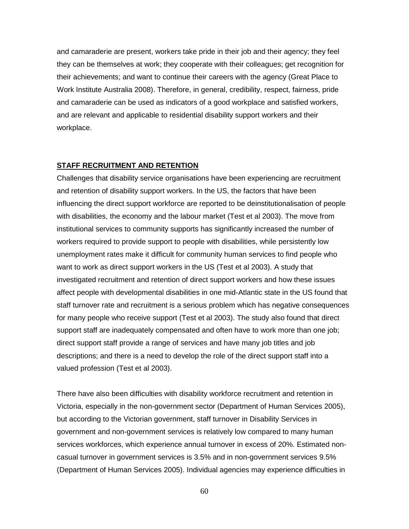and camaraderie are present, workers take pride in their job and their agency; they feel they can be themselves at work; they cooperate with their colleagues; get recognition for their achievements; and want to continue their careers with the agency (Great Place to Work Institute Australia 2008). Therefore, in general, credibility, respect, fairness, pride and camaraderie can be used as indicators of a good workplace and satisfied workers, and are relevant and applicable to residential disability support workers and their workplace.

#### **STAFF RECRUITMENT AND RETENTION**

Challenges that disability service organisations have been experiencing are recruitment and retention of disability support workers. In the US, the factors that have been influencing the direct support workforce are reported to be deinstitutionalisation of people with disabilities, the economy and the labour market (Test et al 2003). The move from institutional services to community supports has significantly increased the number of workers required to provide support to people with disabilities, while persistently low unemployment rates make it difficult for community human services to find people who want to work as direct support workers in the US (Test et al 2003). A study that investigated recruitment and retention of direct support workers and how these issues affect people with developmental disabilities in one mid-Atlantic state in the US found that staff turnover rate and recruitment is a serious problem which has negative consequences for many people who receive support (Test et al 2003). The study also found that direct support staff are inadequately compensated and often have to work more than one job; direct support staff provide a range of services and have many job titles and job descriptions; and there is a need to develop the role of the direct support staff into a valued profession (Test et al 2003).

There have also been difficulties with disability workforce recruitment and retention in Victoria, especially in the non-government sector (Department of Human Services 2005), but according to the Victorian government, staff turnover in Disability Services in government and non-government services is relatively low compared to many human services workforces, which experience annual turnover in excess of 20%. Estimated noncasual turnover in government services is 3.5% and in non-government services 9.5% (Department of Human Services 2005). Individual agencies may experience difficulties in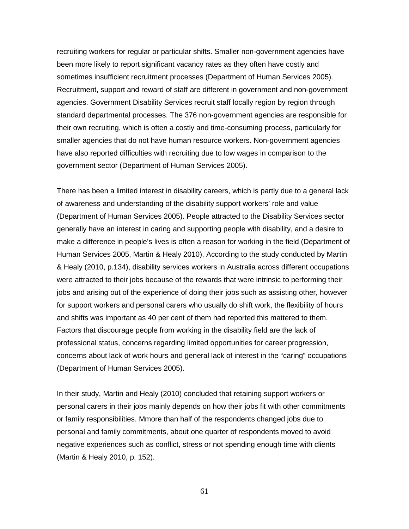recruiting workers for regular or particular shifts. Smaller non-government agencies have been more likely to report significant vacancy rates as they often have costly and sometimes insufficient recruitment processes (Department of Human Services 2005). Recruitment, support and reward of staff are different in government and non-government agencies. Government Disability Services recruit staff locally region by region through standard departmental processes. The 376 non-government agencies are responsible for their own recruiting, which is often a costly and time-consuming process, particularly for smaller agencies that do not have human resource workers. Non-government agencies have also reported difficulties with recruiting due to low wages in comparison to the government sector (Department of Human Services 2005).

There has been a limited interest in disability careers, which is partly due to a general lack of awareness and understanding of the disability support workers' role and value (Department of Human Services 2005). People attracted to the Disability Services sector generally have an interest in caring and supporting people with disability, and a desire to make a difference in people's lives is often a reason for working in the field (Department of Human Services 2005, Martin & Healy 2010). According to the study conducted by Martin & Healy (2010, p.134), disability services workers in Australia across different occupations were attracted to their jobs because of the rewards that were intrinsic to performing their jobs and arising out of the experience of doing their jobs such as assisting other, however for support workers and personal carers who usually do shift work, the flexibility of hours and shifts was important as 40 per cent of them had reported this mattered to them. Factors that discourage people from working in the disability field are the lack of professional status, concerns regarding limited opportunities for career progression, concerns about lack of work hours and general lack of interest in the "caring" occupations (Department of Human Services 2005).

In their study, Martin and Healy (2010) concluded that retaining support workers or personal carers in their jobs mainly depends on how their jobs fit with other commitments or family responsibilities. Mmore than half of the respondents changed jobs due to personal and family commitments, about one quarter of respondents moved to avoid negative experiences such as conflict, stress or not spending enough time with clients (Martin & Healy 2010, p. 152).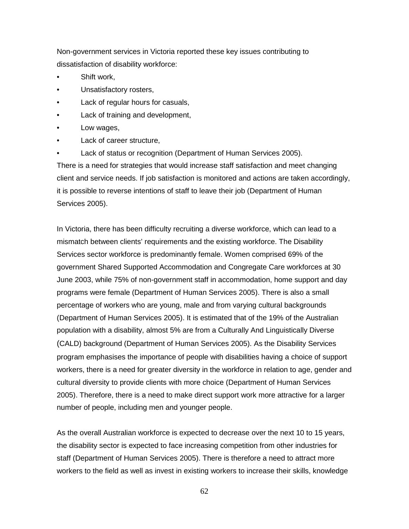Non-government services in Victoria reported these key issues contributing to dissatisfaction of disability workforce:

- Shift work,
- Unsatisfactory rosters,
- Lack of regular hours for casuals,
- Lack of training and development,
- Low wages,
- Lack of career structure,
- Lack of status or recognition (Department of Human Services 2005).

There is a need for strategies that would increase staff satisfaction and meet changing client and service needs. If job satisfaction is monitored and actions are taken accordingly, it is possible to reverse intentions of staff to leave their job (Department of Human Services 2005).

In Victoria, there has been difficulty recruiting a diverse workforce, which can lead to a mismatch between clients' requirements and the existing workforce. The Disability Services sector workforce is predominantly female. Women comprised 69% of the government Shared Supported Accommodation and Congregate Care workforces at 30 June 2003, while 75% of non-government staff in accommodation, home support and day programs were female (Department of Human Services 2005). There is also a small percentage of workers who are young, male and from varying cultural backgrounds (Department of Human Services 2005). It is estimated that of the 19% of the Australian population with a disability, almost 5% are from a Culturally And Linguistically Diverse (CALD) background (Department of Human Services 2005). As the Disability Services program emphasises the importance of people with disabilities having a choice of support workers, there is a need for greater diversity in the workforce in relation to age, gender and cultural diversity to provide clients with more choice (Department of Human Services 2005). Therefore, there is a need to make direct support work more attractive for a larger number of people, including men and younger people.

As the overall Australian workforce is expected to decrease over the next 10 to 15 years, the disability sector is expected to face increasing competition from other industries for staff (Department of Human Services 2005). There is therefore a need to attract more workers to the field as well as invest in existing workers to increase their skills, knowledge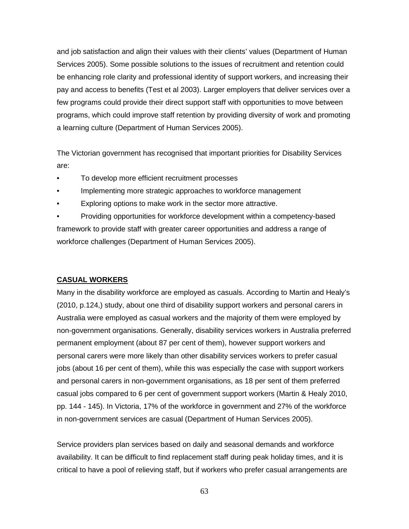and job satisfaction and align their values with their clients' values (Department of Human Services 2005). Some possible solutions to the issues of recruitment and retention could be enhancing role clarity and professional identity of support workers, and increasing their pay and access to benefits (Test et al 2003). Larger employers that deliver services over a few programs could provide their direct support staff with opportunities to move between programs, which could improve staff retention by providing diversity of work and promoting a learning culture (Department of Human Services 2005).

The Victorian government has recognised that important priorities for Disability Services are:

- To develop more efficient recruitment processes
- Implementing more strategic approaches to workforce management
- Exploring options to make work in the sector more attractive.

• Providing opportunities for workforce development within a competency-based framework to provide staff with greater career opportunities and address a range of workforce challenges (Department of Human Services 2005).

# **CASUAL WORKERS**

Many in the disability workforce are employed as casuals. According to Martin and Healy's (2010, p.124,) study, about one third of disability support workers and personal carers in Australia were employed as casual workers and the majority of them were employed by non-government organisations. Generally, disability services workers in Australia preferred permanent employment (about 87 per cent of them), however support workers and personal carers were more likely than other disability services workers to prefer casual jobs (about 16 per cent of them), while this was especially the case with support workers and personal carers in non-government organisations, as 18 per sent of them preferred casual jobs compared to 6 per cent of government support workers (Martin & Healy 2010, pp. 144 - 145). In Victoria, 17% of the workforce in government and 27% of the workforce in non-government services are casual (Department of Human Services 2005).

Service providers plan services based on daily and seasonal demands and workforce availability. It can be difficult to find replacement staff during peak holiday times, and it is critical to have a pool of relieving staff, but if workers who prefer casual arrangements are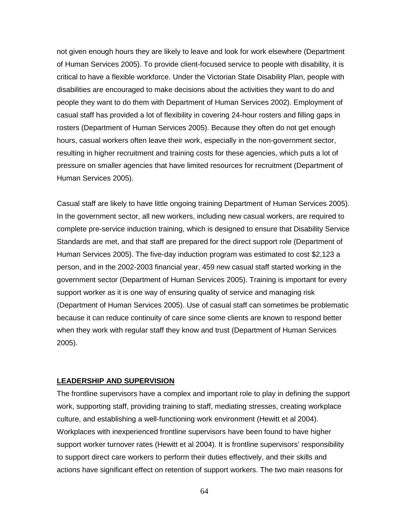not given enough hours they are likely to leave and look for work elsewhere (Department of Human Services 2005). To provide client-focused service to people with disability, it is critical to have a flexible workforce. Under the Victorian State Disability Plan, people with disabilities are encouraged to make decisions about the activities they want to do and people they want to do them with Department of Human Services 2002). Employment of casual staff has provided a lot of flexibility in covering 24-hour rosters and filling gaps in rosters (Department of Human Services 2005). Because they often do not get enough hours, casual workers often leave their work, especially in the non-government sector, resulting in higher recruitment and training costs for these agencies, which puts a lot of pressure on smaller agencies that have limited resources for recruitment (Department of Human Services 2005).

Casual staff are likely to have little ongoing training Department of Human Services 2005). In the government sector, all new workers, including new casual workers, are required to complete pre-service induction training, which is designed to ensure that Disability Service Standards are met, and that staff are prepared for the direct support role (Department of Human Services 2005). The five-day induction program was estimated to cost \$2,123 a person, and in the 2002-2003 financial year, 459 new casual staff started working in the government sector (Department of Human Services 2005). Training is important for every support worker as it is one way of ensuring quality of service and managing risk (Department of Human Services 2005). Use of casual staff can sometimes be problematic because it can reduce continuity of care since some clients are known to respond better when they work with regular staff they know and trust (Department of Human Services 2005).

#### **LEADERSHIP AND SUPERVISION**

The frontline supervisors have a complex and important role to play in defining the support work, supporting staff, providing training to staff, mediating stresses, creating workplace culture, and establishing a well-functioning work environment (Hewitt et al 2004). Workplaces with inexperienced frontline supervisors have been found to have higher support worker turnover rates (Hewitt et al 2004). It is frontline supervisors' responsibility to support direct care workers to perform their duties effectively, and their skills and actions have significant effect on retention of support workers. The two main reasons for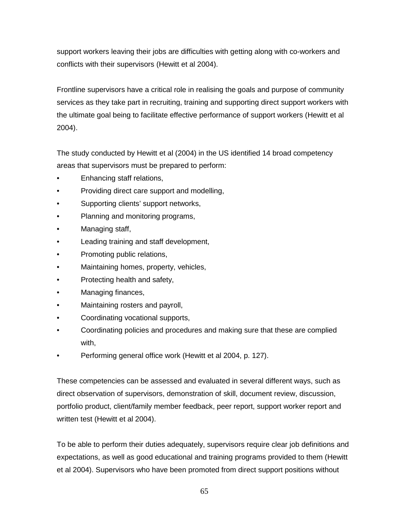support workers leaving their jobs are difficulties with getting along with co-workers and conflicts with their supervisors (Hewitt et al 2004).

Frontline supervisors have a critical role in realising the goals and purpose of community services as they take part in recruiting, training and supporting direct support workers with the ultimate goal being to facilitate effective performance of support workers (Hewitt et al 2004).

The study conducted by Hewitt et al (2004) in the US identified 14 broad competency areas that supervisors must be prepared to perform:

- Enhancing staff relations,
- Providing direct care support and modelling,
- Supporting clients' support networks,
- Planning and monitoring programs,
- Managing staff,
- Leading training and staff development,
- Promoting public relations,
- Maintaining homes, property, vehicles,
- Protecting health and safety,
- Managing finances,
- Maintaining rosters and payroll,
- Coordinating vocational supports,
- Coordinating policies and procedures and making sure that these are complied with,
- Performing general office work (Hewitt et al 2004, p. 127).

These competencies can be assessed and evaluated in several different ways, such as direct observation of supervisors, demonstration of skill, document review, discussion, portfolio product, client/family member feedback, peer report, support worker report and written test (Hewitt et al 2004).

To be able to perform their duties adequately, supervisors require clear job definitions and expectations, as well as good educational and training programs provided to them (Hewitt et al 2004). Supervisors who have been promoted from direct support positions without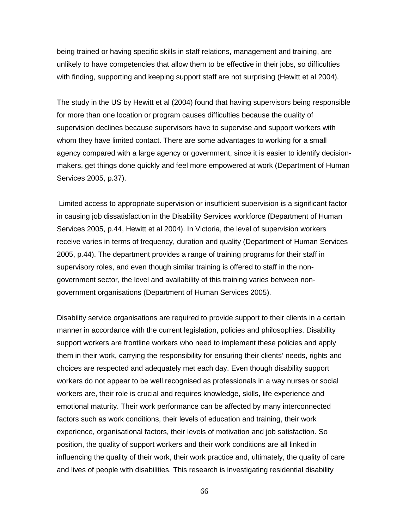being trained or having specific skills in staff relations, management and training, are unlikely to have competencies that allow them to be effective in their jobs, so difficulties with finding, supporting and keeping support staff are not surprising (Hewitt et al 2004).

The study in the US by Hewitt et al (2004) found that having supervisors being responsible for more than one location or program causes difficulties because the quality of supervision declines because supervisors have to supervise and support workers with whom they have limited contact. There are some advantages to working for a small agency compared with a large agency or government, since it is easier to identify decisionmakers, get things done quickly and feel more empowered at work (Department of Human Services 2005, p.37).

Limited access to appropriate supervision or insufficient supervision is a significant factor in causing job dissatisfaction in the Disability Services workforce (Department of Human Services 2005, p.44, Hewitt et al 2004). In Victoria, the level of supervision workers receive varies in terms of frequency, duration and quality (Department of Human Services 2005, p.44). The department provides a range of training programs for their staff in supervisory roles, and even though similar training is offered to staff in the nongovernment sector, the level and availability of this training varies between nongovernment organisations (Department of Human Services 2005).

Disability service organisations are required to provide support to their clients in a certain manner in accordance with the current legislation, policies and philosophies. Disability support workers are frontline workers who need to implement these policies and apply them in their work, carrying the responsibility for ensuring their clients' needs, rights and choices are respected and adequately met each day. Even though disability support workers do not appear to be well recognised as professionals in a way nurses or social workers are, their role is crucial and requires knowledge, skills, life experience and emotional maturity. Their work performance can be affected by many interconnected factors such as work conditions, their levels of education and training, their work experience, organisational factors, their levels of motivation and job satisfaction. So position, the quality of support workers and their work conditions are all linked in influencing the quality of their work, their work practice and, ultimately, the quality of care and lives of people with disabilities. This research is investigating residential disability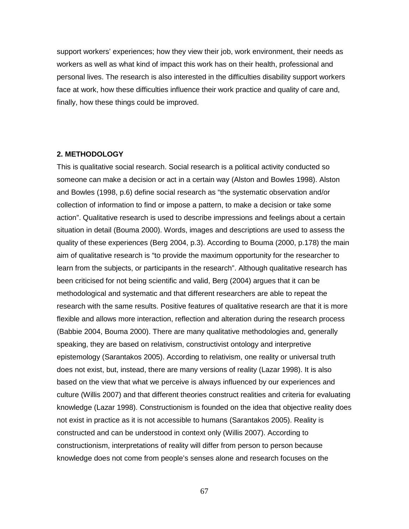support workers' experiences; how they view their job, work environment, their needs as workers as well as what kind of impact this work has on their health, professional and personal lives. The research is also interested in the difficulties disability support workers face at work, how these difficulties influence their work practice and quality of care and, finally, how these things could be improved.

# **2. METHODOLOGY**

This is qualitative social research. Social research is a political activity conducted so someone can make a decision or act in a certain way (Alston and Bowles 1998). Alston and Bowles (1998, p.6) define social research as "the systematic observation and/or collection of information to find or impose a pattern, to make a decision or take some action". Qualitative research is used to describe impressions and feelings about a certain situation in detail (Bouma 2000). Words, images and descriptions are used to assess the quality of these experiences (Berg 2004, p.3). According to Bouma (2000, p.178) the main aim of qualitative research is "to provide the maximum opportunity for the researcher to learn from the subjects, or participants in the research". Although qualitative research has been criticised for not being scientific and valid, Berg (2004) argues that it can be methodological and systematic and that different researchers are able to repeat the research with the same results. Positive features of qualitative research are that it is more flexible and allows more interaction, reflection and alteration during the research process (Babbie 2004, Bouma 2000). There are many qualitative methodologies and, generally speaking, they are based on relativism, constructivist ontology and interpretive epistemology (Sarantakos 2005). According to relativism, one reality or universal truth does not exist, but, instead, there are many versions of reality (Lazar 1998). It is also based on the view that what we perceive is always influenced by our experiences and culture (Willis 2007) and that different theories construct realities and criteria for evaluating knowledge (Lazar 1998). Constructionism is founded on the idea that objective reality does not exist in practice as it is not accessible to humans (Sarantakos 2005). Reality is constructed and can be understood in context only (Willis 2007). According to constructionism, interpretations of reality will differ from person to person because knowledge does not come from people's senses alone and research focuses on the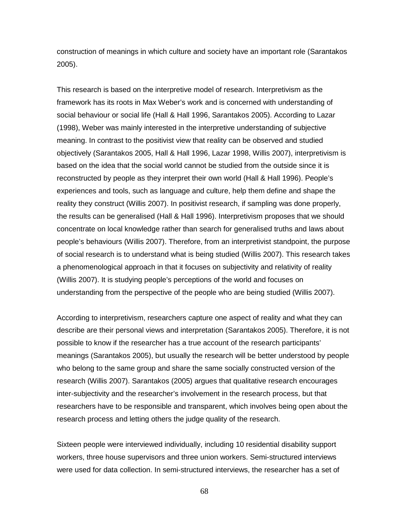construction of meanings in which culture and society have an important role (Sarantakos 2005).

This research is based on the interpretive model of research. Interpretivism as the framework has its roots in Max Weber's work and is concerned with understanding of social behaviour or social life (Hall & Hall 1996, Sarantakos 2005). According to Lazar (1998), Weber was mainly interested in the interpretive understanding of subjective meaning. In contrast to the positivist view that reality can be observed and studied objectively (Sarantakos 2005, Hall & Hall 1996, Lazar 1998, Willis 2007), interpretivism is based on the idea that the social world cannot be studied from the outside since it is reconstructed by people as they interpret their own world (Hall & Hall 1996). People's experiences and tools, such as language and culture, help them define and shape the reality they construct (Willis 2007). In positivist research, if sampling was done properly, the results can be generalised (Hall & Hall 1996). Interpretivism proposes that we should concentrate on local knowledge rather than search for generalised truths and laws about people's behaviours (Willis 2007). Therefore, from an interpretivist standpoint, the purpose of social research is to understand what is being studied (Willis 2007). This research takes a phenomenological approach in that it focuses on subjectivity and relativity of reality (Willis 2007). It is studying people's perceptions of the world and focuses on understanding from the perspective of the people who are being studied (Willis 2007).

According to interpretivism, researchers capture one aspect of reality and what they can describe are their personal views and interpretation (Sarantakos 2005). Therefore, it is not possible to know if the researcher has a true account of the research participants' meanings (Sarantakos 2005), but usually the research will be better understood by people who belong to the same group and share the same socially constructed version of the research (Willis 2007). Sarantakos (2005) argues that qualitative research encourages inter-subjectivity and the researcher's involvement in the research process, but that researchers have to be responsible and transparent, which involves being open about the research process and letting others the judge quality of the research.

Sixteen people were interviewed individually, including 10 residential disability support workers, three house supervisors and three union workers. Semi-structured interviews were used for data collection. In semi-structured interviews, the researcher has a set of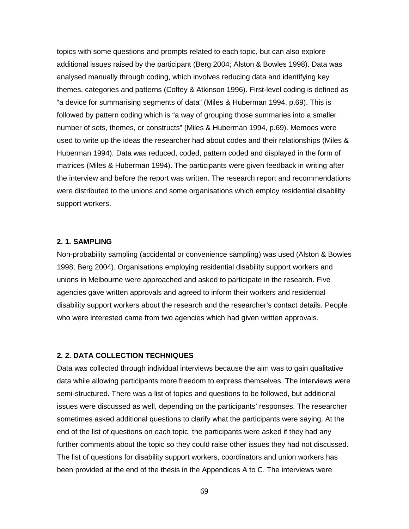topics with some questions and prompts related to each topic, but can also explore additional issues raised by the participant (Berg 2004; Alston & Bowles 1998). Data was analysed manually through coding, which involves reducing data and identifying key themes, categories and patterns (Coffey & Atkinson 1996). First-level coding is defined as "a device for summarising segments of data" (Miles & Huberman 1994, p.69). This is followed by pattern coding which is "a way of grouping those summaries into a smaller number of sets, themes, or constructs" (Miles & Huberman 1994, p.69). Memoes were used to write up the ideas the researcher had about codes and their relationships (Miles & Huberman 1994). Data was reduced, coded, pattern coded and displayed in the form of matrices (Miles & Huberman 1994). The participants were given feedback in writing after the interview and before the report was written. The research report and recommendations were distributed to the unions and some organisations which employ residential disability support workers.

### **2. 1. SAMPLING**

Non-probability sampling (accidental or convenience sampling) was used (Alston & Bowles 1998; Berg 2004). Organisations employing residential disability support workers and unions in Melbourne were approached and asked to participate in the research. Five agencies gave written approvals and agreed to inform their workers and residential disability support workers about the research and the researcher's contact details. People who were interested came from two agencies which had given written approvals.

# **2. 2. DATA COLLECTION TECHNIQUES**

Data was collected through individual interviews because the aim was to gain qualitative data while allowing participants more freedom to express themselves. The interviews were semi-structured. There was a list of topics and questions to be followed, but additional issues were discussed as well, depending on the participants' responses. The researcher sometimes asked additional questions to clarify what the participants were saying. At the end of the list of questions on each topic, the participants were asked if they had any further comments about the topic so they could raise other issues they had not discussed. The list of questions for disability support workers, coordinators and union workers has been provided at the end of the thesis in the Appendices A to C. The interviews were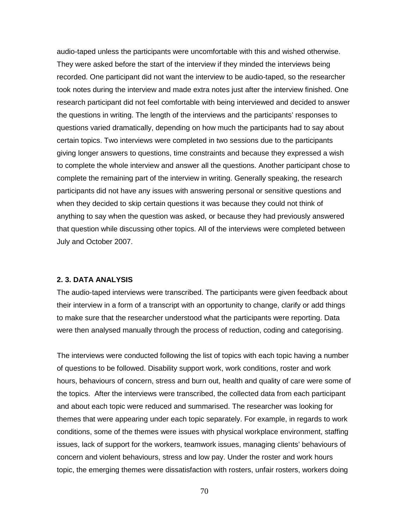audio-taped unless the participants were uncomfortable with this and wished otherwise. They were asked before the start of the interview if they minded the interviews being recorded. One participant did not want the interview to be audio-taped, so the researcher took notes during the interview and made extra notes just after the interview finished. One research participant did not feel comfortable with being interviewed and decided to answer the questions in writing. The length of the interviews and the participants' responses to questions varied dramatically, depending on how much the participants had to say about certain topics. Two interviews were completed in two sessions due to the participants giving longer answers to questions, time constraints and because they expressed a wish to complete the whole interview and answer all the questions. Another participant chose to complete the remaining part of the interview in writing. Generally speaking, the research participants did not have any issues with answering personal or sensitive questions and when they decided to skip certain questions it was because they could not think of anything to say when the question was asked, or because they had previously answered that question while discussing other topics. All of the interviews were completed between July and October 2007.

### **2. 3. DATA ANALYSIS**

The audio-taped interviews were transcribed. The participants were given feedback about their interview in a form of a transcript with an opportunity to change, clarify or add things to make sure that the researcher understood what the participants were reporting. Data were then analysed manually through the process of reduction, coding and categorising.

The interviews were conducted following the list of topics with each topic having a number of questions to be followed. Disability support work, work conditions, roster and work hours, behaviours of concern, stress and burn out, health and quality of care were some of the topics. After the interviews were transcribed, the collected data from each participant and about each topic were reduced and summarised. The researcher was looking for themes that were appearing under each topic separately. For example, in regards to work conditions, some of the themes were issues with physical workplace environment, staffing issues, lack of support for the workers, teamwork issues, managing clients' behaviours of concern and violent behaviours, stress and low pay. Under the roster and work hours topic, the emerging themes were dissatisfaction with rosters, unfair rosters, workers doing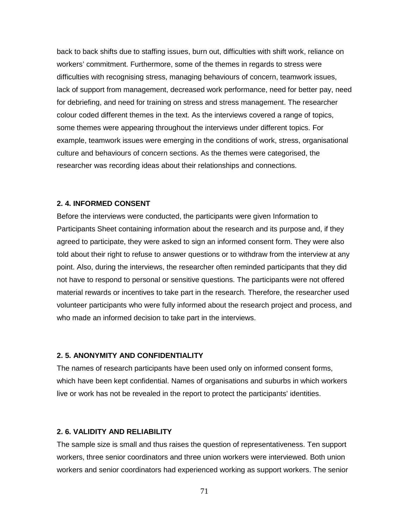back to back shifts due to staffing issues, burn out, difficulties with shift work, reliance on workers' commitment. Furthermore, some of the themes in regards to stress were difficulties with recognising stress, managing behaviours of concern, teamwork issues, lack of support from management, decreased work performance, need for better pay, need for debriefing, and need for training on stress and stress management. The researcher colour coded different themes in the text. As the interviews covered a range of topics, some themes were appearing throughout the interviews under different topics. For example, teamwork issues were emerging in the conditions of work, stress, organisational culture and behaviours of concern sections. As the themes were categorised, the researcher was recording ideas about their relationships and connections.

### **2. 4. INFORMED CONSENT**

Before the interviews were conducted, the participants were given Information to Participants Sheet containing information about the research and its purpose and, if they agreed to participate, they were asked to sign an informed consent form. They were also told about their right to refuse to answer questions or to withdraw from the interview at any point. Also, during the interviews, the researcher often reminded participants that they did not have to respond to personal or sensitive questions. The participants were not offered material rewards or incentives to take part in the research. Therefore, the researcher used volunteer participants who were fully informed about the research project and process, and who made an informed decision to take part in the interviews.

# **2. 5. ANONYMITY AND CONFIDENTIALITY**

The names of research participants have been used only on informed consent forms, which have been kept confidential. Names of organisations and suburbs in which workers live or work has not be revealed in the report to protect the participants' identities.

## **2. 6. VALIDITY AND RELIABILITY**

The sample size is small and thus raises the question of representativeness. Ten support workers, three senior coordinators and three union workers were interviewed. Both union workers and senior coordinators had experienced working as support workers. The senior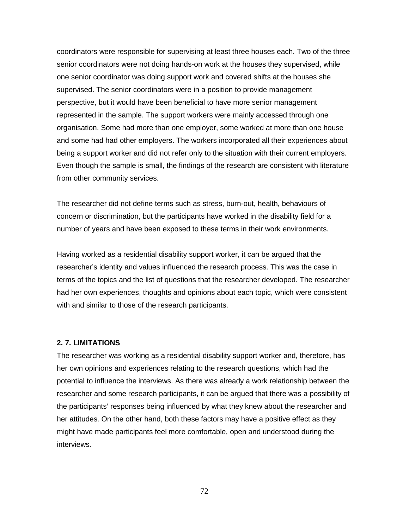coordinators were responsible for supervising at least three houses each. Two of the three senior coordinators were not doing hands-on work at the houses they supervised, while one senior coordinator was doing support work and covered shifts at the houses she supervised. The senior coordinators were in a position to provide management perspective, but it would have been beneficial to have more senior management represented in the sample. The support workers were mainly accessed through one organisation. Some had more than one employer, some worked at more than one house and some had had other employers. The workers incorporated all their experiences about being a support worker and did not refer only to the situation with their current employers. Even though the sample is small, the findings of the research are consistent with literature from other community services.

The researcher did not define terms such as stress, burn-out, health, behaviours of concern or discrimination, but the participants have worked in the disability field for a number of years and have been exposed to these terms in their work environments.

Having worked as a residential disability support worker, it can be argued that the researcher's identity and values influenced the research process. This was the case in terms of the topics and the list of questions that the researcher developed. The researcher had her own experiences, thoughts and opinions about each topic, which were consistent with and similar to those of the research participants.

## **2. 7. LIMITATIONS**

The researcher was working as a residential disability support worker and, therefore, has her own opinions and experiences relating to the research questions, which had the potential to influence the interviews. As there was already a work relationship between the researcher and some research participants, it can be argued that there was a possibility of the participants' responses being influenced by what they knew about the researcher and her attitudes. On the other hand, both these factors may have a positive effect as they might have made participants feel more comfortable, open and understood during the interviews.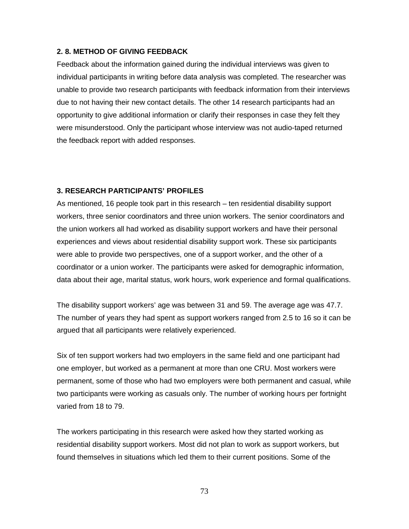#### **2. 8. METHOD OF GIVING FEEDBACK**

Feedback about the information gained during the individual interviews was given to individual participants in writing before data analysis was completed. The researcher was unable to provide two research participants with feedback information from their interviews due to not having their new contact details. The other 14 research participants had an opportunity to give additional information or clarify their responses in case they felt they were misunderstood. Only the participant whose interview was not audio-taped returned the feedback report with added responses.

#### **3. RESEARCH PARTICIPANTS' PROFILES**

As mentioned, 16 people took part in this research – ten residential disability support workers, three senior coordinators and three union workers. The senior coordinators and the union workers all had worked as disability support workers and have their personal experiences and views about residential disability support work. These six participants were able to provide two perspectives, one of a support worker, and the other of a coordinator or a union worker. The participants were asked for demographic information, data about their age, marital status, work hours, work experience and formal qualifications.

The disability support workers' age was between 31 and 59. The average age was 47.7. The number of years they had spent as support workers ranged from 2.5 to 16 so it can be argued that all participants were relatively experienced.

Six of ten support workers had two employers in the same field and one participant had one employer, but worked as a permanent at more than one CRU. Most workers were permanent, some of those who had two employers were both permanent and casual, while two participants were working as casuals only. The number of working hours per fortnight varied from 18 to 79.

The workers participating in this research were asked how they started working as residential disability support workers. Most did not plan to work as support workers, but found themselves in situations which led them to their current positions. Some of the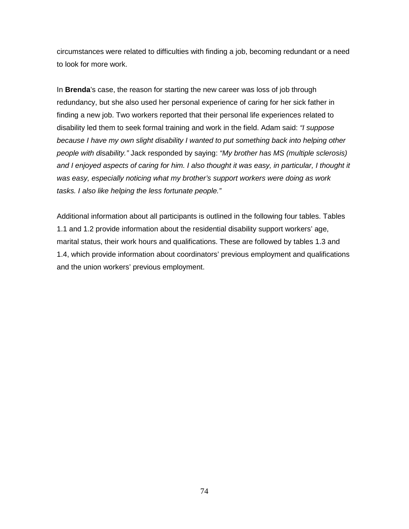circumstances were related to difficulties with finding a job, becoming redundant or a need to look for more work.

In **Brenda**'s case, the reason for starting the new career was loss of job through redundancy, but she also used her personal experience of caring for her sick father in finding a new job. Two workers reported that their personal life experiences related to disability led them to seek formal training and work in the field. Adam said: *"I suppose because I have my own slight disability I wanted to put something back into helping other people with disability."* Jack responded by saying: *"My brother has MS (multiple sclerosis) and I enjoyed aspects of caring for him. I also thought it was easy, in particular, I thought it was easy, especially noticing what my brother's support workers were doing as work tasks. I also like helping the less fortunate people."*

Additional information about all participants is outlined in the following four tables. Tables 1.1 and 1.2 provide information about the residential disability support workers' age, marital status, their work hours and qualifications. These are followed by tables 1.3 and 1.4, which provide information about coordinators' previous employment and qualifications and the union workers' previous employment.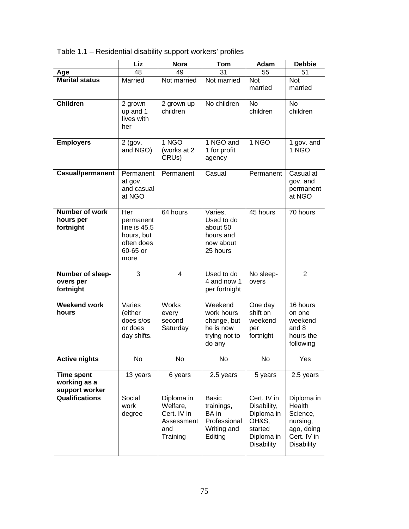Table 1.1 – Residential disability support workers' profiles

|                                                     | Liz                                                                                | <b>Nora</b>                                                            | Tom                                                                           | Adam                                                                                            | <b>Debbie</b>                                                                                  |
|-----------------------------------------------------|------------------------------------------------------------------------------------|------------------------------------------------------------------------|-------------------------------------------------------------------------------|-------------------------------------------------------------------------------------------------|------------------------------------------------------------------------------------------------|
| Age                                                 | 48                                                                                 | 49                                                                     | 31                                                                            | 55                                                                                              | 51                                                                                             |
| <b>Marital status</b>                               | Married                                                                            | Not married                                                            | Not married                                                                   | Not<br>married                                                                                  | <b>Not</b><br>married                                                                          |
| <b>Children</b>                                     | 2 grown<br>up and 1<br>lives with<br>her                                           | 2 grown up<br>children                                                 | No children                                                                   | <b>No</b><br>children                                                                           | No<br>children                                                                                 |
| <b>Employers</b>                                    | $2$ (gov.<br>and NGO)                                                              | 1 NGO<br>(works at 2<br>CRU <sub>s</sub> )                             | 1 NGO and<br>1 for profit<br>agency                                           | 1 NGO                                                                                           | 1 gov. and<br>1 NGO                                                                            |
| <b>Casual/permanent</b>                             | Permanent<br>at gov.<br>and casual<br>at NGO                                       | Permanent                                                              | Casual                                                                        | Permanent                                                                                       | Casual at<br>gov. and<br>permanent<br>at NGO                                                   |
| <b>Number of work</b><br>hours per<br>fortnight     | Her<br>permanent<br>line is $45.5$<br>hours, but<br>often does<br>60-65 or<br>more | 64 hours                                                               | Varies.<br>Used to do<br>about 50<br>hours and<br>now about<br>25 hours       | 45 hours                                                                                        | 70 hours                                                                                       |
| Number of sleep-<br>overs per<br>fortnight          | 3                                                                                  | $\overline{\mathbf{4}}$                                                | Used to do<br>4 and now 1<br>per fortnight                                    | No sleep-<br>overs                                                                              | $\overline{2}$                                                                                 |
| <b>Weekend work</b><br>hours                        | Varies<br>(either<br>does s/os<br>or does<br>day shifts.                           | Works<br>every<br>second<br>Saturday                                   | Weekend<br>work hours<br>change, but<br>he is now<br>trying not to<br>do any  | One day<br>shift on<br>weekend<br>per<br>fortnight                                              | 16 hours<br>on one<br>weekend<br>and 8<br>hours the<br>following                               |
| Active nights                                       | No.                                                                                | No                                                                     | NO.                                                                           | N0                                                                                              | Yes                                                                                            |
| <b>Time spent</b><br>working as a<br>support worker | 13 years                                                                           | 6 years                                                                | 2.5 years                                                                     | 5 years                                                                                         | 2.5 years                                                                                      |
| <b>Qualifications</b>                               | Social<br>work<br>degree                                                           | Diploma in<br>Welfare,<br>Cert. IV in<br>Assessment<br>and<br>Training | <b>Basic</b><br>trainings,<br>BA in<br>Professional<br>Writing and<br>Editing | Cert. IV in<br>Disability,<br>Diploma in<br>OH&S,<br>started<br>Diploma in<br><b>Disability</b> | Diploma in<br>Health<br>Science,<br>nursing,<br>ago, doing<br>Cert. IV in<br><b>Disability</b> |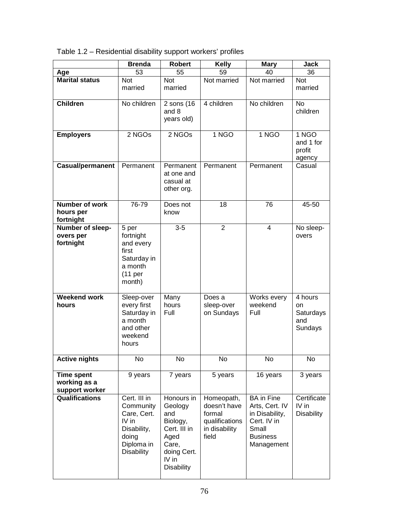| Table 1.2 - Residential disability support workers' profiles |  |  |  |  |
|--------------------------------------------------------------|--|--|--|--|
|--------------------------------------------------------------|--|--|--|--|

|                                                     | <b>Brenda</b>                                                                                                | <b>Robert</b>                                                                                                          | <b>Kelly</b>                                                                     | <b>Mary</b>                                                                                                    | <b>Jack</b>                                  |
|-----------------------------------------------------|--------------------------------------------------------------------------------------------------------------|------------------------------------------------------------------------------------------------------------------------|----------------------------------------------------------------------------------|----------------------------------------------------------------------------------------------------------------|----------------------------------------------|
| Age                                                 | 53                                                                                                           | 55                                                                                                                     | 59                                                                               | 40                                                                                                             | 36                                           |
| <b>Marital status</b>                               | <b>Not</b><br>married                                                                                        | Not<br>married                                                                                                         | Not married                                                                      | Not married                                                                                                    | Not<br>married                               |
| <b>Children</b>                                     | No children                                                                                                  | 2 sons (16)<br>and 8<br>years old)                                                                                     | 4 children                                                                       | No children                                                                                                    | <b>No</b><br>children                        |
| <b>Employers</b>                                    | 2 NGOs                                                                                                       | $2$ NGOs                                                                                                               | 1 NGO                                                                            | 1 NGO                                                                                                          | 1 NGO<br>and 1 for<br>profit<br>agency       |
| <b>Casual/permanent</b>                             | Permanent                                                                                                    | Permanent<br>at one and<br>casual at<br>other org.                                                                     | Permanent                                                                        | Permanent                                                                                                      | Casual                                       |
| <b>Number of work</b><br>hours per<br>fortnight     | 76-79                                                                                                        | Does not<br>know                                                                                                       | 18                                                                               | 76                                                                                                             | 45-50                                        |
| Number of sleep-<br>overs per<br>fortnight          | 5 per<br>fortnight<br>and every<br>first<br>Saturday in<br>a month<br>(11 <sub>per</sub> )<br>month)         | $3-5$                                                                                                                  | $\overline{2}$                                                                   | $\overline{4}$                                                                                                 | No sleep-<br>overs                           |
| <b>Weekend work</b><br>hours                        | Sleep-over<br>every first<br>Saturday in<br>a month<br>and other<br>weekend<br>hours                         | Many<br>hours<br>Full                                                                                                  | Does a<br>sleep-over<br>on Sundays                                               | Works every<br>weekend<br>Full                                                                                 | 4 hours<br>on<br>Saturdays<br>and<br>Sundays |
| <b>Active nights</b>                                | No                                                                                                           | No                                                                                                                     | No                                                                               | No                                                                                                             | No                                           |
| <b>Time spent</b><br>working as a<br>support worker | 9 years                                                                                                      | 7 years                                                                                                                | 5 years                                                                          | 16 years                                                                                                       | 3 years                                      |
| <b>Qualifications</b>                               | Cert. III in<br>Community<br>Care, Cert.<br>IV in<br>Disability,<br>doing<br>Diploma in<br><b>Disability</b> | Honours in<br>Geology<br>and<br>Biology,<br>Cert. III in<br>Aged<br>Care,<br>doing Cert.<br>IV in<br><b>Disability</b> | Homeopath,<br>doesn't have<br>formal<br>qualifications<br>in disability<br>field | <b>BA</b> in Fine<br>Arts, Cert. IV<br>in Disability,<br>Cert. IV in<br>Small<br><b>Business</b><br>Management | Certificate<br>$IV$ in<br><b>Disability</b>  |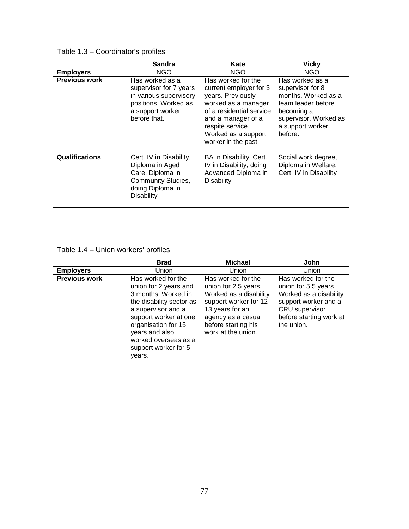## Table 1.3 – Coordinator's profiles

|                       | <b>Sandra</b>                                                                                                                   | Kate                                                                                                                                                                                                         | <b>Vicky</b>                                                                                                                                           |
|-----------------------|---------------------------------------------------------------------------------------------------------------------------------|--------------------------------------------------------------------------------------------------------------------------------------------------------------------------------------------------------------|--------------------------------------------------------------------------------------------------------------------------------------------------------|
| <b>Employers</b>      | NGO.                                                                                                                            | <b>NGO</b>                                                                                                                                                                                                   | NGO                                                                                                                                                    |
| <b>Previous work</b>  | Has worked as a<br>supervisor for 7 years<br>in various supervisory<br>positions. Worked as<br>a support worker<br>before that. | Has worked for the<br>current employer for 3<br>years. Previously<br>worked as a manager<br>of a residential service<br>and a manager of a<br>respite service.<br>Worked as a support<br>worker in the past. | Has worked as a<br>supervisor for 8<br>months. Worked as a<br>team leader before<br>becoming a<br>supervisor. Worked as<br>a support worker<br>before. |
| <b>Qualifications</b> | Cert. IV in Disability,<br>Diploma in Aged<br>Care, Diploma in<br>Community Studies,<br>doing Diploma in<br><b>Disability</b>   | BA in Disability, Cert.<br>IV in Disability, doing<br>Advanced Diploma in<br>Disability                                                                                                                      | Social work degree,<br>Diploma in Welfare,<br>Cert. IV in Disability                                                                                   |

## Table 1.4 – Union workers' profiles

|                      | <b>Brad</b>                                                                                                                                                                                                                                      | <b>Michael</b>                                                                                                                                                                       | John                                                                                                                                                    |
|----------------------|--------------------------------------------------------------------------------------------------------------------------------------------------------------------------------------------------------------------------------------------------|--------------------------------------------------------------------------------------------------------------------------------------------------------------------------------------|---------------------------------------------------------------------------------------------------------------------------------------------------------|
| <b>Employers</b>     | Union                                                                                                                                                                                                                                            | Union                                                                                                                                                                                | Union                                                                                                                                                   |
| <b>Previous work</b> | Has worked for the<br>union for 2 years and<br>3 months. Worked in<br>the disability sector as<br>a supervisor and a<br>support worker at one<br>organisation for 15<br>years and also<br>worked overseas as a<br>support worker for 5<br>years. | Has worked for the<br>union for 2.5 years.<br>Worked as a disability<br>support worker for 12-<br>13 years for an<br>agency as a casual<br>before starting his<br>work at the union. | Has worked for the<br>union for 5.5 years.<br>Worked as a disability<br>support worker and a<br>CRU supervisor<br>before starting work at<br>the union. |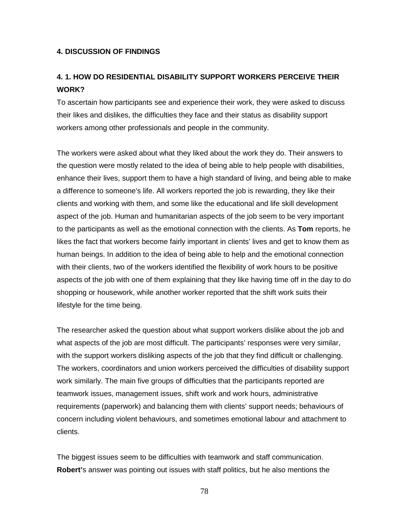#### **4. DISCUSSION OF FINDINGS**

# **4. 1. HOW DO RESIDENTIAL DISABILITY SUPPORT WORKERS PERCEIVE THEIR WORK?**

To ascertain how participants see and experience their work, they were asked to discuss their likes and dislikes, the difficulties they face and their status as disability support workers among other professionals and people in the community.

The workers were asked about what they liked about the work they do. Their answers to the question were mostly related to the idea of being able to help people with disabilities, enhance their lives, support them to have a high standard of living, and being able to make a difference to someone's life. All workers reported the job is rewarding, they like their clients and working with them, and some like the educational and life skill development aspect of the job. Human and humanitarian aspects of the job seem to be very important to the participants as well as the emotional connection with the clients. As **Tom** reports, he likes the fact that workers become fairly important in clients' lives and get to know them as human beings. In addition to the idea of being able to help and the emotional connection with their clients, two of the workers identified the flexibility of work hours to be positive aspects of the job with one of them explaining that they like having time off in the day to do shopping or housework, while another worker reported that the shift work suits their lifestyle for the time being.

The researcher asked the question about what support workers dislike about the job and what aspects of the job are most difficult. The participants' responses were very similar, with the support workers disliking aspects of the job that they find difficult or challenging. The workers, coordinators and union workers perceived the difficulties of disability support work similarly. The main five groups of difficulties that the participants reported are teamwork issues, management issues, shift work and work hours, administrative requirements (paperwork) and balancing them with clients' support needs; behaviours of concern including violent behaviours, and sometimes emotional labour and attachment to clients.

The biggest issues seem to be difficulties with teamwork and staff communication. **Robert'**s answer was pointing out issues with staff politics, but he also mentions the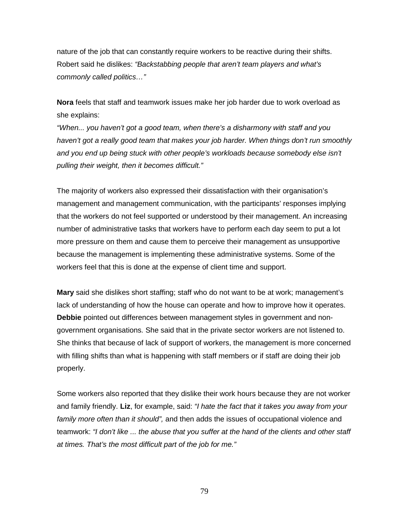nature of the job that can constantly require workers to be reactive during their shifts. Robert said he dislikes: *"Backstabbing people that aren't team players and what's commonly called politics…"*

**Nora** feels that staff and teamwork issues make her job harder due to work overload as she explains:

*"When... you haven't got a good team, when there's a disharmony with staff and you haven't got a really good team that makes your job harder. When things don't run smoothly and you end up being stuck with other people's workloads because somebody else isn't pulling their weight, then it becomes difficult."*

The majority of workers also expressed their dissatisfaction with their organisation's management and management communication, with the participants' responses implying that the workers do not feel supported or understood by their management. An increasing number of administrative tasks that workers have to perform each day seem to put a lot more pressure on them and cause them to perceive their management as unsupportive because the management is implementing these administrative systems. Some of the workers feel that this is done at the expense of client time and support.

**Mary** said she dislikes short staffing; staff who do not want to be at work; management's lack of understanding of how the house can operate and how to improve how it operates. **Debbie** pointed out differences between management styles in government and nongovernment organisations. She said that in the private sector workers are not listened to. She thinks that because of lack of support of workers, the management is more concerned with filling shifts than what is happening with staff members or if staff are doing their job properly.

Some workers also reported that they dislike their work hours because they are not worker and family friendly. **Liz**, for example, said: *"I hate the fact that it takes you away from your family more often than it should",* and then adds the issues of occupational violence and teamwork: *"I don't like ... the abuse that you suffer at the hand of the clients and other staff at times. That's the most difficult part of the job for me."*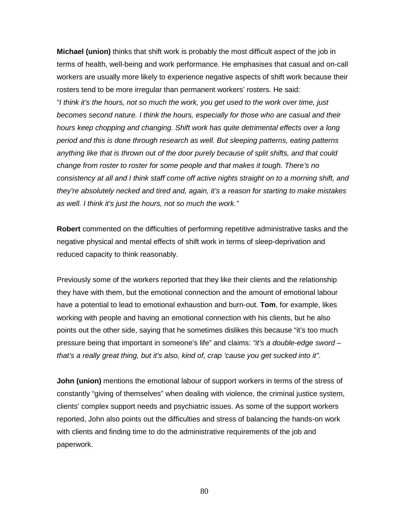**Michael (union)** thinks that shift work is probably the most difficult aspect of the job in terms of health, well-being and work performance. He emphasises that casual and on-call workers are usually more likely to experience negative aspects of shift work because their rosters tend to be more irregular than permanent workers' rosters. He said: *"I think it's the hours, not so much the work, you get used to the work over time, just becomes second nature. I think the hours, especially for those who are casual and their hours keep chopping and changing. Shift work has quite detrimental effects over a long period and this is done through research as well. But sleeping patterns, eating patterns anything like that is thrown out of the door purely because of split shifts, and that could change from roster to roster for some people and that makes it tough. There's no consistency at all and I think staff come off active nights straight on to a morning shift, and they're absolutely necked and tired and, again, it's a reason for starting to make mistakes as well. I think it's just the hours, not so much the work."*

**Robert** commented on the difficulties of performing repetitive administrative tasks and the negative physical and mental effects of shift work in terms of sleep-deprivation and reduced capacity to think reasonably.

Previously some of the workers reported that they like their clients and the relationship they have with them, but the emotional connection and the amount of emotional labour have a potential to lead to emotional exhaustion and burn-out. **Tom**, for example, likes working with people and having an emotional connection with his clients, but he also points out the other side, saying that he sometimes dislikes this because "it's too much pressure being that important in someone's life" and claims: *"it's a double-edge sword – that's a really great thing, but it's also, kind of, crap 'cause you get sucked into it"*.

**John (union)** mentions the emotional labour of support workers in terms of the stress of constantly "giving of themselves" when dealing with violence, the criminal justice system, clients' complex support needs and psychiatric issues. As some of the support workers reported, John also points out the difficulties and stress of balancing the hands-on work with clients and finding time to do the administrative requirements of the job and paperwork.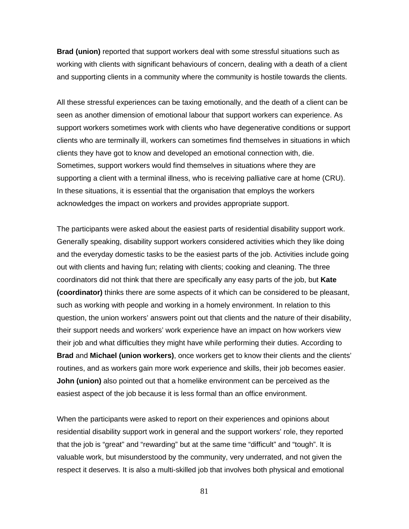**Brad (union)** reported that support workers deal with some stressful situations such as working with clients with significant behaviours of concern, dealing with a death of a client and supporting clients in a community where the community is hostile towards the clients.

All these stressful experiences can be taxing emotionally, and the death of a client can be seen as another dimension of emotional labour that support workers can experience. As support workers sometimes work with clients who have degenerative conditions or support clients who are terminally ill, workers can sometimes find themselves in situations in which clients they have got to know and developed an emotional connection with, die. Sometimes, support workers would find themselves in situations where they are supporting a client with a terminal illness, who is receiving palliative care at home (CRU). In these situations, it is essential that the organisation that employs the workers acknowledges the impact on workers and provides appropriate support.

The participants were asked about the easiest parts of residential disability support work. Generally speaking, disability support workers considered activities which they like doing and the everyday domestic tasks to be the easiest parts of the job. Activities include going out with clients and having fun; relating with clients; cooking and cleaning. The three coordinators did not think that there are specifically any easy parts of the job, but **Kate (coordinator)** thinks there are some aspects of it which can be considered to be pleasant, such as working with people and working in a homely environment. In relation to this question, the union workers' answers point out that clients and the nature of their disability, their support needs and workers' work experience have an impact on how workers view their job and what difficulties they might have while performing their duties. According to **Brad** and **Michael (union workers)**, once workers get to know their clients and the clients' routines, and as workers gain more work experience and skills, their job becomes easier. **John (union)** also pointed out that a homelike environment can be perceived as the easiest aspect of the job because it is less formal than an office environment.

When the participants were asked to report on their experiences and opinions about residential disability support work in general and the support workers' role, they reported that the job is "great" and "rewarding" but at the same time "difficult" and "tough". It is valuable work, but misunderstood by the community, very underrated, and not given the respect it deserves. It is also a multi-skilled job that involves both physical and emotional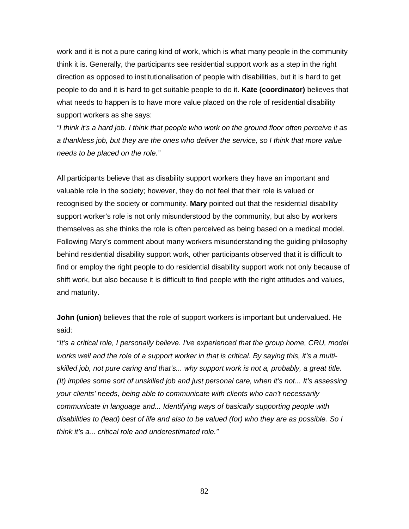work and it is not a pure caring kind of work, which is what many people in the community think it is. Generally, the participants see residential support work as a step in the right direction as opposed to institutionalisation of people with disabilities, but it is hard to get people to do and it is hard to get suitable people to do it. **Kate (coordinator)** believes that what needs to happen is to have more value placed on the role of residential disability support workers as she says:

*"I think it's a hard job. I think that people who work on the ground floor often perceive it as a thankless job, but they are the ones who deliver the service, so I think that more value needs to be placed on the role."* 

All participants believe that as disability support workers they have an important and valuable role in the society; however, they do not feel that their role is valued or recognised by the society or community. **Mary** pointed out that the residential disability support worker's role is not only misunderstood by the community, but also by workers themselves as she thinks the role is often perceived as being based on a medical model. Following Mary's comment about many workers misunderstanding the guiding philosophy behind residential disability support work, other participants observed that it is difficult to find or employ the right people to do residential disability support work not only because of shift work, but also because it is difficult to find people with the right attitudes and values, and maturity.

**John (union)** believes that the role of support workers is important but undervalued. He said:

*"It's a critical role, I personally believe. I've experienced that the group home, CRU, model works well and the role of a support worker in that is critical. By saying this, it's a multiskilled job, not pure caring and that's... why support work is not a, probably, a great title. (It) implies some sort of unskilled job and just personal care, when it's not... It's assessing your clients' needs, being able to communicate with clients who can't necessarily communicate in language and... Identifying ways of basically supporting people with disabilities to (lead) best of life and also to be valued (for) who they are as possible. So I think it's a... critical role and underestimated role."*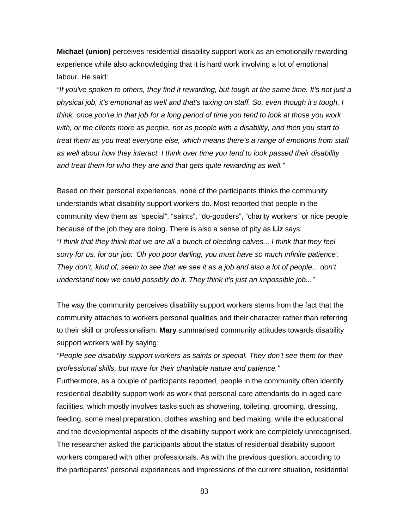**Michael (union)** perceives residential disability support work as an emotionally rewarding experience while also acknowledging that it is hard work involving a lot of emotional labour. He said:

*"If you've spoken to others, they find it rewarding, but tough at the same time. It's not just a physical job, it's emotional as well and that's taxing on staff. So, even though it's tough, I think, once you're in that job for a long period of time you tend to look at those you work with, or the clients more as people, not as people with a disability, and then you start to treat them as you treat everyone else, which means there's a range of emotions from staff as well about how they interact. I think over time you tend to look passed their disability and treat them for who they are and that gets quite rewarding as well."*

Based on their personal experiences, none of the participants thinks the community understands what disability support workers do. Most reported that people in the community view them as "special", "saints", "do-gooders", "charity workers" or nice people because of the job they are doing. There is also a sense of pity as **Liz** says: *"I think that they think that we are all a bunch of bleeding calves... I think that they feel sorry for us, for our job: 'Oh you poor darling, you must have so much infinite patience'. They don't, kind of, seem to see that we see it as a job and also a lot of people... don't understand how we could possibly do it. They think it's just an impossible job..."*

The way the community perceives disability support workers stems from the fact that the community attaches to workers personal qualities and their character rather than referring to their skill or professionalism. **Mary** summarised community attitudes towards disability support workers well by saying:

*"People see disability support workers as saints or special. They don't see them for their professional skills, but more for their charitable nature and patience."* 

Furthermore, as a couple of participants reported, people in the community often identify residential disability support work as work that personal care attendants do in aged care facilities, which mostly involves tasks such as showering, toileting, grooming, dressing, feeding, some meal preparation, clothes washing and bed making, while the educational and the developmental aspects of the disability support work are completely unrecognised. The researcher asked the participants about the status of residential disability support workers compared with other professionals. As with the previous question, according to the participants' personal experiences and impressions of the current situation, residential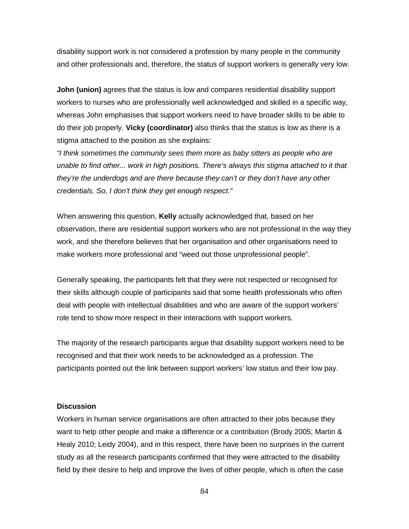disability support work is not considered a profession by many people in the community and other professionals and, therefore, the status of support workers is generally very low.

**John (union)** agrees that the status is low and compares residential disability support workers to nurses who are professionally well acknowledged and skilled in a specific way, whereas John emphasises that support workers need to have broader skills to be able to do their job properly. **Vicky (coordinator)** also thinks that the status is low as there is a stigma attached to the position as she explains:

*"I think sometimes the community sees them more as baby sitters as people who are unable to find other... work in high positions. There's always this stigma attached to it that they're the underdogs and are there because they can't or they don't have any other credentials. So, I don't think they get enough respect."* 

When answering this question, **Kelly** actually acknowledged that, based on her observation, there are residential support workers who are not professional in the way they work, and she therefore believes that her organisation and other organisations need to make workers more professional and "weed out those unprofessional people".

Generally speaking, the participants felt that they were not respected or recognised for their skills although couple of participants said that some health professionals who often deal with people with intellectual disabilities and who are aware of the support workers' role tend to show more respect in their interactions with support workers.

The majority of the research participants argue that disability support workers need to be recognised and that their work needs to be acknowledged as a profession. The participants pointed out the link between support workers' low status and their low pay.

#### **Discussion**

Workers in human service organisations are often attracted to their jobs because they want to help other people and make a difference or a contribution (Brody 2005; Martin & Healy 2010; Leidy 2004), and in this respect, there have been no surprises in the current study as all the research participants confirmed that they were attracted to the disability field by their desire to help and improve the lives of other people, which is often the case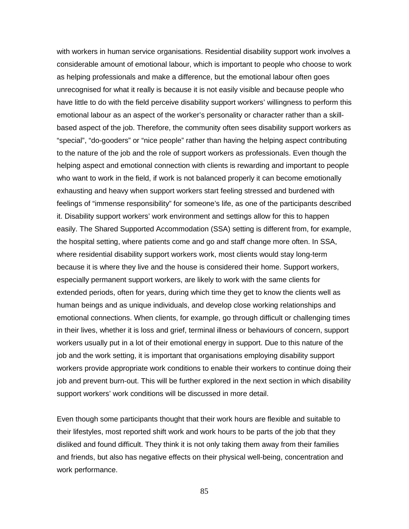with workers in human service organisations. Residential disability support work involves a considerable amount of emotional labour, which is important to people who choose to work as helping professionals and make a difference, but the emotional labour often goes unrecognised for what it really is because it is not easily visible and because people who have little to do with the field perceive disability support workers' willingness to perform this emotional labour as an aspect of the worker's personality or character rather than a skillbased aspect of the job. Therefore, the community often sees disability support workers as "special", "do-gooders" or "nice people" rather than having the helping aspect contributing to the nature of the job and the role of support workers as professionals. Even though the helping aspect and emotional connection with clients is rewarding and important to people who want to work in the field, if work is not balanced properly it can become emotionally exhausting and heavy when support workers start feeling stressed and burdened with feelings of "immense responsibility" for someone's life, as one of the participants described it. Disability support workers' work environment and settings allow for this to happen easily. The Shared Supported Accommodation (SSA) setting is different from, for example, the hospital setting, where patients come and go and staff change more often. In SSA, where residential disability support workers work, most clients would stay long-term because it is where they live and the house is considered their home. Support workers, especially permanent support workers, are likely to work with the same clients for extended periods, often for years, during which time they get to know the clients well as human beings and as unique individuals, and develop close working relationships and emotional connections. When clients, for example, go through difficult or challenging times in their lives, whether it is loss and grief, terminal illness or behaviours of concern, support workers usually put in a lot of their emotional energy in support. Due to this nature of the job and the work setting, it is important that organisations employing disability support workers provide appropriate work conditions to enable their workers to continue doing their job and prevent burn-out. This will be further explored in the next section in which disability support workers' work conditions will be discussed in more detail.

Even though some participants thought that their work hours are flexible and suitable to their lifestyles, most reported shift work and work hours to be parts of the job that they disliked and found difficult. They think it is not only taking them away from their families and friends, but also has negative effects on their physical well-being, concentration and work performance.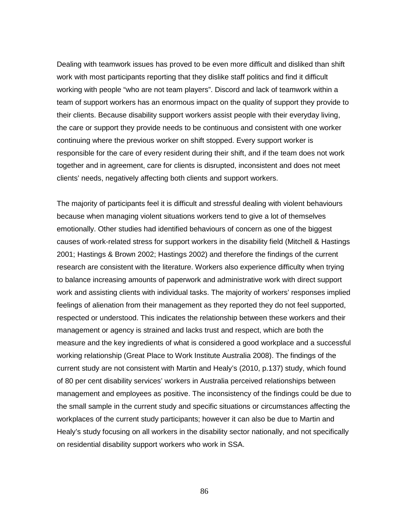Dealing with teamwork issues has proved to be even more difficult and disliked than shift work with most participants reporting that they dislike staff politics and find it difficult working with people "who are not team players". Discord and lack of teamwork within a team of support workers has an enormous impact on the quality of support they provide to their clients. Because disability support workers assist people with their everyday living, the care or support they provide needs to be continuous and consistent with one worker continuing where the previous worker on shift stopped. Every support worker is responsible for the care of every resident during their shift, and if the team does not work together and in agreement, care for clients is disrupted, inconsistent and does not meet clients' needs, negatively affecting both clients and support workers.

The majority of participants feel it is difficult and stressful dealing with violent behaviours because when managing violent situations workers tend to give a lot of themselves emotionally. Other studies had identified behaviours of concern as one of the biggest causes of work-related stress for support workers in the disability field (Mitchell & Hastings 2001; Hastings & Brown 2002; Hastings 2002) and therefore the findings of the current research are consistent with the literature. Workers also experience difficulty when trying to balance increasing amounts of paperwork and administrative work with direct support work and assisting clients with individual tasks. The majority of workers' responses implied feelings of alienation from their management as they reported they do not feel supported, respected or understood. This indicates the relationship between these workers and their management or agency is strained and lacks trust and respect, which are both the measure and the key ingredients of what is considered a good workplace and a successful working relationship (Great Place to Work Institute Australia 2008). The findings of the current study are not consistent with Martin and Healy's (2010, p.137) study, which found of 80 per cent disability services' workers in Australia perceived relationships between management and employees as positive. The inconsistency of the findings could be due to the small sample in the current study and specific situations or circumstances affecting the workplaces of the current study participants; however it can also be due to Martin and Healy's study focusing on all workers in the disability sector nationally, and not specifically on residential disability support workers who work in SSA.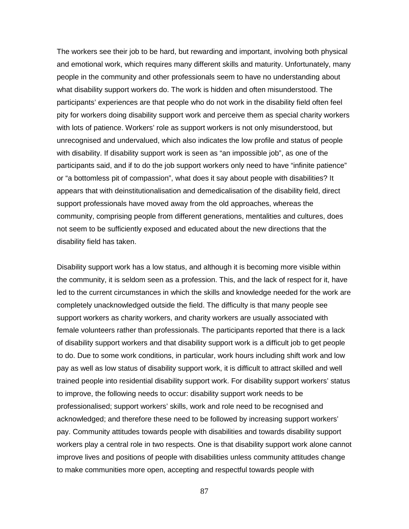The workers see their job to be hard, but rewarding and important, involving both physical and emotional work, which requires many different skills and maturity. Unfortunately, many people in the community and other professionals seem to have no understanding about what disability support workers do. The work is hidden and often misunderstood. The participants' experiences are that people who do not work in the disability field often feel pity for workers doing disability support work and perceive them as special charity workers with lots of patience. Workers' role as support workers is not only misunderstood, but unrecognised and undervalued, which also indicates the low profile and status of people with disability. If disability support work is seen as "an impossible job", as one of the participants said, and if to do the job support workers only need to have "infinite patience" or "a bottomless pit of compassion", what does it say about people with disabilities? It appears that with deinstitutionalisation and demedicalisation of the disability field, direct support professionals have moved away from the old approaches, whereas the community, comprising people from different generations, mentalities and cultures, does not seem to be sufficiently exposed and educated about the new directions that the disability field has taken.

Disability support work has a low status, and although it is becoming more visible within the community, it is seldom seen as a profession. This, and the lack of respect for it, have led to the current circumstances in which the skills and knowledge needed for the work are completely unacknowledged outside the field. The difficulty is that many people see support workers as charity workers, and charity workers are usually associated with female volunteers rather than professionals. The participants reported that there is a lack of disability support workers and that disability support work is a difficult job to get people to do. Due to some work conditions, in particular, work hours including shift work and low pay as well as low status of disability support work, it is difficult to attract skilled and well trained people into residential disability support work. For disability support workers' status to improve, the following needs to occur: disability support work needs to be professionalised; support workers' skills, work and role need to be recognised and acknowledged; and therefore these need to be followed by increasing support workers' pay. Community attitudes towards people with disabilities and towards disability support workers play a central role in two respects. One is that disability support work alone cannot improve lives and positions of people with disabilities unless community attitudes change to make communities more open, accepting and respectful towards people with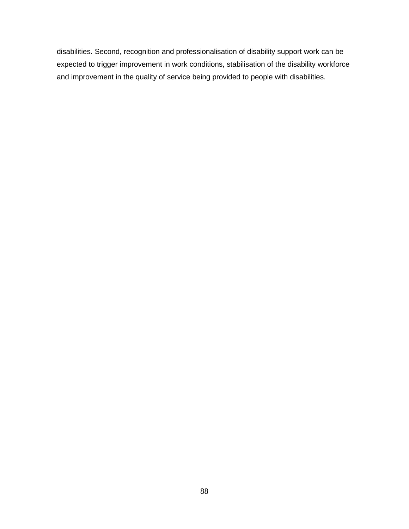disabilities. Second, recognition and professionalisation of disability support work can be expected to trigger improvement in work conditions, stabilisation of the disability workforce and improvement in the quality of service being provided to people with disabilities.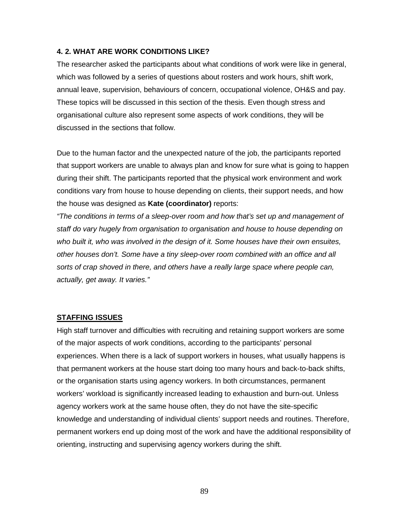### **4. 2. WHAT ARE WORK CONDITIONS LIKE?**

The researcher asked the participants about what conditions of work were like in general, which was followed by a series of questions about rosters and work hours, shift work, annual leave, supervision, behaviours of concern, occupational violence, OH&S and pay. These topics will be discussed in this section of the thesis. Even though stress and organisational culture also represent some aspects of work conditions, they will be discussed in the sections that follow.

Due to the human factor and the unexpected nature of the job, the participants reported that support workers are unable to always plan and know for sure what is going to happen during their shift. The participants reported that the physical work environment and work conditions vary from house to house depending on clients, their support needs, and how the house was designed as **Kate (coordinator)** reports:

*"The conditions in terms of a sleep-over room and how that's set up and management of staff do vary hugely from organisation to organisation and house to house depending on who built it, who was involved in the design of it. Some houses have their own ensuites, other houses don't. Some have a tiny sleep-over room combined with an office and all sorts of crap shoved in there, and others have a really large space where people can, actually, get away. It varies."*

#### **STAFFING ISSUES**

High staff turnover and difficulties with recruiting and retaining support workers are some of the major aspects of work conditions, according to the participants' personal experiences. When there is a lack of support workers in houses, what usually happens is that permanent workers at the house start doing too many hours and back-to-back shifts, or the organisation starts using agency workers. In both circumstances, permanent workers' workload is significantly increased leading to exhaustion and burn-out. Unless agency workers work at the same house often, they do not have the site-specific knowledge and understanding of individual clients' support needs and routines. Therefore, permanent workers end up doing most of the work and have the additional responsibility of orienting, instructing and supervising agency workers during the shift.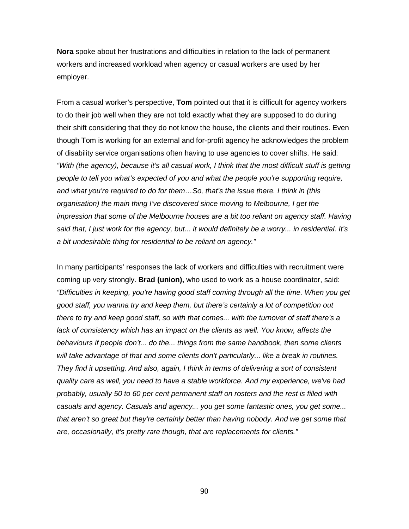**Nora** spoke about her frustrations and difficulties in relation to the lack of permanent workers and increased workload when agency or casual workers are used by her employer.

From a casual worker's perspective, **Tom** pointed out that it is difficult for agency workers to do their job well when they are not told exactly what they are supposed to do during their shift considering that they do not know the house, the clients and their routines. Even though Tom is working for an external and for-profit agency he acknowledges the problem of disability service organisations often having to use agencies to cover shifts. He said: *"With (the agency), because it's all casual work, I think that the most difficult stuff is getting people to tell you what's expected of you and what the people you're supporting require, and what you're required to do for them…So, that's the issue there. I think in (this organisation) the main thing I've discovered since moving to Melbourne, I get the impression that some of the Melbourne houses are a bit too reliant on agency staff. Having said that, I just work for the agency, but... it would definitely be a worry... in residential. It's a bit undesirable thing for residential to be reliant on agency."*

In many participants' responses the lack of workers and difficulties with recruitment were coming up very strongly. **Brad (union),** who used to work as a house coordinator, said: *"Difficulties in keeping, you're having good staff coming through all the time. When you get good staff, you wanna try and keep them, but there's certainly a lot of competition out there to try and keep good staff, so with that comes... with the turnover of staff there's a*  lack of consistency which has an impact on the clients as well. You know, affects the *behaviours if people don't... do the... things from the same handbook, then some clients will take advantage of that and some clients don't particularly... like a break in routines. They find it upsetting. And also, again, I think in terms of delivering a sort of consistent quality care as well, you need to have a stable workforce. And my experience, we've had probably, usually 50 to 60 per cent permanent staff on rosters and the rest is filled with casuals and agency. Casuals and agency... you get some fantastic ones, you get some... that aren't so great but they're certainly better than having nobody. And we get some that are, occasionally, it's pretty rare though, that are replacements for clients."*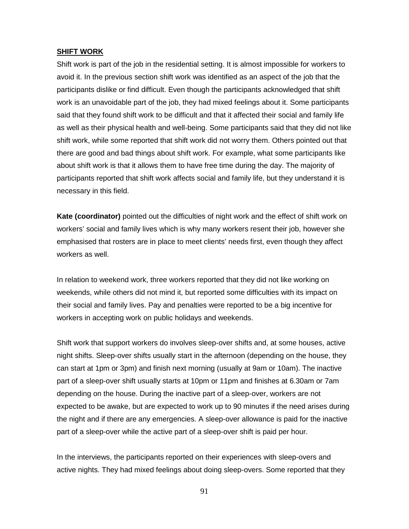#### **SHIFT WORK**

Shift work is part of the job in the residential setting. It is almost impossible for workers to avoid it. In the previous section shift work was identified as an aspect of the job that the participants dislike or find difficult. Even though the participants acknowledged that shift work is an unavoidable part of the job, they had mixed feelings about it. Some participants said that they found shift work to be difficult and that it affected their social and family life as well as their physical health and well-being. Some participants said that they did not like shift work, while some reported that shift work did not worry them. Others pointed out that there are good and bad things about shift work. For example, what some participants like about shift work is that it allows them to have free time during the day. The majority of participants reported that shift work affects social and family life, but they understand it is necessary in this field.

**Kate (coordinator)** pointed out the difficulties of night work and the effect of shift work on workers' social and family lives which is why many workers resent their job, however she emphasised that rosters are in place to meet clients' needs first, even though they affect workers as well.

In relation to weekend work, three workers reported that they did not like working on weekends, while others did not mind it, but reported some difficulties with its impact on their social and family lives. Pay and penalties were reported to be a big incentive for workers in accepting work on public holidays and weekends.

Shift work that support workers do involves sleep-over shifts and, at some houses, active night shifts. Sleep-over shifts usually start in the afternoon (depending on the house, they can start at 1pm or 3pm) and finish next morning (usually at 9am or 10am). The inactive part of a sleep-over shift usually starts at 10pm or 11pm and finishes at 6.30am or 7am depending on the house. During the inactive part of a sleep-over, workers are not expected to be awake, but are expected to work up to 90 minutes if the need arises during the night and if there are any emergencies. A sleep-over allowance is paid for the inactive part of a sleep-over while the active part of a sleep-over shift is paid per hour.

In the interviews, the participants reported on their experiences with sleep-overs and active nights. They had mixed feelings about doing sleep-overs. Some reported that they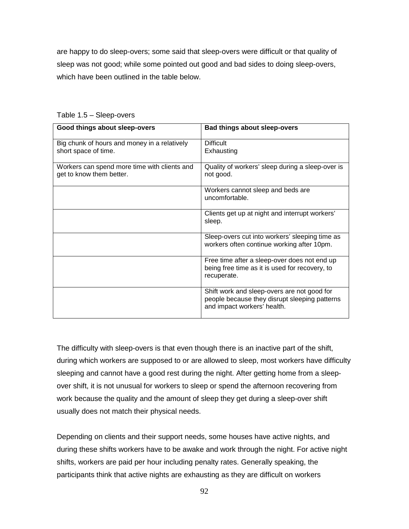are happy to do sleep-overs; some said that sleep-overs were difficult or that quality of sleep was not good; while some pointed out good and bad sides to doing sleep-overs, which have been outlined in the table below.

| Good things about sleep-overs                | Bad things about sleep-overs                     |
|----------------------------------------------|--------------------------------------------------|
| Big chunk of hours and money in a relatively | <b>Difficult</b>                                 |
| short space of time.                         | Exhausting                                       |
|                                              |                                                  |
| Workers can spend more time with clients and | Quality of workers' sleep during a sleep-over is |
| get to know them better.                     | not good.                                        |
|                                              |                                                  |
|                                              | Workers cannot sleep and beds are                |
|                                              | uncomfortable.                                   |
|                                              |                                                  |
|                                              | Clients get up at night and interrupt workers'   |
|                                              | sleep.                                           |
|                                              |                                                  |
|                                              | Sleep-overs cut into workers' sleeping time as   |
|                                              | workers often continue working after 10pm.       |
|                                              |                                                  |
|                                              | Free time after a sleep-over does not end up     |
|                                              | being free time as it is used for recovery, to   |
|                                              | recuperate.                                      |
|                                              |                                                  |
|                                              | Shift work and sleep-overs are not good for      |
|                                              | people because they disrupt sleeping patterns    |
|                                              | and impact workers' health.                      |
|                                              |                                                  |

Table 1.5 – Sleep-overs

The difficulty with sleep-overs is that even though there is an inactive part of the shift, during which workers are supposed to or are allowed to sleep, most workers have difficulty sleeping and cannot have a good rest during the night. After getting home from a sleepover shift, it is not unusual for workers to sleep or spend the afternoon recovering from work because the quality and the amount of sleep they get during a sleep-over shift usually does not match their physical needs.

Depending on clients and their support needs, some houses have active nights, and during these shifts workers have to be awake and work through the night. For active night shifts, workers are paid per hour including penalty rates. Generally speaking, the participants think that active nights are exhausting as they are difficult on workers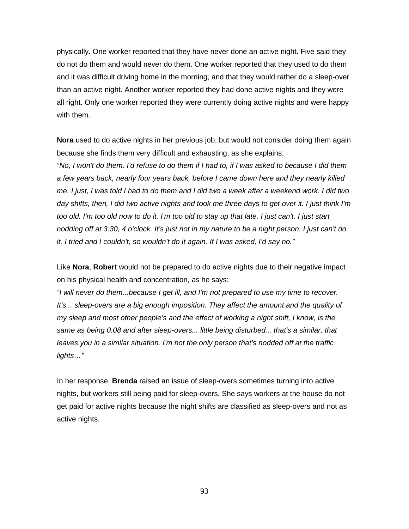physically. One worker reported that they have never done an active night. Five said they do not do them and would never do them. One worker reported that they used to do them and it was difficult driving home in the morning, and that they would rather do a sleep-over than an active night. Another worker reported they had done active nights and they were all right. Only one worker reported they were currently doing active nights and were happy with them.

**Nora** used to do active nights in her previous job, but would not consider doing them again because she finds them very difficult and exhausting, as she explains:

*"No, I won't do them. I'd refuse to do them if I had to, if I was asked to because I did them a few years back, nearly four years back, before I came down here and they nearly killed me. I just, I was told I had to do them and I did two a week after a weekend work. I did two day shifts, then, I did two active nights and took me three days to get over it. I just think I'm too old. I'm too old now to do it. I'm too old to stay up that late. I just can't. I just start nodding off at 3.30, 4 o'clock. It's just not in my nature to be a night person. I just can't do it. I tried and I couldn't, so wouldn't do it again. If I was asked, I'd say no."*

Like **Nora**, **Robert** would not be prepared to do active nights due to their negative impact on his physical health and concentration, as he says:

*"I will never do them...because I get ill, and I'm not prepared to use my time to recover.*  It's... sleep-overs are a big enough imposition. They affect the amount and the quality of *my sleep and most other people's and the effect of working a night shift, I know, is the same as being 0.08 and after sleep-overs... little being disturbed... that's a similar, that leaves you in a similar situation. I'm not the only person that's nodded off at the traffic lights…"*

In her response, **Brenda** raised an issue of sleep-overs sometimes turning into active nights, but workers still being paid for sleep-overs. She says workers at the house do not get paid for active nights because the night shifts are classified as sleep-overs and not as active nights.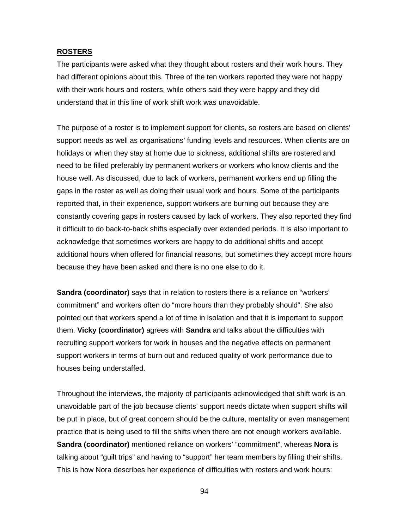#### **ROSTERS**

The participants were asked what they thought about rosters and their work hours. They had different opinions about this. Three of the ten workers reported they were not happy with their work hours and rosters, while others said they were happy and they did understand that in this line of work shift work was unavoidable.

The purpose of a roster is to implement support for clients, so rosters are based on clients' support needs as well as organisations' funding levels and resources. When clients are on holidays or when they stay at home due to sickness, additional shifts are rostered and need to be filled preferably by permanent workers or workers who know clients and the house well. As discussed, due to lack of workers, permanent workers end up filling the gaps in the roster as well as doing their usual work and hours. Some of the participants reported that, in their experience, support workers are burning out because they are constantly covering gaps in rosters caused by lack of workers. They also reported they find it difficult to do back-to-back shifts especially over extended periods. It is also important to acknowledge that sometimes workers are happy to do additional shifts and accept additional hours when offered for financial reasons, but sometimes they accept more hours because they have been asked and there is no one else to do it.

**Sandra (coordinator)** says that in relation to rosters there is a reliance on "workers' commitment" and workers often do "more hours than they probably should". She also pointed out that workers spend a lot of time in isolation and that it is important to support them. **Vicky (coordinator)** agrees with **Sandra** and talks about the difficulties with recruiting support workers for work in houses and the negative effects on permanent support workers in terms of burn out and reduced quality of work performance due to houses being understaffed.

Throughout the interviews, the majority of participants acknowledged that shift work is an unavoidable part of the job because clients' support needs dictate when support shifts will be put in place, but of great concern should be the culture, mentality or even management practice that is being used to fill the shifts when there are not enough workers available. **Sandra (coordinator)** mentioned reliance on workers' "commitment", whereas **Nora** is talking about "guilt trips" and having to "support" her team members by filling their shifts. This is how Nora describes her experience of difficulties with rosters and work hours: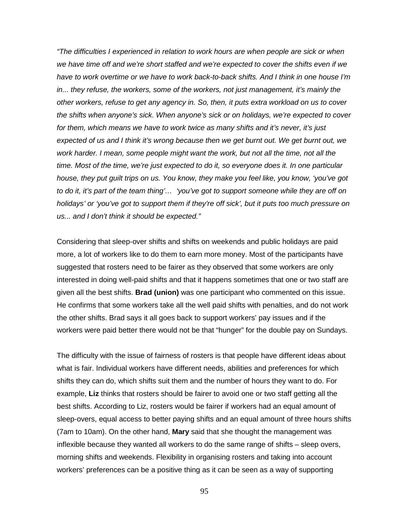*"The difficulties I experienced in relation to work hours are when people are sick or when we have time off and we're short staffed and we're expected to cover the shifts even if we have to work overtime or we have to work back-to-back shifts. And I think in one house I'm in... they refuse, the workers, some of the workers, not just management, it's mainly the other workers, refuse to get any agency in. So, then, it puts extra workload on us to cover the shifts when anyone's sick. When anyone's sick or on holidays, we're expected to cover for them, which means we have to work twice as many shifts and it's never, it's just expected of us and I think it's wrong because then we get burnt out. We get burnt out, we work harder. I mean, some people might want the work, but not all the time, not all the time. Most of the time, we're just expected to do it, so everyone does it. In one particular house, they put guilt trips on us. You know, they make you feel like, you know, 'you've got to do it, it's part of the team thing'… 'you've got to support someone while they are off on holidays' or 'you've got to support them if they're off sick', but it puts too much pressure on us... and I don't think it should be expected."*

Considering that sleep-over shifts and shifts on weekends and public holidays are paid more, a lot of workers like to do them to earn more money. Most of the participants have suggested that rosters need to be fairer as they observed that some workers are only interested in doing well-paid shifts and that it happens sometimes that one or two staff are given all the best shifts. **Brad (union)** was one participant who commented on this issue. He confirms that some workers take all the well paid shifts with penalties, and do not work the other shifts. Brad says it all goes back to support workers' pay issues and if the workers were paid better there would not be that "hunger" for the double pay on Sundays.

The difficulty with the issue of fairness of rosters is that people have different ideas about what is fair. Individual workers have different needs, abilities and preferences for which shifts they can do, which shifts suit them and the number of hours they want to do. For example, **Liz** thinks that rosters should be fairer to avoid one or two staff getting all the best shifts. According to Liz, rosters would be fairer if workers had an equal amount of sleep-overs, equal access to better paying shifts and an equal amount of three hours shifts (7am to 10am). On the other hand, **Mary** said that she thought the management was inflexible because they wanted all workers to do the same range of shifts – sleep overs, morning shifts and weekends. Flexibility in organising rosters and taking into account workers' preferences can be a positive thing as it can be seen as a way of supporting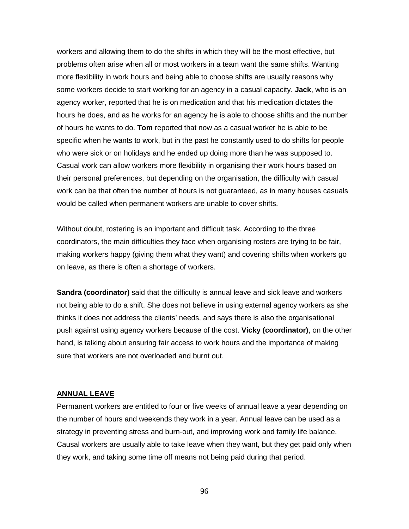workers and allowing them to do the shifts in which they will be the most effective, but problems often arise when all or most workers in a team want the same shifts. Wanting more flexibility in work hours and being able to choose shifts are usually reasons why some workers decide to start working for an agency in a casual capacity. **Jack**, who is an agency worker, reported that he is on medication and that his medication dictates the hours he does, and as he works for an agency he is able to choose shifts and the number of hours he wants to do. **Tom** reported that now as a casual worker he is able to be specific when he wants to work, but in the past he constantly used to do shifts for people who were sick or on holidays and he ended up doing more than he was supposed to. Casual work can allow workers more flexibility in organising their work hours based on their personal preferences, but depending on the organisation, the difficulty with casual work can be that often the number of hours is not guaranteed, as in many houses casuals would be called when permanent workers are unable to cover shifts.

Without doubt, rostering is an important and difficult task. According to the three coordinators, the main difficulties they face when organising rosters are trying to be fair, making workers happy (giving them what they want) and covering shifts when workers go on leave, as there is often a shortage of workers.

**Sandra (coordinator)** said that the difficulty is annual leave and sick leave and workers not being able to do a shift. She does not believe in using external agency workers as she thinks it does not address the clients' needs, and says there is also the organisational push against using agency workers because of the cost. **Vicky (coordinator)**, on the other hand, is talking about ensuring fair access to work hours and the importance of making sure that workers are not overloaded and burnt out.

#### **ANNUAL LEAVE**

Permanent workers are entitled to four or five weeks of annual leave a year depending on the number of hours and weekends they work in a year. Annual leave can be used as a strategy in preventing stress and burn-out, and improving work and family life balance. Causal workers are usually able to take leave when they want, but they get paid only when they work, and taking some time off means not being paid during that period.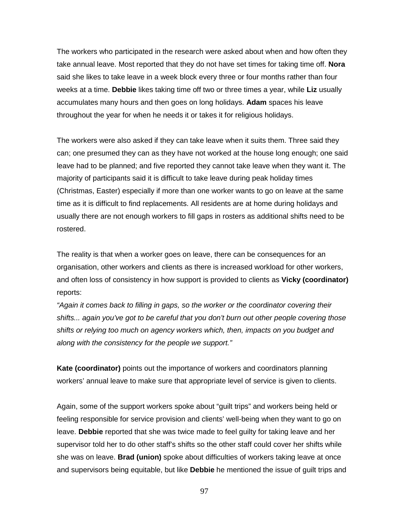The workers who participated in the research were asked about when and how often they take annual leave. Most reported that they do not have set times for taking time off. **Nora** said she likes to take leave in a week block every three or four months rather than four weeks at a time. **Debbie** likes taking time off two or three times a year, while **Liz** usually accumulates many hours and then goes on long holidays. **Adam** spaces his leave throughout the year for when he needs it or takes it for religious holidays.

The workers were also asked if they can take leave when it suits them. Three said they can; one presumed they can as they have not worked at the house long enough; one said leave had to be planned; and five reported they cannot take leave when they want it. The majority of participants said it is difficult to take leave during peak holiday times (Christmas, Easter) especially if more than one worker wants to go on leave at the same time as it is difficult to find replacements. All residents are at home during holidays and usually there are not enough workers to fill gaps in rosters as additional shifts need to be rostered.

The reality is that when a worker goes on leave, there can be consequences for an organisation, other workers and clients as there is increased workload for other workers, and often loss of consistency in how support is provided to clients as **Vicky (coordinator)** reports:

*"Again it comes back to filling in gaps, so the worker or the coordinator covering their shifts... again you've got to be careful that you don't burn out other people covering those shifts or relying too much on agency workers which, then, impacts on you budget and along with the consistency for the people we support."*

**Kate (coordinator)** points out the importance of workers and coordinators planning workers' annual leave to make sure that appropriate level of service is given to clients.

Again, some of the support workers spoke about "guilt trips" and workers being held or feeling responsible for service provision and clients' well-being when they want to go on leave. **Debbie** reported that she was twice made to feel guilty for taking leave and her supervisor told her to do other staff's shifts so the other staff could cover her shifts while she was on leave. **Brad (union)** spoke about difficulties of workers taking leave at once and supervisors being equitable, but like **Debbie** he mentioned the issue of guilt trips and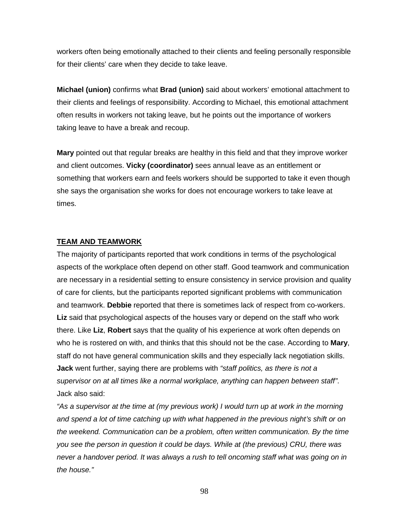workers often being emotionally attached to their clients and feeling personally responsible for their clients' care when they decide to take leave.

**Michael (union)** confirms what **Brad (union)** said about workers' emotional attachment to their clients and feelings of responsibility. According to Michael, this emotional attachment often results in workers not taking leave, but he points out the importance of workers taking leave to have a break and recoup.

**Mary** pointed out that regular breaks are healthy in this field and that they improve worker and client outcomes. **Vicky (coordinator)** sees annual leave as an entitlement or something that workers earn and feels workers should be supported to take it even though she says the organisation she works for does not encourage workers to take leave at times.

#### **TEAM AND TEAMWORK**

The majority of participants reported that work conditions in terms of the psychological aspects of the workplace often depend on other staff. Good teamwork and communication are necessary in a residential setting to ensure consistency in service provision and quality of care for clients, but the participants reported significant problems with communication and teamwork. **Debbie** reported that there is sometimes lack of respect from co-workers. **Liz** said that psychological aspects of the houses vary or depend on the staff who work there. Like **Liz**, **Robert** says that the quality of his experience at work often depends on who he is rostered on with, and thinks that this should not be the case. According to **Mary**, staff do not have general communication skills and they especially lack negotiation skills. **Jack** went further, saying there are problems with *"staff politics, as there is not a supervisor on at all times like a normal workplace, anything can happen between staff"*. Jack also said:

*"As a supervisor at the time at (my previous work) I would turn up at work in the morning and spend a lot of time catching up with what happened in the previous night's shift or on the weekend. Communication can be a problem, often written communication. By the time you see the person in question it could be days. While at (the previous) CRU, there was never a handover period. It was always a rush to tell oncoming staff what was going on in the house."*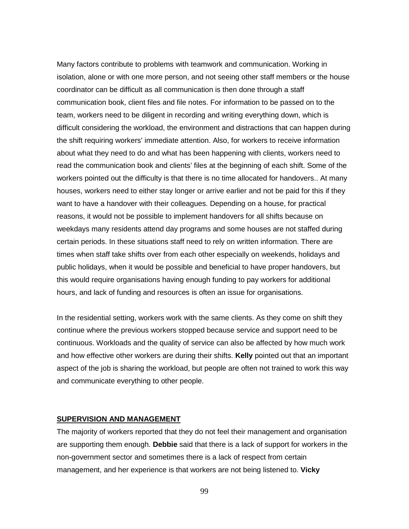Many factors contribute to problems with teamwork and communication. Working in isolation, alone or with one more person, and not seeing other staff members or the house coordinator can be difficult as all communication is then done through a staff communication book, client files and file notes. For information to be passed on to the team, workers need to be diligent in recording and writing everything down, which is difficult considering the workload, the environment and distractions that can happen during the shift requiring workers' immediate attention. Also, for workers to receive information about what they need to do and what has been happening with clients, workers need to read the communication book and clients' files at the beginning of each shift. Some of the workers pointed out the difficulty is that there is no time allocated for handovers.. At many houses, workers need to either stay longer or arrive earlier and not be paid for this if they want to have a handover with their colleagues. Depending on a house, for practical reasons, it would not be possible to implement handovers for all shifts because on weekdays many residents attend day programs and some houses are not staffed during certain periods. In these situations staff need to rely on written information. There are times when staff take shifts over from each other especially on weekends, holidays and public holidays, when it would be possible and beneficial to have proper handovers, but this would require organisations having enough funding to pay workers for additional hours, and lack of funding and resources is often an issue for organisations.

In the residential setting, workers work with the same clients. As they come on shift they continue where the previous workers stopped because service and support need to be continuous. Workloads and the quality of service can also be affected by how much work and how effective other workers are during their shifts. **Kelly** pointed out that an important aspect of the job is sharing the workload, but people are often not trained to work this way and communicate everything to other people.

#### **SUPERVISION AND MANAGEMENT**

The majority of workers reported that they do not feel their management and organisation are supporting them enough. **Debbie** said that there is a lack of support for workers in the non-government sector and sometimes there is a lack of respect from certain management, and her experience is that workers are not being listened to. **Vicky**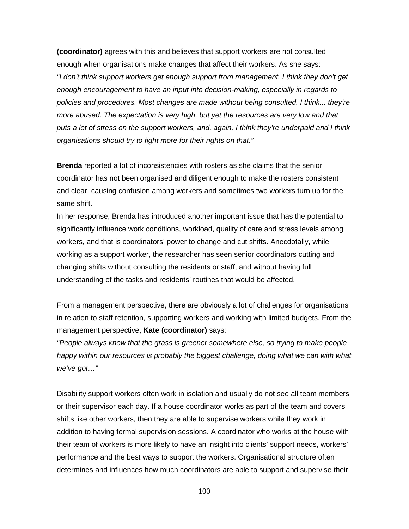**(coordinator)** agrees with this and believes that support workers are not consulted enough when organisations make changes that affect their workers. As she says: *"I don't think support workers get enough support from management. I think they don't get enough encouragement to have an input into decision-making, especially in regards to policies and procedures. Most changes are made without being consulted. I think... they're more abused. The expectation is very high, but yet the resources are very low and that puts a lot of stress on the support workers, and, again, I think they're underpaid and I think organisations should try to fight more for their rights on that."*

**Brenda** reported a lot of inconsistencies with rosters as she claims that the senior coordinator has not been organised and diligent enough to make the rosters consistent and clear, causing confusion among workers and sometimes two workers turn up for the same shift.

In her response, Brenda has introduced another important issue that has the potential to significantly influence work conditions, workload, quality of care and stress levels among workers, and that is coordinators' power to change and cut shifts. Anecdotally, while working as a support worker, the researcher has seen senior coordinators cutting and changing shifts without consulting the residents or staff, and without having full understanding of the tasks and residents' routines that would be affected.

From a management perspective, there are obviously a lot of challenges for organisations in relation to staff retention, supporting workers and working with limited budgets. From the management perspective, **Kate (coordinator)** says:

*"People always know that the grass is greener somewhere else, so trying to make people*  happy within our resources is probably the biggest challenge, doing what we can with what *we've got…"*

Disability support workers often work in isolation and usually do not see all team members or their supervisor each day. If a house coordinator works as part of the team and covers shifts like other workers, then they are able to supervise workers while they work in addition to having formal supervision sessions. A coordinator who works at the house with their team of workers is more likely to have an insight into clients' support needs, workers' performance and the best ways to support the workers. Organisational structure often determines and influences how much coordinators are able to support and supervise their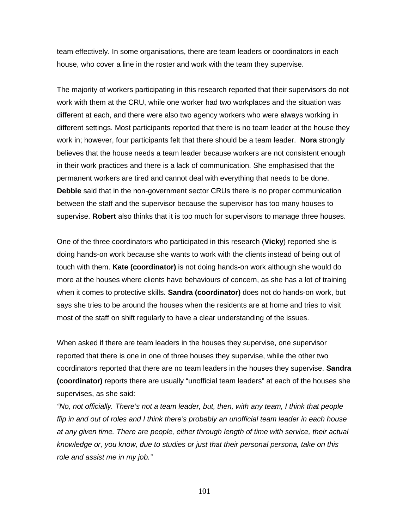team effectively. In some organisations, there are team leaders or coordinators in each house, who cover a line in the roster and work with the team they supervise.

The majority of workers participating in this research reported that their supervisors do not work with them at the CRU, while one worker had two workplaces and the situation was different at each, and there were also two agency workers who were always working in different settings. Most participants reported that there is no team leader at the house they work in; however, four participants felt that there should be a team leader. **Nora** strongly believes that the house needs a team leader because workers are not consistent enough in their work practices and there is a lack of communication. She emphasised that the permanent workers are tired and cannot deal with everything that needs to be done. **Debbie** said that in the non-government sector CRUs there is no proper communication between the staff and the supervisor because the supervisor has too many houses to supervise. **Robert** also thinks that it is too much for supervisors to manage three houses.

One of the three coordinators who participated in this research (**Vicky**) reported she is doing hands-on work because she wants to work with the clients instead of being out of touch with them. **Kate (coordinator)** is not doing hands-on work although she would do more at the houses where clients have behaviours of concern, as she has a lot of training when it comes to protective skills. **Sandra (coordinator)** does not do hands-on work, but says she tries to be around the houses when the residents are at home and tries to visit most of the staff on shift regularly to have a clear understanding of the issues.

When asked if there are team leaders in the houses they supervise, one supervisor reported that there is one in one of three houses they supervise, while the other two coordinators reported that there are no team leaders in the houses they supervise. **Sandra (coordinator)** reports there are usually "unofficial team leaders" at each of the houses she supervises, as she said:

*"No, not officially. There's not a team leader, but, then, with any team, I think that people flip in and out of roles and I think there's probably an unofficial team leader in each house at any given time. There are people, either through length of time with service, their actual knowledge or, you know, due to studies or just that their personal persona, take on this role and assist me in my job."*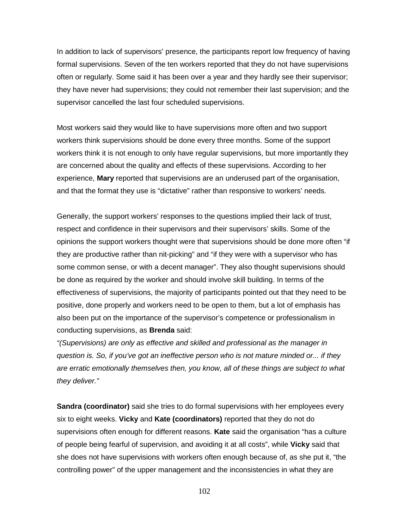In addition to lack of supervisors' presence, the participants report low frequency of having formal supervisions. Seven of the ten workers reported that they do not have supervisions often or regularly. Some said it has been over a year and they hardly see their supervisor; they have never had supervisions; they could not remember their last supervision; and the supervisor cancelled the last four scheduled supervisions.

Most workers said they would like to have supervisions more often and two support workers think supervisions should be done every three months. Some of the support workers think it is not enough to only have regular supervisions, but more importantly they are concerned about the quality and effects of these supervisions. According to her experience, **Mary** reported that supervisions are an underused part of the organisation, and that the format they use is "dictative" rather than responsive to workers' needs.

Generally, the support workers' responses to the questions implied their lack of trust, respect and confidence in their supervisors and their supervisors' skills. Some of the opinions the support workers thought were that supervisions should be done more often "if they are productive rather than nit-picking" and "if they were with a supervisor who has some common sense, or with a decent manager". They also thought supervisions should be done as required by the worker and should involve skill building. In terms of the effectiveness of supervisions, the majority of participants pointed out that they need to be positive, done properly and workers need to be open to them, but a lot of emphasis has also been put on the importance of the supervisor's competence or professionalism in conducting supervisions, as **Brenda** said:

*"(Supervisions) are only as effective and skilled and professional as the manager in question is. So, if you've got an ineffective person who is not mature minded or... if they are erratic emotionally themselves then, you know, all of these things are subject to what they deliver."*

**Sandra (coordinator)** said she tries to do formal supervisions with her employees every six to eight weeks. **Vicky** and **Kate (coordinators)** reported that they do not do supervisions often enough for different reasons. **Kate** said the organisation "has a culture of people being fearful of supervision, and avoiding it at all costs", while **Vicky** said that she does not have supervisions with workers often enough because of, as she put it, "the controlling power" of the upper management and the inconsistencies in what they are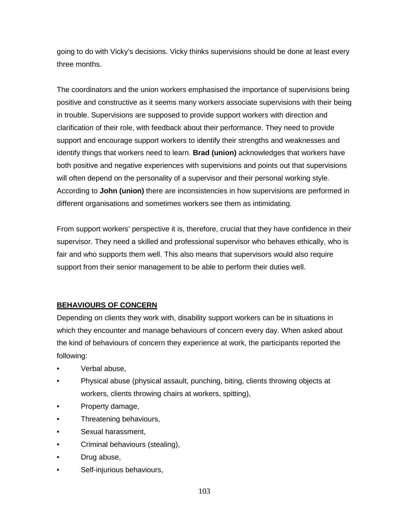going to do with Vicky's decisions. Vicky thinks supervisions should be done at least every three months.

The coordinators and the union workers emphasised the importance of supervisions being positive and constructive as it seems many workers associate supervisions with their being in trouble. Supervisions are supposed to provide support workers with direction and clarification of their role, with feedback about their performance. They need to provide support and encourage support workers to identify their strengths and weaknesses and identify things that workers need to learn. **Brad (union)** acknowledges that workers have both positive and negative experiences with supervisions and points out that supervisions will often depend on the personality of a supervisor and their personal working style. According to **John (union)** there are inconsistencies in how supervisions are performed in different organisations and sometimes workers see them as intimidating.

From support workers' perspective it is, therefore, crucial that they have confidence in their supervisor. They need a skilled and professional supervisor who behaves ethically, who is fair and who supports them well. This also means that supervisors would also require support from their senior management to be able to perform their duties well.

### **BEHAVIOURS OF CONCERN**

Depending on clients they work with, disability support workers can be in situations in which they encounter and manage behaviours of concern every day. When asked about the kind of behaviours of concern they experience at work, the participants reported the following:

- Verbal abuse,
- Physical abuse (physical assault, punching, biting, clients throwing objects at workers, clients throwing chairs at workers, spitting),
- Property damage,
- Threatening behaviours,
- Sexual harassment,
- Criminal behaviours (stealing),
- Drug abuse,
- Self-injurious behaviours,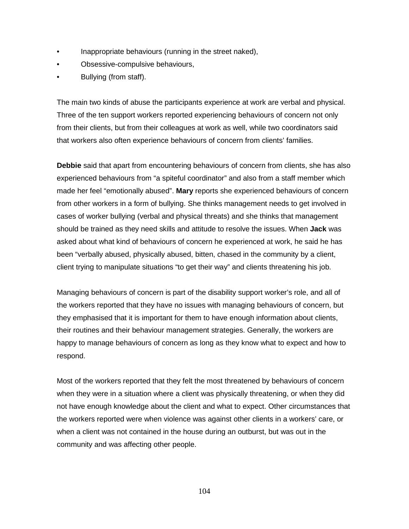- Inappropriate behaviours (running in the street naked),
- Obsessive-compulsive behaviours,
- Bullying (from staff).

The main two kinds of abuse the participants experience at work are verbal and physical. Three of the ten support workers reported experiencing behaviours of concern not only from their clients, but from their colleagues at work as well, while two coordinators said that workers also often experience behaviours of concern from clients' families.

**Debbie** said that apart from encountering behaviours of concern from clients, she has also experienced behaviours from "a spiteful coordinator" and also from a staff member which made her feel "emotionally abused". **Mary** reports she experienced behaviours of concern from other workers in a form of bullying. She thinks management needs to get involved in cases of worker bullying (verbal and physical threats) and she thinks that management should be trained as they need skills and attitude to resolve the issues. When **Jack** was asked about what kind of behaviours of concern he experienced at work, he said he has been "verbally abused, physically abused, bitten, chased in the community by a client, client trying to manipulate situations "to get their way" and clients threatening his job.

Managing behaviours of concern is part of the disability support worker's role, and all of the workers reported that they have no issues with managing behaviours of concern, but they emphasised that it is important for them to have enough information about clients, their routines and their behaviour management strategies. Generally, the workers are happy to manage behaviours of concern as long as they know what to expect and how to respond.

Most of the workers reported that they felt the most threatened by behaviours of concern when they were in a situation where a client was physically threatening, or when they did not have enough knowledge about the client and what to expect. Other circumstances that the workers reported were when violence was against other clients in a workers' care, or when a client was not contained in the house during an outburst, but was out in the community and was affecting other people.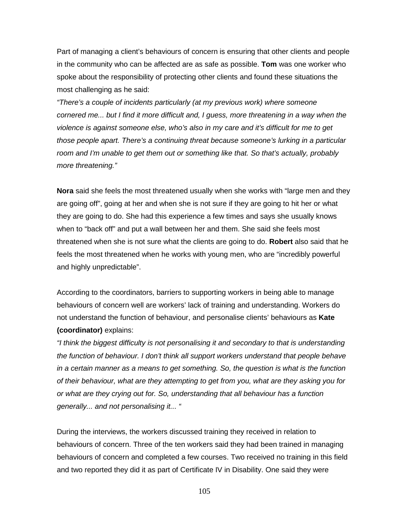Part of managing a client's behaviours of concern is ensuring that other clients and people in the community who can be affected are as safe as possible. **Tom** was one worker who spoke about the responsibility of protecting other clients and found these situations the most challenging as he said:

*"There's a couple of incidents particularly (at my previous work) where someone cornered me... but I find it more difficult and, I guess, more threatening in a way when the violence is against someone else, who's also in my care and it's difficult for me to get those people apart. There's a continuing threat because someone's lurking in a particular room and I'm unable to get them out or something like that. So that's actually, probably more threatening."*

**Nora** said she feels the most threatened usually when she works with "large men and they are going off", going at her and when she is not sure if they are going to hit her or what they are going to do. She had this experience a few times and says she usually knows when to "back off" and put a wall between her and them. She said she feels most threatened when she is not sure what the clients are going to do. **Robert** also said that he feels the most threatened when he works with young men, who are "incredibly powerful and highly unpredictable".

According to the coordinators, barriers to supporting workers in being able to manage behaviours of concern well are workers' lack of training and understanding. Workers do not understand the function of behaviour, and personalise clients' behaviours as **Kate (coordinator)** explains:

*"I think the biggest difficulty is not personalising it and secondary to that is understanding the function of behaviour. I don't think all support workers understand that people behave in a certain manner as a means to get something. So, the question is what is the function of their behaviour, what are they attempting to get from you, what are they asking you for or what are they crying out for. So, understanding that all behaviour has a function generally... and not personalising it... "*

During the interviews, the workers discussed training they received in relation to behaviours of concern. Three of the ten workers said they had been trained in managing behaviours of concern and completed a few courses. Two received no training in this field and two reported they did it as part of Certificate IV in Disability. One said they were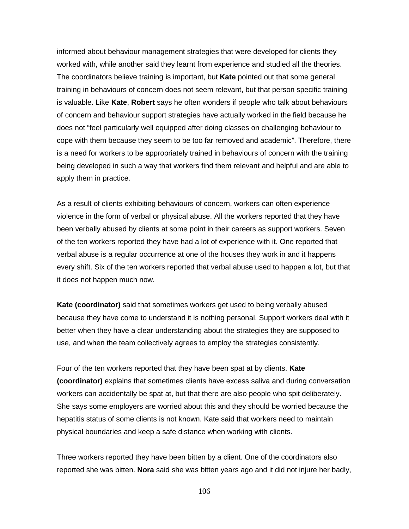informed about behaviour management strategies that were developed for clients they worked with, while another said they learnt from experience and studied all the theories. The coordinators believe training is important, but **Kate** pointed out that some general training in behaviours of concern does not seem relevant, but that person specific training is valuable. Like **Kate**, **Robert** says he often wonders if people who talk about behaviours of concern and behaviour support strategies have actually worked in the field because he does not "feel particularly well equipped after doing classes on challenging behaviour to cope with them because they seem to be too far removed and academic". Therefore, there is a need for workers to be appropriately trained in behaviours of concern with the training being developed in such a way that workers find them relevant and helpful and are able to apply them in practice.

As a result of clients exhibiting behaviours of concern, workers can often experience violence in the form of verbal or physical abuse. All the workers reported that they have been verbally abused by clients at some point in their careers as support workers. Seven of the ten workers reported they have had a lot of experience with it. One reported that verbal abuse is a regular occurrence at one of the houses they work in and it happens every shift. Six of the ten workers reported that verbal abuse used to happen a lot, but that it does not happen much now.

**Kate (coordinator)** said that sometimes workers get used to being verbally abused because they have come to understand it is nothing personal. Support workers deal with it better when they have a clear understanding about the strategies they are supposed to use, and when the team collectively agrees to employ the strategies consistently.

Four of the ten workers reported that they have been spat at by clients. **Kate (coordinator)** explains that sometimes clients have excess saliva and during conversation workers can accidentally be spat at, but that there are also people who spit deliberately. She says some employers are worried about this and they should be worried because the hepatitis status of some clients is not known. Kate said that workers need to maintain physical boundaries and keep a safe distance when working with clients.

Three workers reported they have been bitten by a client. One of the coordinators also reported she was bitten. **Nora** said she was bitten years ago and it did not injure her badly,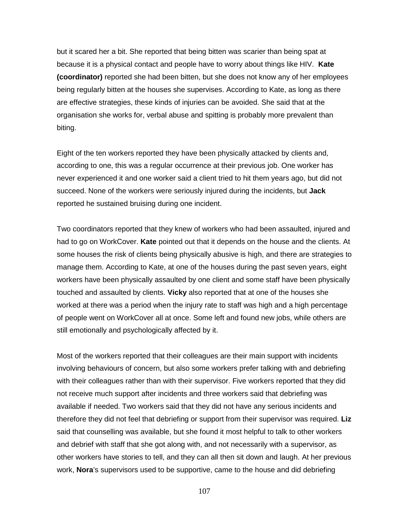but it scared her a bit. She reported that being bitten was scarier than being spat at because it is a physical contact and people have to worry about things like HIV. **Kate (coordinator)** reported she had been bitten, but she does not know any of her employees being regularly bitten at the houses she supervises. According to Kate, as long as there are effective strategies, these kinds of injuries can be avoided. She said that at the organisation she works for, verbal abuse and spitting is probably more prevalent than biting.

Eight of the ten workers reported they have been physically attacked by clients and, according to one, this was a regular occurrence at their previous job. One worker has never experienced it and one worker said a client tried to hit them years ago, but did not succeed. None of the workers were seriously injured during the incidents, but **Jack** reported he sustained bruising during one incident.

Two coordinators reported that they knew of workers who had been assaulted, injured and had to go on WorkCover. **Kate** pointed out that it depends on the house and the clients. At some houses the risk of clients being physically abusive is high, and there are strategies to manage them. According to Kate, at one of the houses during the past seven years, eight workers have been physically assaulted by one client and some staff have been physically touched and assaulted by clients. **Vicky** also reported that at one of the houses she worked at there was a period when the injury rate to staff was high and a high percentage of people went on WorkCover all at once. Some left and found new jobs, while others are still emotionally and psychologically affected by it.

Most of the workers reported that their colleagues are their main support with incidents involving behaviours of concern, but also some workers prefer talking with and debriefing with their colleagues rather than with their supervisor. Five workers reported that they did not receive much support after incidents and three workers said that debriefing was available if needed. Two workers said that they did not have any serious incidents and therefore they did not feel that debriefing or support from their supervisor was required. **Liz** said that counselling was available, but she found it most helpful to talk to other workers and debrief with staff that she got along with, and not necessarily with a supervisor, as other workers have stories to tell, and they can all then sit down and laugh. At her previous work, **Nora**'s supervisors used to be supportive, came to the house and did debriefing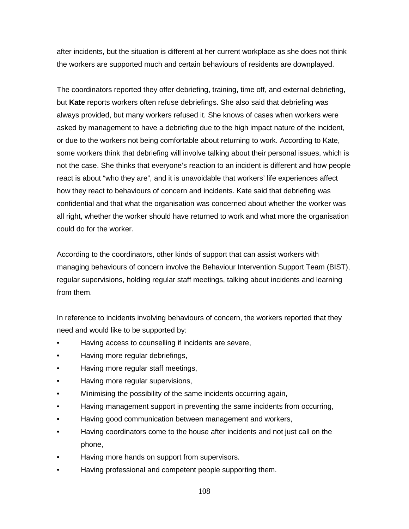after incidents, but the situation is different at her current workplace as she does not think the workers are supported much and certain behaviours of residents are downplayed.

The coordinators reported they offer debriefing, training, time off, and external debriefing, but **Kate** reports workers often refuse debriefings. She also said that debriefing was always provided, but many workers refused it. She knows of cases when workers were asked by management to have a debriefing due to the high impact nature of the incident, or due to the workers not being comfortable about returning to work. According to Kate, some workers think that debriefing will involve talking about their personal issues, which is not the case. She thinks that everyone's reaction to an incident is different and how people react is about "who they are", and it is unavoidable that workers' life experiences affect how they react to behaviours of concern and incidents. Kate said that debriefing was confidential and that what the organisation was concerned about whether the worker was all right, whether the worker should have returned to work and what more the organisation could do for the worker.

According to the coordinators, other kinds of support that can assist workers with managing behaviours of concern involve the Behaviour Intervention Support Team (BIST), regular supervisions, holding regular staff meetings, talking about incidents and learning from them.

In reference to incidents involving behaviours of concern, the workers reported that they need and would like to be supported by:

- Having access to counselling if incidents are severe,
- Having more regular debriefings,
- Having more regular staff meetings,
- Having more regular supervisions,
- Minimising the possibility of the same incidents occurring again,
- Having management support in preventing the same incidents from occurring,
- Having good communication between management and workers,
- Having coordinators come to the house after incidents and not just call on the phone,
- Having more hands on support from supervisors.
- Having professional and competent people supporting them.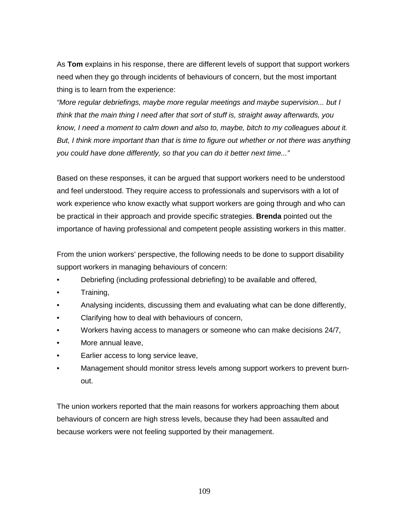As **Tom** explains in his response, there are different levels of support that support workers need when they go through incidents of behaviours of concern, but the most important thing is to learn from the experience:

*"More regular debriefings, maybe more regular meetings and maybe supervision... but I think that the main thing I need after that sort of stuff is, straight away afterwards, you know, I need a moment to calm down and also to, maybe, bitch to my colleagues about it. But, I think more important than that is time to figure out whether or not there was anything you could have done differently, so that you can do it better next time..."*

Based on these responses, it can be argued that support workers need to be understood and feel understood. They require access to professionals and supervisors with a lot of work experience who know exactly what support workers are going through and who can be practical in their approach and provide specific strategies. **Brenda** pointed out the importance of having professional and competent people assisting workers in this matter.

From the union workers' perspective, the following needs to be done to support disability support workers in managing behaviours of concern:

- Debriefing (including professional debriefing) to be available and offered,
- Training,
- Analysing incidents, discussing them and evaluating what can be done differently,
- Clarifying how to deal with behaviours of concern,
- Workers having access to managers or someone who can make decisions 24/7,
- More annual leave,
- Earlier access to long service leave,
- Management should monitor stress levels among support workers to prevent burnout.

The union workers reported that the main reasons for workers approaching them about behaviours of concern are high stress levels, because they had been assaulted and because workers were not feeling supported by their management.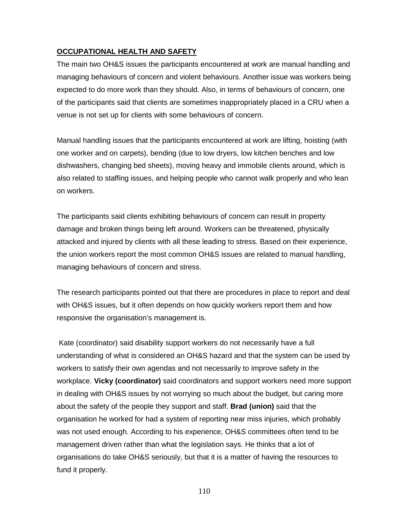# **OCCUPATIONAL HEALTH AND SAFETY**

The main two OH&S issues the participants encountered at work are manual handling and managing behaviours of concern and violent behaviours. Another issue was workers being expected to do more work than they should. Also, in terms of behaviours of concern, one of the participants said that clients are sometimes inappropriately placed in a CRU when a venue is not set up for clients with some behaviours of concern.

Manual handling issues that the participants encountered at work are lifting, hoisting (with one worker and on carpets), bending (due to low dryers, low kitchen benches and low dishwashers, changing bed sheets), moving heavy and immobile clients around, which is also related to staffing issues, and helping people who cannot walk properly and who lean on workers.

The participants said clients exhibiting behaviours of concern can result in property damage and broken things being left around. Workers can be threatened, physically attacked and injured by clients with all these leading to stress. Based on their experience, the union workers report the most common OH&S issues are related to manual handling, managing behaviours of concern and stress.

The research participants pointed out that there are procedures in place to report and deal with OH&S issues, but it often depends on how quickly workers report them and how responsive the organisation's management is.

Kate (coordinator) said disability support workers do not necessarily have a full understanding of what is considered an OH&S hazard and that the system can be used by workers to satisfy their own agendas and not necessarily to improve safety in the workplace. **Vicky (coordinator)** said coordinators and support workers need more support in dealing with OH&S issues by not worrying so much about the budget, but caring more about the safety of the people they support and staff. **Brad (union)** said that the organisation he worked for had a system of reporting near miss injuries, which probably was not used enough. According to his experience, OH&S committees often tend to be management driven rather than what the legislation says. He thinks that a lot of organisations do take OH&S seriously, but that it is a matter of having the resources to fund it properly.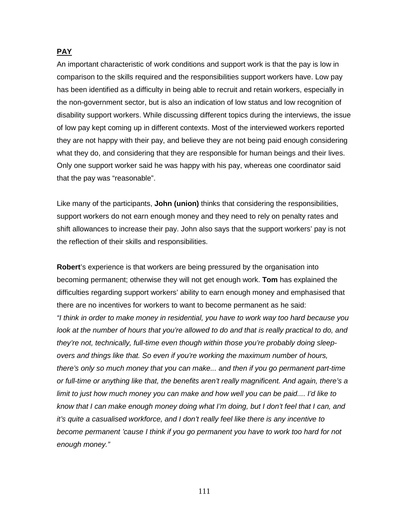# **PAY**

An important characteristic of work conditions and support work is that the pay is low in comparison to the skills required and the responsibilities support workers have. Low pay has been identified as a difficulty in being able to recruit and retain workers, especially in the non-government sector, but is also an indication of low status and low recognition of disability support workers. While discussing different topics during the interviews, the issue of low pay kept coming up in different contexts. Most of the interviewed workers reported they are not happy with their pay, and believe they are not being paid enough considering what they do, and considering that they are responsible for human beings and their lives. Only one support worker said he was happy with his pay, whereas one coordinator said that the pay was "reasonable".

Like many of the participants, **John (union)** thinks that considering the responsibilities, support workers do not earn enough money and they need to rely on penalty rates and shift allowances to increase their pay. John also says that the support workers' pay is not the reflection of their skills and responsibilities.

**Robert**'s experience is that workers are being pressured by the organisation into becoming permanent; otherwise they will not get enough work. **Tom** has explained the difficulties regarding support workers' ability to earn enough money and emphasised that there are no incentives for workers to want to become permanent as he said: *"I think in order to make money in residential, you have to work way too hard because you*  look at the number of hours that you're allowed to do and that is really practical to do, and *they're not, technically, full-time even though within those you're probably doing sleepovers and things like that. So even if you're working the maximum number of hours, there's only so much money that you can make... and then if you go permanent part-time or full-time or anything like that, the benefits aren't really magnificent. And again, there's a limit to just how much money you can make and how well you can be paid.... I'd like to know that I can make enough money doing what I'm doing, but I don't feel that I can, and it's quite a casualised workforce, and I don't really feel like there is any incentive to become permanent 'cause I think if you go permanent you have to work too hard for not enough money."*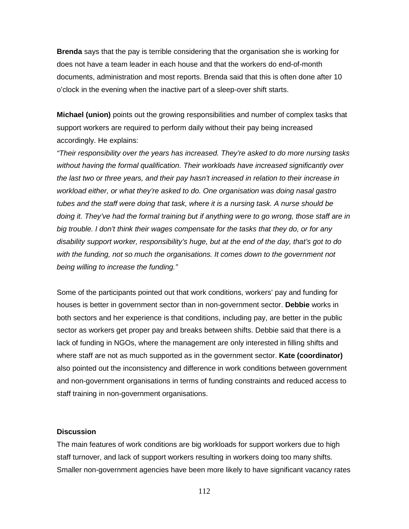**Brenda** says that the pay is terrible considering that the organisation she is working for does not have a team leader in each house and that the workers do end-of-month documents, administration and most reports. Brenda said that this is often done after 10 o'clock in the evening when the inactive part of a sleep-over shift starts.

**Michael (union)** points out the growing responsibilities and number of complex tasks that support workers are required to perform daily without their pay being increased accordingly. He explains:

*"Their responsibility over the years has increased. They're asked to do more nursing tasks without having the formal qualification. Their workloads have increased significantly over the last two or three years, and their pay hasn't increased in relation to their increase in workload either, or what they're asked to do. One organisation was doing nasal gastro tubes and the staff were doing that task, where it is a nursing task. A nurse should be doing it. They've had the formal training but if anything were to go wrong, those staff are in big trouble. I don't think their wages compensate for the tasks that they do, or for any disability support worker, responsibility's huge, but at the end of the day, that's got to do with the funding, not so much the organisations. It comes down to the government not being willing to increase the funding."*

Some of the participants pointed out that work conditions, workers' pay and funding for houses is better in government sector than in non-government sector. **Debbie** works in both sectors and her experience is that conditions, including pay, are better in the public sector as workers get proper pay and breaks between shifts. Debbie said that there is a lack of funding in NGOs, where the management are only interested in filling shifts and where staff are not as much supported as in the government sector. **Kate (coordinator)** also pointed out the inconsistency and difference in work conditions between government and non-government organisations in terms of funding constraints and reduced access to staff training in non-government organisations.

#### **Discussion**

The main features of work conditions are big workloads for support workers due to high staff turnover, and lack of support workers resulting in workers doing too many shifts. Smaller non-government agencies have been more likely to have significant vacancy rates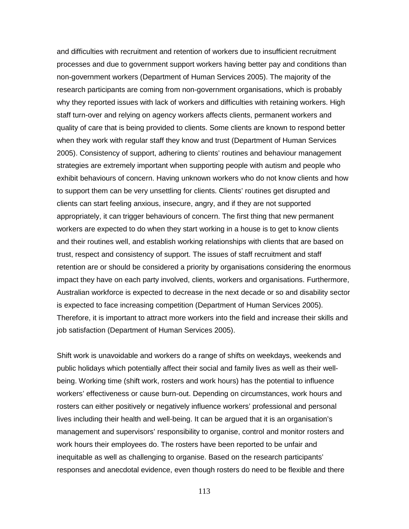and difficulties with recruitment and retention of workers due to insufficient recruitment processes and due to government support workers having better pay and conditions than non-government workers (Department of Human Services 2005). The majority of the research participants are coming from non-government organisations, which is probably why they reported issues with lack of workers and difficulties with retaining workers. High staff turn-over and relying on agency workers affects clients, permanent workers and quality of care that is being provided to clients. Some clients are known to respond better when they work with regular staff they know and trust (Department of Human Services 2005). Consistency of support, adhering to clients' routines and behaviour management strategies are extremely important when supporting people with autism and people who exhibit behaviours of concern. Having unknown workers who do not know clients and how to support them can be very unsettling for clients. Clients' routines get disrupted and clients can start feeling anxious, insecure, angry, and if they are not supported appropriately, it can trigger behaviours of concern. The first thing that new permanent workers are expected to do when they start working in a house is to get to know clients and their routines well, and establish working relationships with clients that are based on trust, respect and consistency of support. The issues of staff recruitment and staff retention are or should be considered a priority by organisations considering the enormous impact they have on each party involved, clients, workers and organisations. Furthermore, Australian workforce is expected to decrease in the next decade or so and disability sector is expected to face increasing competition (Department of Human Services 2005). Therefore, it is important to attract more workers into the field and increase their skills and job satisfaction (Department of Human Services 2005).

Shift work is unavoidable and workers do a range of shifts on weekdays, weekends and public holidays which potentially affect their social and family lives as well as their wellbeing. Working time (shift work, rosters and work hours) has the potential to influence workers' effectiveness or cause burn-out. Depending on circumstances, work hours and rosters can either positively or negatively influence workers' professional and personal lives including their health and well-being. It can be argued that it is an organisation's management and supervisors' responsibility to organise, control and monitor rosters and work hours their employees do. The rosters have been reported to be unfair and inequitable as well as challenging to organise. Based on the research participants' responses and anecdotal evidence, even though rosters do need to be flexible and there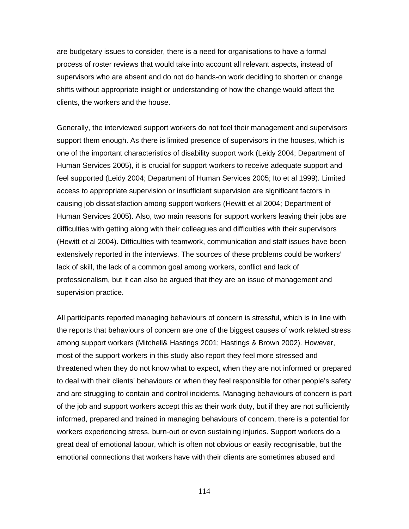are budgetary issues to consider, there is a need for organisations to have a formal process of roster reviews that would take into account all relevant aspects, instead of supervisors who are absent and do not do hands-on work deciding to shorten or change shifts without appropriate insight or understanding of how the change would affect the clients, the workers and the house.

Generally, the interviewed support workers do not feel their management and supervisors support them enough. As there is limited presence of supervisors in the houses, which is one of the important characteristics of disability support work (Leidy 2004; Department of Human Services 2005), it is crucial for support workers to receive adequate support and feel supported (Leidy 2004; Department of Human Services 2005; Ito et al 1999). Limited access to appropriate supervision or insufficient supervision are significant factors in causing job dissatisfaction among support workers (Hewitt et al 2004; Department of Human Services 2005). Also, two main reasons for support workers leaving their jobs are difficulties with getting along with their colleagues and difficulties with their supervisors (Hewitt et al 2004). Difficulties with teamwork, communication and staff issues have been extensively reported in the interviews. The sources of these problems could be workers' lack of skill, the lack of a common goal among workers, conflict and lack of professionalism, but it can also be argued that they are an issue of management and supervision practice.

All participants reported managing behaviours of concern is stressful, which is in line with the reports that behaviours of concern are one of the biggest causes of work related stress among support workers (Mitchell& Hastings 2001; Hastings & Brown 2002). However, most of the support workers in this study also report they feel more stressed and threatened when they do not know what to expect, when they are not informed or prepared to deal with their clients' behaviours or when they feel responsible for other people's safety and are struggling to contain and control incidents. Managing behaviours of concern is part of the job and support workers accept this as their work duty, but if they are not sufficiently informed, prepared and trained in managing behaviours of concern, there is a potential for workers experiencing stress, burn-out or even sustaining injuries. Support workers do a great deal of emotional labour, which is often not obvious or easily recognisable, but the emotional connections that workers have with their clients are sometimes abused and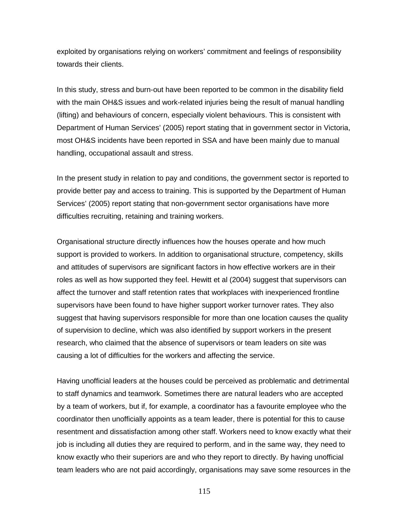exploited by organisations relying on workers' commitment and feelings of responsibility towards their clients.

In this study, stress and burn-out have been reported to be common in the disability field with the main OH&S issues and work-related injuries being the result of manual handling (lifting) and behaviours of concern, especially violent behaviours. This is consistent with Department of Human Services' (2005) report stating that in government sector in Victoria, most OH&S incidents have been reported in SSA and have been mainly due to manual handling, occupational assault and stress.

In the present study in relation to pay and conditions, the government sector is reported to provide better pay and access to training. This is supported by the Department of Human Services' (2005) report stating that non-government sector organisations have more difficulties recruiting, retaining and training workers.

Organisational structure directly influences how the houses operate and how much support is provided to workers. In addition to organisational structure, competency, skills and attitudes of supervisors are significant factors in how effective workers are in their roles as well as how supported they feel. Hewitt et al (2004) suggest that supervisors can affect the turnover and staff retention rates that workplaces with inexperienced frontline supervisors have been found to have higher support worker turnover rates. They also suggest that having supervisors responsible for more than one location causes the quality of supervision to decline, which was also identified by support workers in the present research, who claimed that the absence of supervisors or team leaders on site was causing a lot of difficulties for the workers and affecting the service.

Having unofficial leaders at the houses could be perceived as problematic and detrimental to staff dynamics and teamwork. Sometimes there are natural leaders who are accepted by a team of workers, but if, for example, a coordinator has a favourite employee who the coordinator then unofficially appoints as a team leader, there is potential for this to cause resentment and dissatisfaction among other staff. Workers need to know exactly what their job is including all duties they are required to perform, and in the same way, they need to know exactly who their superiors are and who they report to directly. By having unofficial team leaders who are not paid accordingly, organisations may save some resources in the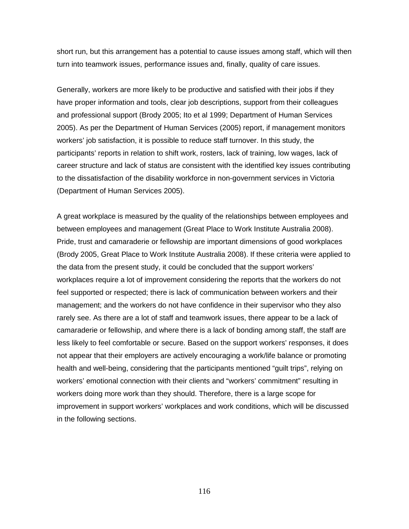short run, but this arrangement has a potential to cause issues among staff, which will then turn into teamwork issues, performance issues and, finally, quality of care issues.

Generally, workers are more likely to be productive and satisfied with their jobs if they have proper information and tools, clear job descriptions, support from their colleagues and professional support (Brody 2005; Ito et al 1999; Department of Human Services 2005). As per the Department of Human Services (2005) report, if management monitors workers' job satisfaction, it is possible to reduce staff turnover. In this study, the participants' reports in relation to shift work, rosters, lack of training, low wages, lack of career structure and lack of status are consistent with the identified key issues contributing to the dissatisfaction of the disability workforce in non-government services in Victoria (Department of Human Services 2005).

A great workplace is measured by the quality of the relationships between employees and between employees and management (Great Place to Work Institute Australia 2008). Pride, trust and camaraderie or fellowship are important dimensions of good workplaces (Brody 2005, Great Place to Work Institute Australia 2008). If these criteria were applied to the data from the present study, it could be concluded that the support workers' workplaces require a lot of improvement considering the reports that the workers do not feel supported or respected; there is lack of communication between workers and their management; and the workers do not have confidence in their supervisor who they also rarely see. As there are a lot of staff and teamwork issues, there appear to be a lack of camaraderie or fellowship, and where there is a lack of bonding among staff, the staff are less likely to feel comfortable or secure. Based on the support workers' responses, it does not appear that their employers are actively encouraging a work/life balance or promoting health and well-being, considering that the participants mentioned "guilt trips", relying on workers' emotional connection with their clients and "workers' commitment" resulting in workers doing more work than they should. Therefore, there is a large scope for improvement in support workers' workplaces and work conditions, which will be discussed in the following sections.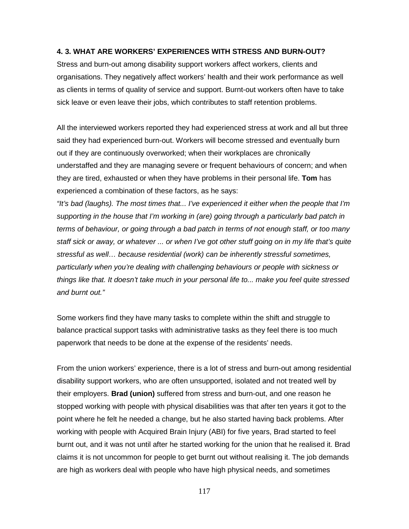## **4. 3. WHAT ARE WORKERS' EXPERIENCES WITH STRESS AND BURN-OUT?**

Stress and burn-out among disability support workers affect workers, clients and organisations. They negatively affect workers' health and their work performance as well as clients in terms of quality of service and support. Burnt-out workers often have to take sick leave or even leave their jobs, which contributes to staff retention problems.

All the interviewed workers reported they had experienced stress at work and all but three said they had experienced burn-out. Workers will become stressed and eventually burn out if they are continuously overworked; when their workplaces are chronically understaffed and they are managing severe or frequent behaviours of concern; and when they are tired, exhausted or when they have problems in their personal life. **Tom** has experienced a combination of these factors, as he says:

*"It's bad (laughs). The most times that... I've experienced it either when the people that I'm supporting in the house that I'm working in (are) going through a particularly bad patch in terms of behaviour, or going through a bad patch in terms of not enough staff, or too many staff sick or away, or whatever ... or when I've got other stuff going on in my life that's quite stressful as well… because residential (work) can be inherently stressful sometimes, particularly when you're dealing with challenging behaviours or people with sickness or things like that. It doesn't take much in your personal life to... make you feel quite stressed and burnt out."*

Some workers find they have many tasks to complete within the shift and struggle to balance practical support tasks with administrative tasks as they feel there is too much paperwork that needs to be done at the expense of the residents' needs.

From the union workers' experience, there is a lot of stress and burn-out among residential disability support workers, who are often unsupported, isolated and not treated well by their employers. **Brad (union)** suffered from stress and burn-out, and one reason he stopped working with people with physical disabilities was that after ten years it got to the point where he felt he needed a change, but he also started having back problems. After working with people with Acquired Brain Injury (ABI) for five years, Brad started to feel burnt out, and it was not until after he started working for the union that he realised it. Brad claims it is not uncommon for people to get burnt out without realising it. The job demands are high as workers deal with people who have high physical needs, and sometimes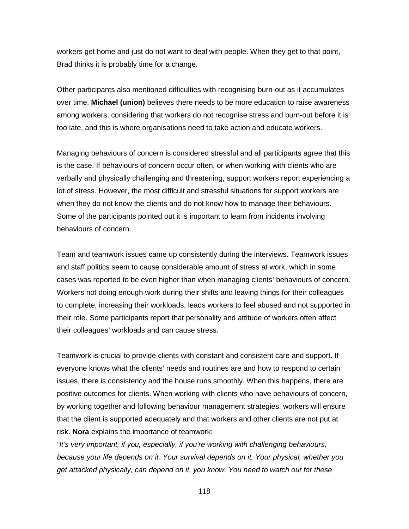workers get home and just do not want to deal with people. When they get to that point, Brad thinks it is probably time for a change.

Other participants also mentioned difficulties with recognising burn-out as it accumulates over time. **Michael (union)** believes there needs to be more education to raise awareness among workers, considering that workers do not recognise stress and burn-out before it is too late, and this is where organisations need to take action and educate workers.

Managing behaviours of concern is considered stressful and all participants agree that this is the case. If behaviours of concern occur often, or when working with clients who are verbally and physically challenging and threatening, support workers report experiencing a lot of stress. However, the most difficult and stressful situations for support workers are when they do not know the clients and do not know how to manage their behaviours. Some of the participants pointed out it is important to learn from incidents involving behaviours of concern.

Team and teamwork issues came up consistently during the interviews. Teamwork issues and staff politics seem to cause considerable amount of stress at work, which in some cases was reported to be even higher than when managing clients' behaviours of concern. Workers not doing enough work during their shifts and leaving things for their colleagues to complete, increasing their workloads, leads workers to feel abused and not supported in their role. Some participants report that personality and attitude of workers often affect their colleagues' workloads and can cause stress.

Teamwork is crucial to provide clients with constant and consistent care and support. If everyone knows what the clients' needs and routines are and how to respond to certain issues, there is consistency and the house runs smoothly. When this happens, there are positive outcomes for clients. When working with clients who have behaviours of concern, by working together and following behaviour management strategies, workers will ensure that the client is supported adequately and that workers and other clients are not put at risk. **Nora** explains the importance of teamwork:

*"It's very important, if you, especially, if you're working with challenging behaviours, because your life depends on it. Your survival depends on it. Your physical, whether you get attacked physically, can depend on it, you know. You need to watch out for these*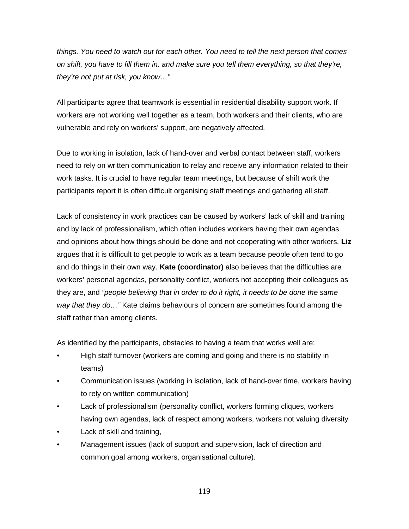*things. You need to watch out for each other. You need to tell the next person that comes on shift, you have to fill them in, and make sure you tell them everything, so that they're, they're not put at risk, you know…"*

All participants agree that teamwork is essential in residential disability support work. If workers are not working well together as a team, both workers and their clients, who are vulnerable and rely on workers' support, are negatively affected.

Due to working in isolation, lack of hand-over and verbal contact between staff, workers need to rely on written communication to relay and receive any information related to their work tasks. It is crucial to have regular team meetings, but because of shift work the participants report it is often difficult organising staff meetings and gathering all staff.

Lack of consistency in work practices can be caused by workers' lack of skill and training and by lack of professionalism, which often includes workers having their own agendas and opinions about how things should be done and not cooperating with other workers. **Liz** argues that it is difficult to get people to work as a team because people often tend to go and do things in their own way. **Kate (coordinator)** also believes that the difficulties are workers' personal agendas, personality conflict, workers not accepting their colleagues as they are, and *"people believing that in order to do it right, it needs to be done the same way that they do…"* Kate claims behaviours of concern are sometimes found among the staff rather than among clients.

As identified by the participants, obstacles to having a team that works well are:

- High staff turnover (workers are coming and going and there is no stability in teams)
- Communication issues (working in isolation, lack of hand-over time, workers having to rely on written communication)
- Lack of professionalism (personality conflict, workers forming cliques, workers having own agendas, lack of respect among workers, workers not valuing diversity
- Lack of skill and training,
- Management issues (lack of support and supervision, lack of direction and common goal among workers, organisational culture).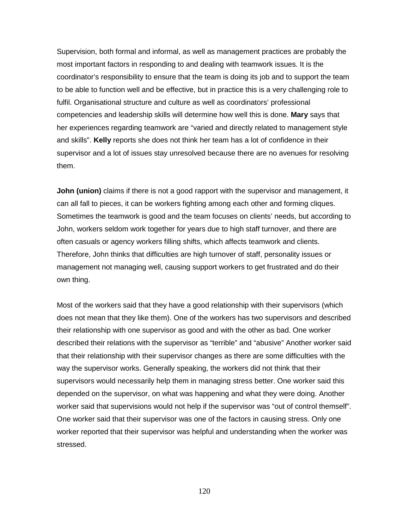Supervision, both formal and informal, as well as management practices are probably the most important factors in responding to and dealing with teamwork issues. It is the coordinator's responsibility to ensure that the team is doing its job and to support the team to be able to function well and be effective, but in practice this is a very challenging role to fulfil. Organisational structure and culture as well as coordinators' professional competencies and leadership skills will determine how well this is done. **Mary** says that her experiences regarding teamwork are "varied and directly related to management style and skills". **Kelly** reports she does not think her team has a lot of confidence in their supervisor and a lot of issues stay unresolved because there are no avenues for resolving them.

**John (union)** claims if there is not a good rapport with the supervisor and management, it can all fall to pieces, it can be workers fighting among each other and forming cliques. Sometimes the teamwork is good and the team focuses on clients' needs, but according to John, workers seldom work together for years due to high staff turnover, and there are often casuals or agency workers filling shifts, which affects teamwork and clients. Therefore, John thinks that difficulties are high turnover of staff, personality issues or management not managing well, causing support workers to get frustrated and do their own thing.

Most of the workers said that they have a good relationship with their supervisors (which does not mean that they like them). One of the workers has two supervisors and described their relationship with one supervisor as good and with the other as bad. One worker described their relations with the supervisor as "terrible" and "abusive" Another worker said that their relationship with their supervisor changes as there are some difficulties with the way the supervisor works. Generally speaking, the workers did not think that their supervisors would necessarily help them in managing stress better. One worker said this depended on the supervisor, on what was happening and what they were doing. Another worker said that supervisions would not help if the supervisor was "out of control themself". One worker said that their supervisor was one of the factors in causing stress. Only one worker reported that their supervisor was helpful and understanding when the worker was stressed.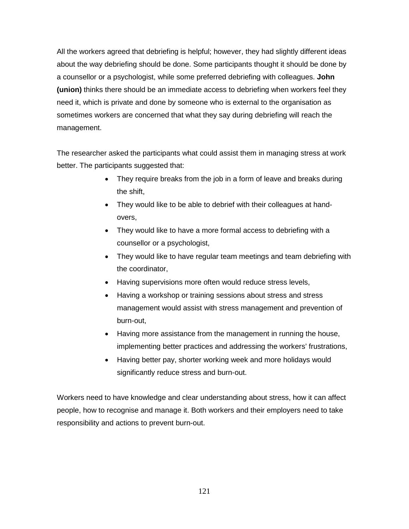All the workers agreed that debriefing is helpful; however, they had slightly different ideas about the way debriefing should be done. Some participants thought it should be done by a counsellor or a psychologist, while some preferred debriefing with colleagues. **John (union)** thinks there should be an immediate access to debriefing when workers feel they need it, which is private and done by someone who is external to the organisation as sometimes workers are concerned that what they say during debriefing will reach the management.

The researcher asked the participants what could assist them in managing stress at work better. The participants suggested that:

- They require breaks from the job in a form of leave and breaks during the shift,
- They would like to be able to debrief with their colleagues at handovers,
- They would like to have a more formal access to debriefing with a counsellor or a psychologist,
- They would like to have regular team meetings and team debriefing with the coordinator,
- Having supervisions more often would reduce stress levels,
- Having a workshop or training sessions about stress and stress management would assist with stress management and prevention of burn-out,
- Having more assistance from the management in running the house, implementing better practices and addressing the workers' frustrations,
- Having better pay, shorter working week and more holidays would significantly reduce stress and burn-out.

Workers need to have knowledge and clear understanding about stress, how it can affect people, how to recognise and manage it. Both workers and their employers need to take responsibility and actions to prevent burn-out.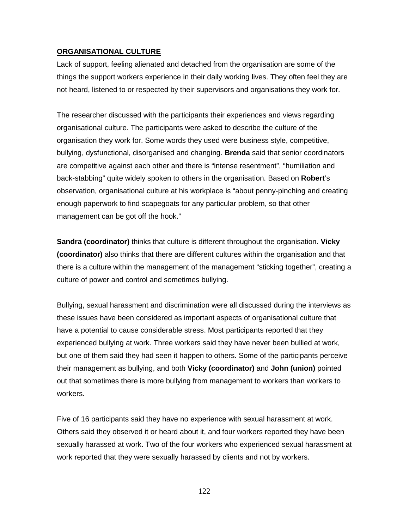# **ORGANISATIONAL CULTURE**

Lack of support, feeling alienated and detached from the organisation are some of the things the support workers experience in their daily working lives. They often feel they are not heard, listened to or respected by their supervisors and organisations they work for.

The researcher discussed with the participants their experiences and views regarding organisational culture. The participants were asked to describe the culture of the organisation they work for. Some words they used were business style, competitive, bullying, dysfunctional, disorganised and changing. **Brenda** said that senior coordinators are competitive against each other and there is "intense resentment", "humiliation and back-stabbing" quite widely spoken to others in the organisation. Based on **Robert**'s observation, organisational culture at his workplace is "about penny-pinching and creating enough paperwork to find scapegoats for any particular problem, so that other management can be got off the hook."

**Sandra (coordinator)** thinks that culture is different throughout the organisation. **Vicky (coordinator)** also thinks that there are different cultures within the organisation and that there is a culture within the management of the management "sticking together", creating a culture of power and control and sometimes bullying.

Bullying, sexual harassment and discrimination were all discussed during the interviews as these issues have been considered as important aspects of organisational culture that have a potential to cause considerable stress. Most participants reported that they experienced bullying at work. Three workers said they have never been bullied at work, but one of them said they had seen it happen to others. Some of the participants perceive their management as bullying, and both **Vicky (coordinator)** and **John (union)** pointed out that sometimes there is more bullying from management to workers than workers to workers.

Five of 16 participants said they have no experience with sexual harassment at work. Others said they observed it or heard about it, and four workers reported they have been sexually harassed at work. Two of the four workers who experienced sexual harassment at work reported that they were sexually harassed by clients and not by workers.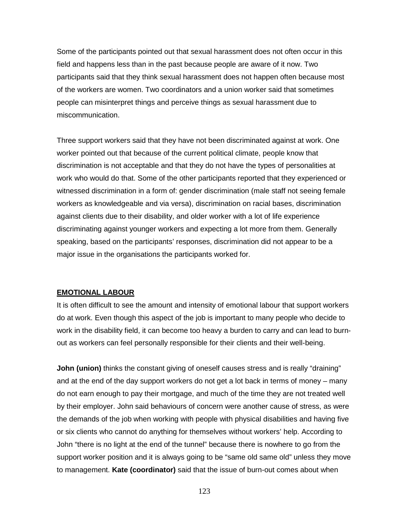Some of the participants pointed out that sexual harassment does not often occur in this field and happens less than in the past because people are aware of it now. Two participants said that they think sexual harassment does not happen often because most of the workers are women. Two coordinators and a union worker said that sometimes people can misinterpret things and perceive things as sexual harassment due to miscommunication.

Three support workers said that they have not been discriminated against at work. One worker pointed out that because of the current political climate, people know that discrimination is not acceptable and that they do not have the types of personalities at work who would do that. Some of the other participants reported that they experienced or witnessed discrimination in a form of: gender discrimination (male staff not seeing female workers as knowledgeable and via versa), discrimination on racial bases, discrimination against clients due to their disability, and older worker with a lot of life experience discriminating against younger workers and expecting a lot more from them. Generally speaking, based on the participants' responses, discrimination did not appear to be a major issue in the organisations the participants worked for.

## **EMOTIONAL LABOUR**

It is often difficult to see the amount and intensity of emotional labour that support workers do at work. Even though this aspect of the job is important to many people who decide to work in the disability field, it can become too heavy a burden to carry and can lead to burnout as workers can feel personally responsible for their clients and their well-being.

**John (union)** thinks the constant giving of oneself causes stress and is really "draining" and at the end of the day support workers do not get a lot back in terms of money – many do not earn enough to pay their mortgage, and much of the time they are not treated well by their employer. John said behaviours of concern were another cause of stress, as were the demands of the job when working with people with physical disabilities and having five or six clients who cannot do anything for themselves without workers' help. According to John "there is no light at the end of the tunnel" because there is nowhere to go from the support worker position and it is always going to be "same old same old" unless they move to management. **Kate (coordinator)** said that the issue of burn-out comes about when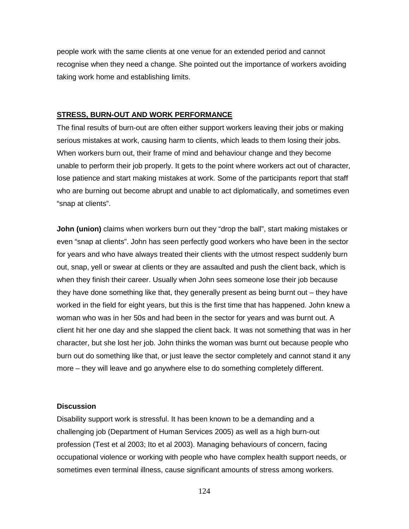people work with the same clients at one venue for an extended period and cannot recognise when they need a change. She pointed out the importance of workers avoiding taking work home and establishing limits.

#### **STRESS, BURN-OUT AND WORK PERFORMANCE**

The final results of burn-out are often either support workers leaving their jobs or making serious mistakes at work, causing harm to clients, which leads to them losing their jobs. When workers burn out, their frame of mind and behaviour change and they become unable to perform their job properly. It gets to the point where workers act out of character, lose patience and start making mistakes at work. Some of the participants report that staff who are burning out become abrupt and unable to act diplomatically, and sometimes even "snap at clients".

**John (union)** claims when workers burn out they "drop the ball", start making mistakes or even "snap at clients". John has seen perfectly good workers who have been in the sector for years and who have always treated their clients with the utmost respect suddenly burn out, snap, yell or swear at clients or they are assaulted and push the client back, which is when they finish their career. Usually when John sees someone lose their job because they have done something like that, they generally present as being burnt out – they have worked in the field for eight years, but this is the first time that has happened. John knew a woman who was in her 50s and had been in the sector for years and was burnt out. A client hit her one day and she slapped the client back. It was not something that was in her character, but she lost her job. John thinks the woman was burnt out because people who burn out do something like that, or just leave the sector completely and cannot stand it any more – they will leave and go anywhere else to do something completely different.

### **Discussion**

Disability support work is stressful. It has been known to be a demanding and a challenging job (Department of Human Services 2005) as well as a high burn-out profession (Test et al 2003; Ito et al 2003). Managing behaviours of concern, facing occupational violence or working with people who have complex health support needs, or sometimes even terminal illness, cause significant amounts of stress among workers.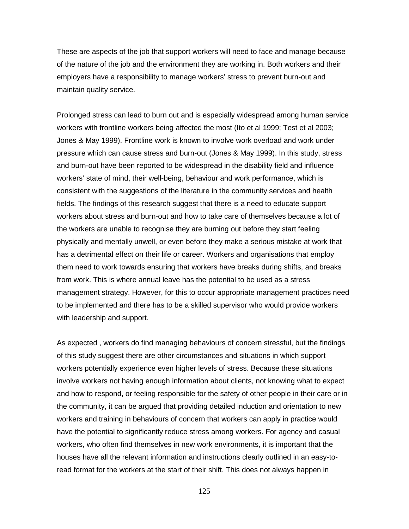These are aspects of the job that support workers will need to face and manage because of the nature of the job and the environment they are working in. Both workers and their employers have a responsibility to manage workers' stress to prevent burn-out and maintain quality service.

Prolonged stress can lead to burn out and is especially widespread among human service workers with frontline workers being affected the most (Ito et al 1999; Test et al 2003; Jones & May 1999). Frontline work is known to involve work overload and work under pressure which can cause stress and burn-out (Jones & May 1999). In this study, stress and burn-out have been reported to be widespread in the disability field and influence workers' state of mind, their well-being, behaviour and work performance, which is consistent with the suggestions of the literature in the community services and health fields. The findings of this research suggest that there is a need to educate support workers about stress and burn-out and how to take care of themselves because a lot of the workers are unable to recognise they are burning out before they start feeling physically and mentally unwell, or even before they make a serious mistake at work that has a detrimental effect on their life or career. Workers and organisations that employ them need to work towards ensuring that workers have breaks during shifts, and breaks from work. This is where annual leave has the potential to be used as a stress management strategy. However, for this to occur appropriate management practices need to be implemented and there has to be a skilled supervisor who would provide workers with leadership and support.

As expected , workers do find managing behaviours of concern stressful, but the findings of this study suggest there are other circumstances and situations in which support workers potentially experience even higher levels of stress. Because these situations involve workers not having enough information about clients, not knowing what to expect and how to respond, or feeling responsible for the safety of other people in their care or in the community, it can be argued that providing detailed induction and orientation to new workers and training in behaviours of concern that workers can apply in practice would have the potential to significantly reduce stress among workers. For agency and casual workers, who often find themselves in new work environments, it is important that the houses have all the relevant information and instructions clearly outlined in an easy-toread format for the workers at the start of their shift. This does not always happen in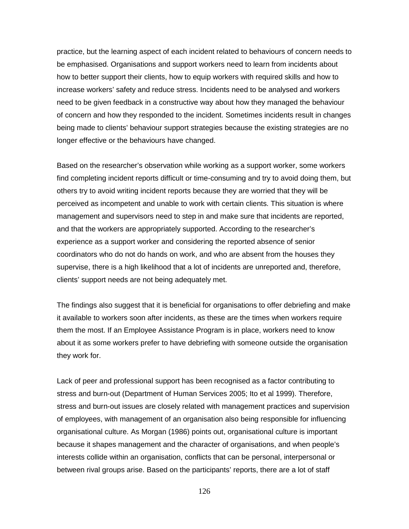practice, but the learning aspect of each incident related to behaviours of concern needs to be emphasised. Organisations and support workers need to learn from incidents about how to better support their clients, how to equip workers with required skills and how to increase workers' safety and reduce stress. Incidents need to be analysed and workers need to be given feedback in a constructive way about how they managed the behaviour of concern and how they responded to the incident. Sometimes incidents result in changes being made to clients' behaviour support strategies because the existing strategies are no longer effective or the behaviours have changed.

Based on the researcher's observation while working as a support worker, some workers find completing incident reports difficult or time-consuming and try to avoid doing them, but others try to avoid writing incident reports because they are worried that they will be perceived as incompetent and unable to work with certain clients. This situation is where management and supervisors need to step in and make sure that incidents are reported, and that the workers are appropriately supported. According to the researcher's experience as a support worker and considering the reported absence of senior coordinators who do not do hands on work, and who are absent from the houses they supervise, there is a high likelihood that a lot of incidents are unreported and, therefore, clients' support needs are not being adequately met.

The findings also suggest that it is beneficial for organisations to offer debriefing and make it available to workers soon after incidents, as these are the times when workers require them the most. If an Employee Assistance Program is in place, workers need to know about it as some workers prefer to have debriefing with someone outside the organisation they work for.

Lack of peer and professional support has been recognised as a factor contributing to stress and burn-out (Department of Human Services 2005; Ito et al 1999). Therefore, stress and burn-out issues are closely related with management practices and supervision of employees, with management of an organisation also being responsible for influencing organisational culture. As Morgan (1986) points out, organisational culture is important because it shapes management and the character of organisations, and when people's interests collide within an organisation, conflicts that can be personal, interpersonal or between rival groups arise. Based on the participants' reports, there are a lot of staff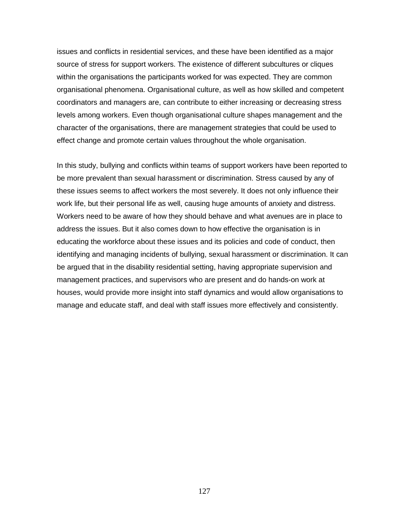issues and conflicts in residential services, and these have been identified as a major source of stress for support workers. The existence of different subcultures or cliques within the organisations the participants worked for was expected. They are common organisational phenomena. Organisational culture, as well as how skilled and competent coordinators and managers are, can contribute to either increasing or decreasing stress levels among workers. Even though organisational culture shapes management and the character of the organisations, there are management strategies that could be used to effect change and promote certain values throughout the whole organisation.

In this study, bullying and conflicts within teams of support workers have been reported to be more prevalent than sexual harassment or discrimination. Stress caused by any of these issues seems to affect workers the most severely. It does not only influence their work life, but their personal life as well, causing huge amounts of anxiety and distress. Workers need to be aware of how they should behave and what avenues are in place to address the issues. But it also comes down to how effective the organisation is in educating the workforce about these issues and its policies and code of conduct, then identifying and managing incidents of bullying, sexual harassment or discrimination. It can be argued that in the disability residential setting, having appropriate supervision and management practices, and supervisors who are present and do hands-on work at houses, would provide more insight into staff dynamics and would allow organisations to manage and educate staff, and deal with staff issues more effectively and consistently.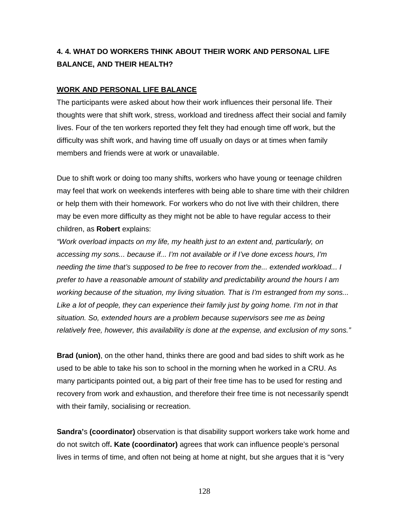# **4. 4. WHAT DO WORKERS THINK ABOUT THEIR WORK AND PERSONAL LIFE BALANCE, AND THEIR HEALTH?**

# **WORK AND PERSONAL LIFE BALANCE**

The participants were asked about how their work influences their personal life. Their thoughts were that shift work, stress, workload and tiredness affect their social and family lives. Four of the ten workers reported they felt they had enough time off work, but the difficulty was shift work, and having time off usually on days or at times when family members and friends were at work or unavailable.

Due to shift work or doing too many shifts, workers who have young or teenage children may feel that work on weekends interferes with being able to share time with their children or help them with their homework. For workers who do not live with their children, there may be even more difficulty as they might not be able to have regular access to their children, as **Robert** explains:

*"Work overload impacts on my life, my health just to an extent and, particularly, on accessing my sons... because if... I'm not available or if I've done excess hours, I'm needing the time that's supposed to be free to recover from the... extended workload... I prefer to have a reasonable amount of stability and predictability around the hours I am working because of the situation, my living situation. That is I'm estranged from my sons...*  Like a lot of people, they can experience their family just by going home. I'm not in that *situation. So, extended hours are a problem because supervisors see me as being relatively free, however, this availability is done at the expense, and exclusion of my sons."* 

**Brad (union)**, on the other hand, thinks there are good and bad sides to shift work as he used to be able to take his son to school in the morning when he worked in a CRU. As many participants pointed out, a big part of their free time has to be used for resting and recovery from work and exhaustion, and therefore their free time is not necessarily spendt with their family, socialising or recreation.

**Sandra'**s **(coordinator)** observation is that disability support workers take work home and do not switch off**. Kate (coordinator)** agrees that work can influence people's personal lives in terms of time, and often not being at home at night, but she argues that it is "very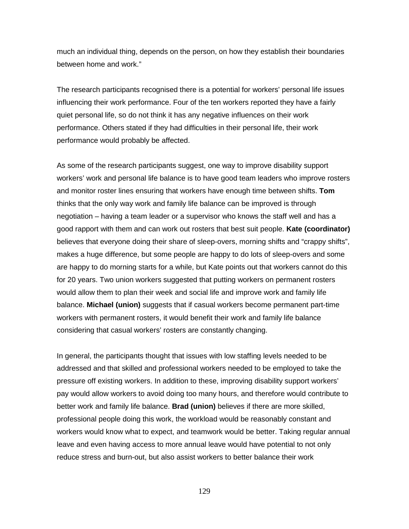much an individual thing, depends on the person, on how they establish their boundaries between home and work."

The research participants recognised there is a potential for workers' personal life issues influencing their work performance. Four of the ten workers reported they have a fairly quiet personal life, so do not think it has any negative influences on their work performance. Others stated if they had difficulties in their personal life, their work performance would probably be affected.

As some of the research participants suggest, one way to improve disability support workers' work and personal life balance is to have good team leaders who improve rosters and monitor roster lines ensuring that workers have enough time between shifts. **Tom** thinks that the only way work and family life balance can be improved is through negotiation – having a team leader or a supervisor who knows the staff well and has a good rapport with them and can work out rosters that best suit people. **Kate (coordinator)** believes that everyone doing their share of sleep-overs, morning shifts and "crappy shifts", makes a huge difference, but some people are happy to do lots of sleep-overs and some are happy to do morning starts for a while, but Kate points out that workers cannot do this for 20 years. Two union workers suggested that putting workers on permanent rosters would allow them to plan their week and social life and improve work and family life balance. **Michael (union)** suggests that if casual workers become permanent part-time workers with permanent rosters, it would benefit their work and family life balance considering that casual workers' rosters are constantly changing.

In general, the participants thought that issues with low staffing levels needed to be addressed and that skilled and professional workers needed to be employed to take the pressure off existing workers. In addition to these, improving disability support workers' pay would allow workers to avoid doing too many hours, and therefore would contribute to better work and family life balance. **Brad (union)** believes if there are more skilled, professional people doing this work, the workload would be reasonably constant and workers would know what to expect, and teamwork would be better. Taking regular annual leave and even having access to more annual leave would have potential to not only reduce stress and burn-out, but also assist workers to better balance their work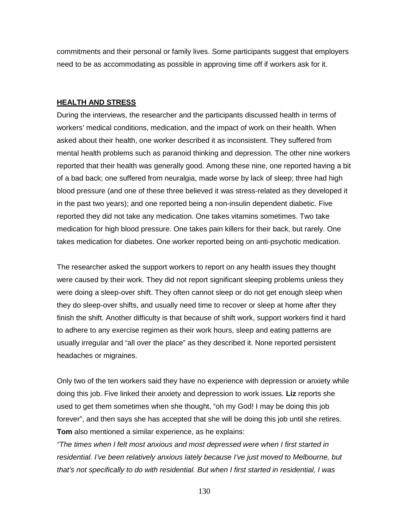commitments and their personal or family lives. Some participants suggest that employers need to be as accommodating as possible in approving time off if workers ask for it.

#### **HEALTH AND STRESS**

During the interviews, the researcher and the participants discussed health in terms of workers' medical conditions, medication, and the impact of work on their health. When asked about their health, one worker described it as inconsistent. They suffered from mental health problems such as paranoid thinking and depression. The other nine workers reported that their health was generally good. Among these nine, one reported having a bit of a bad back; one suffered from neuralgia, made worse by lack of sleep; three had high blood pressure (and one of these three believed it was stress-related as they developed it in the past two years); and one reported being a non-insulin dependent diabetic. Five reported they did not take any medication. One takes vitamins sometimes. Two take medication for high blood pressure. One takes pain killers for their back, but rarely. One takes medication for diabetes. One worker reported being on anti-psychotic medication.

The researcher asked the support workers to report on any health issues they thought were caused by their work. They did not report significant sleeping problems unless they were doing a sleep-over shift. They often cannot sleep or do not get enough sleep when they do sleep-over shifts, and usually need time to recover or sleep at home after they finish the shift. Another difficulty is that because of shift work, support workers find it hard to adhere to any exercise regimen as their work hours, sleep and eating patterns are usually irregular and "all over the place" as they described it. None reported persistent headaches or migraines.

Only two of the ten workers said they have no experience with depression or anxiety while doing this job. Five linked their anxiety and depression to work issues. **Liz** reports she used to get them sometimes when she thought, "oh my God! I may be doing this job forever", and then says she has accepted that she will be doing this job until she retires. **Tom** also mentioned a similar experience, as he explains:

*"The times when I felt most anxious and most depressed were when I first started in residential. I've been relatively anxious lately because I've just moved to Melbourne, but that's not specifically to do with residential. But when I first started in residential, I was*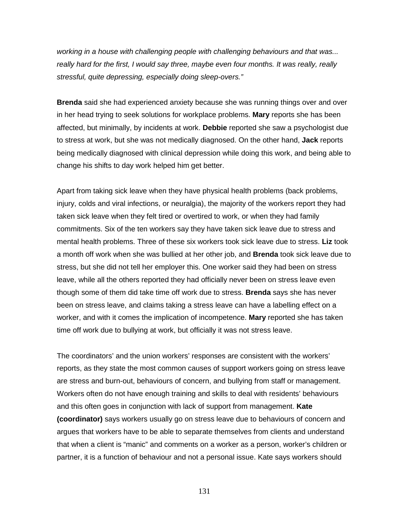*working in a house with challenging people with challenging behaviours and that was... really hard for the first, I would say three, maybe even four months. It was really, really stressful, quite depressing, especially doing sleep-overs."* 

**Brenda** said she had experienced anxiety because she was running things over and over in her head trying to seek solutions for workplace problems. **Mary** reports she has been affected, but minimally, by incidents at work. **Debbie** reported she saw a psychologist due to stress at work, but she was not medically diagnosed. On the other hand, **Jack** reports being medically diagnosed with clinical depression while doing this work, and being able to change his shifts to day work helped him get better.

Apart from taking sick leave when they have physical health problems (back problems, injury, colds and viral infections, or neuralgia), the majority of the workers report they had taken sick leave when they felt tired or overtired to work, or when they had family commitments. Six of the ten workers say they have taken sick leave due to stress and mental health problems. Three of these six workers took sick leave due to stress. **Liz** took a month off work when she was bullied at her other job, and **Brenda** took sick leave due to stress, but she did not tell her employer this. One worker said they had been on stress leave, while all the others reported they had officially never been on stress leave even though some of them did take time off work due to stress. **Brenda** says she has never been on stress leave, and claims taking a stress leave can have a labelling effect on a worker, and with it comes the implication of incompetence. **Mary** reported she has taken time off work due to bullying at work, but officially it was not stress leave.

The coordinators' and the union workers' responses are consistent with the workers' reports, as they state the most common causes of support workers going on stress leave are stress and burn-out, behaviours of concern, and bullying from staff or management. Workers often do not have enough training and skills to deal with residents' behaviours and this often goes in conjunction with lack of support from management. **Kate (coordinator)** says workers usually go on stress leave due to behaviours of concern and argues that workers have to be able to separate themselves from clients and understand that when a client is "manic" and comments on a worker as a person, worker's children or partner, it is a function of behaviour and not a personal issue. Kate says workers should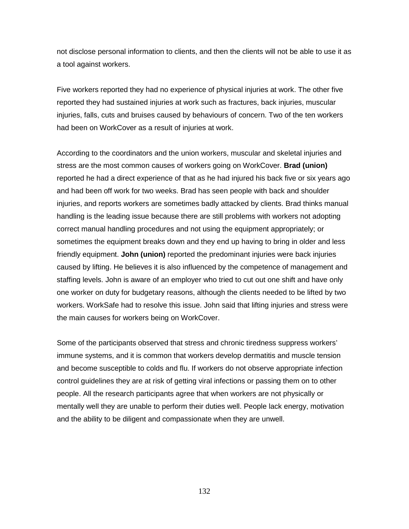not disclose personal information to clients, and then the clients will not be able to use it as a tool against workers.

Five workers reported they had no experience of physical injuries at work. The other five reported they had sustained injuries at work such as fractures, back injuries, muscular injuries, falls, cuts and bruises caused by behaviours of concern. Two of the ten workers had been on WorkCover as a result of injuries at work.

According to the coordinators and the union workers, muscular and skeletal injuries and stress are the most common causes of workers going on WorkCover. **Brad (union)** reported he had a direct experience of that as he had injured his back five or six years ago and had been off work for two weeks. Brad has seen people with back and shoulder injuries, and reports workers are sometimes badly attacked by clients. Brad thinks manual handling is the leading issue because there are still problems with workers not adopting correct manual handling procedures and not using the equipment appropriately; or sometimes the equipment breaks down and they end up having to bring in older and less friendly equipment. **John (union)** reported the predominant injuries were back injuries caused by lifting. He believes it is also influenced by the competence of management and staffing levels. John is aware of an employer who tried to cut out one shift and have only one worker on duty for budgetary reasons, although the clients needed to be lifted by two workers. WorkSafe had to resolve this issue. John said that lifting injuries and stress were the main causes for workers being on WorkCover.

Some of the participants observed that stress and chronic tiredness suppress workers' immune systems, and it is common that workers develop dermatitis and muscle tension and become susceptible to colds and flu. If workers do not observe appropriate infection control guidelines they are at risk of getting viral infections or passing them on to other people. All the research participants agree that when workers are not physically or mentally well they are unable to perform their duties well. People lack energy, motivation and the ability to be diligent and compassionate when they are unwell.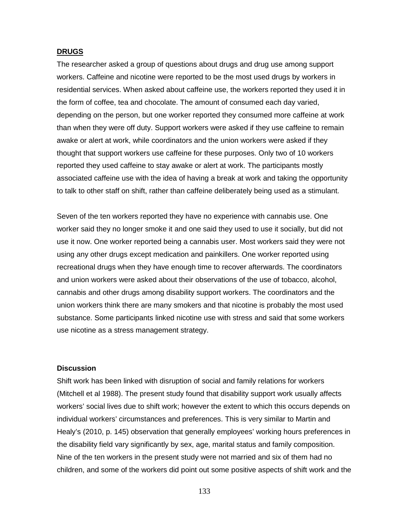## **DRUGS**

The researcher asked a group of questions about drugs and drug use among support workers. Caffeine and nicotine were reported to be the most used drugs by workers in residential services. When asked about caffeine use, the workers reported they used it in the form of coffee, tea and chocolate. The amount of consumed each day varied, depending on the person, but one worker reported they consumed more caffeine at work than when they were off duty. Support workers were asked if they use caffeine to remain awake or alert at work, while coordinators and the union workers were asked if they thought that support workers use caffeine for these purposes. Only two of 10 workers reported they used caffeine to stay awake or alert at work. The participants mostly associated caffeine use with the idea of having a break at work and taking the opportunity to talk to other staff on shift, rather than caffeine deliberately being used as a stimulant.

Seven of the ten workers reported they have no experience with cannabis use. One worker said they no longer smoke it and one said they used to use it socially, but did not use it now. One worker reported being a cannabis user. Most workers said they were not using any other drugs except medication and painkillers. One worker reported using recreational drugs when they have enough time to recover afterwards. The coordinators and union workers were asked about their observations of the use of tobacco, alcohol, cannabis and other drugs among disability support workers. The coordinators and the union workers think there are many smokers and that nicotine is probably the most used substance. Some participants linked nicotine use with stress and said that some workers use nicotine as a stress management strategy.

## **Discussion**

Shift work has been linked with disruption of social and family relations for workers (Mitchell et al 1988). The present study found that disability support work usually affects workers' social lives due to shift work; however the extent to which this occurs depends on individual workers' circumstances and preferences. This is very similar to Martin and Healy's (2010, p. 145) observation that generally employees' working hours preferences in the disability field vary significantly by sex, age, marital status and family composition. Nine of the ten workers in the present study were not married and six of them had no children, and some of the workers did point out some positive aspects of shift work and the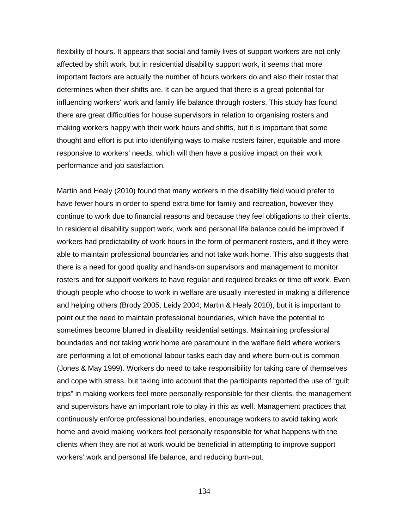flexibility of hours. It appears that social and family lives of support workers are not only affected by shift work, but in residential disability support work, it seems that more important factors are actually the number of hours workers do and also their roster that determines when their shifts are. It can be argued that there is a great potential for influencing workers' work and family life balance through rosters. This study has found there are great difficulties for house supervisors in relation to organising rosters and making workers happy with their work hours and shifts, but it is important that some thought and effort is put into identifying ways to make rosters fairer, equitable and more responsive to workers' needs, which will then have a positive impact on their work performance and job satisfaction.

Martin and Healy (2010) found that many workers in the disability field would prefer to have fewer hours in order to spend extra time for family and recreation, however they continue to work due to financial reasons and because they feel obligations to their clients. In residential disability support work, work and personal life balance could be improved if workers had predictability of work hours in the form of permanent rosters, and if they were able to maintain professional boundaries and not take work home. This also suggests that there is a need for good quality and hands-on supervisors and management to monitor rosters and for support workers to have regular and required breaks or time off work. Even though people who choose to work in welfare are usually interested in making a difference and helping others (Brody 2005; Leidy 2004; Martin & Healy 2010), but it is important to point out the need to maintain professional boundaries, which have the potential to sometimes become blurred in disability residential settings. Maintaining professional boundaries and not taking work home are paramount in the welfare field where workers are performing a lot of emotional labour tasks each day and where burn-out is common (Jones & May 1999). Workers do need to take responsibility for taking care of themselves and cope with stress, but taking into account that the participants reported the use of "guilt trips" in making workers feel more personally responsible for their clients, the management and supervisors have an important role to play in this as well. Management practices that continuously enforce professional boundaries, encourage workers to avoid taking work home and avoid making workers feel personally responsible for what happens with the clients when they are not at work would be beneficial in attempting to improve support workers' work and personal life balance, and reducing burn-out.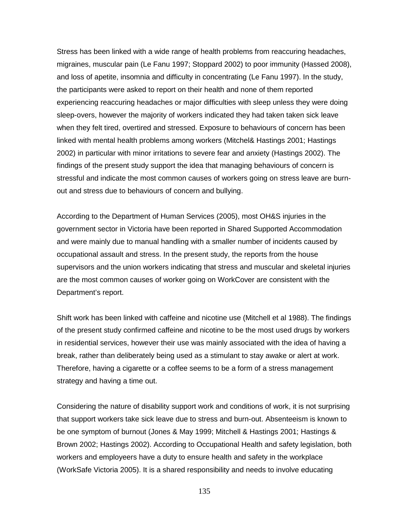Stress has been linked with a wide range of health problems from reaccuring headaches, migraines, muscular pain (Le Fanu 1997; Stoppard 2002) to poor immunity (Hassed 2008), and loss of apetite, insomnia and difficulty in concentrating (Le Fanu 1997). In the study, the participants were asked to report on their health and none of them reported experiencing reaccuring headaches or major difficulties with sleep unless they were doing sleep-overs, however the majority of workers indicated they had taken taken sick leave when they felt tired, overtired and stressed. Exposure to behaviours of concern has been linked with mental health problems among workers (Mitchel& Hastings 2001; Hastings 2002) in particular with minor irritations to severe fear and anxiety (Hastings 2002). The findings of the present study support the idea that managing behaviours of concern is stressful and indicate the most common causes of workers going on stress leave are burnout and stress due to behaviours of concern and bullying.

According to the Department of Human Services (2005), most OH&S injuries in the government sector in Victoria have been reported in Shared Supported Accommodation and were mainly due to manual handling with a smaller number of incidents caused by occupational assault and stress. In the present study, the reports from the house supervisors and the union workers indicating that stress and muscular and skeletal injuries are the most common causes of worker going on WorkCover are consistent with the Department's report.

Shift work has been linked with caffeine and nicotine use (Mitchell et al 1988). The findings of the present study confirmed caffeine and nicotine to be the most used drugs by workers in residential services, however their use was mainly associated with the idea of having a break, rather than deliberately being used as a stimulant to stay awake or alert at work. Therefore, having a cigarette or a coffee seems to be a form of a stress management strategy and having a time out.

Considering the nature of disability support work and conditions of work, it is not surprising that support workers take sick leave due to stress and burn-out. Absenteeism is known to be one symptom of burnout (Jones & May 1999; Mitchell & Hastings 2001; Hastings & Brown 2002; Hastings 2002). According to Occupational Health and safety legislation, both workers and employeers have a duty to ensure health and safety in the workplace (WorkSafe Victoria 2005). It is a shared responsibility and needs to involve educating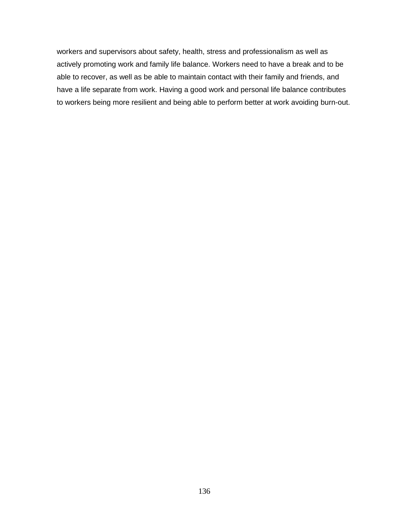workers and supervisors about safety, health, stress and professionalism as well as actively promoting work and family life balance. Workers need to have a break and to be able to recover, as well as be able to maintain contact with their family and friends, and have a life separate from work. Having a good work and personal life balance contributes to workers being more resilient and being able to perform better at work avoiding burn-out.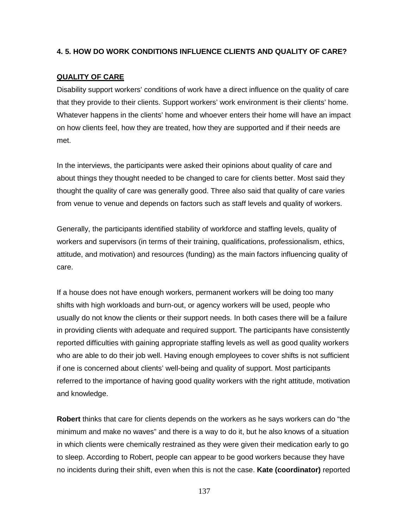# **4. 5. HOW DO WORK CONDITIONS INFLUENCE CLIENTS AND QUALITY OF CARE?**

# **QUALITY OF CARE**

Disability support workers' conditions of work have a direct influence on the quality of care that they provide to their clients. Support workers' work environment is their clients' home. Whatever happens in the clients' home and whoever enters their home will have an impact on how clients feel, how they are treated, how they are supported and if their needs are met.

In the interviews, the participants were asked their opinions about quality of care and about things they thought needed to be changed to care for clients better. Most said they thought the quality of care was generally good. Three also said that quality of care varies from venue to venue and depends on factors such as staff levels and quality of workers.

Generally, the participants identified stability of workforce and staffing levels, quality of workers and supervisors (in terms of their training, qualifications, professionalism, ethics, attitude, and motivation) and resources (funding) as the main factors influencing quality of care.

If a house does not have enough workers, permanent workers will be doing too many shifts with high workloads and burn-out, or agency workers will be used, people who usually do not know the clients or their support needs. In both cases there will be a failure in providing clients with adequate and required support. The participants have consistently reported difficulties with gaining appropriate staffing levels as well as good quality workers who are able to do their job well. Having enough employees to cover shifts is not sufficient if one is concerned about clients' well-being and quality of support. Most participants referred to the importance of having good quality workers with the right attitude, motivation and knowledge.

**Robert** thinks that care for clients depends on the workers as he says workers can do "the minimum and make no waves" and there is a way to do it, but he also knows of a situation in which clients were chemically restrained as they were given their medication early to go to sleep. According to Robert, people can appear to be good workers because they have no incidents during their shift, even when this is not the case. **Kate (coordinator)** reported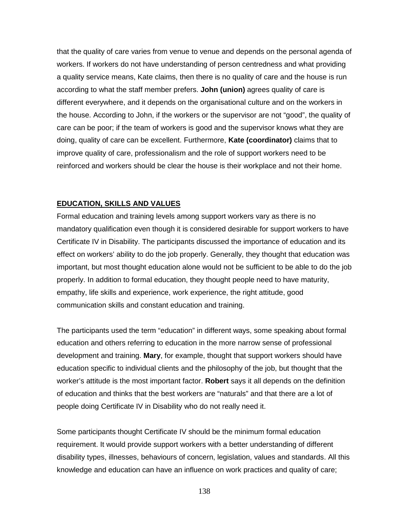that the quality of care varies from venue to venue and depends on the personal agenda of workers. If workers do not have understanding of person centredness and what providing a quality service means, Kate claims, then there is no quality of care and the house is run according to what the staff member prefers. **John (union)** agrees quality of care is different everywhere, and it depends on the organisational culture and on the workers in the house. According to John, if the workers or the supervisor are not "good", the quality of care can be poor; if the team of workers is good and the supervisor knows what they are doing, quality of care can be excellent. Furthermore, **Kate (coordinator)** claims that to improve quality of care, professionalism and the role of support workers need to be reinforced and workers should be clear the house is their workplace and not their home.

## **EDUCATION, SKILLS AND VALUES**

Formal education and training levels among support workers vary as there is no mandatory qualification even though it is considered desirable for support workers to have Certificate IV in Disability. The participants discussed the importance of education and its effect on workers' ability to do the job properly. Generally, they thought that education was important, but most thought education alone would not be sufficient to be able to do the job properly. In addition to formal education, they thought people need to have maturity, empathy, life skills and experience, work experience, the right attitude, good communication skills and constant education and training.

The participants used the term "education" in different ways, some speaking about formal education and others referring to education in the more narrow sense of professional development and training. **Mary**, for example, thought that support workers should have education specific to individual clients and the philosophy of the job, but thought that the worker's attitude is the most important factor. **Robert** says it all depends on the definition of education and thinks that the best workers are "naturals" and that there are a lot of people doing Certificate IV in Disability who do not really need it.

Some participants thought Certificate IV should be the minimum formal education requirement. It would provide support workers with a better understanding of different disability types, illnesses, behaviours of concern, legislation, values and standards. All this knowledge and education can have an influence on work practices and quality of care;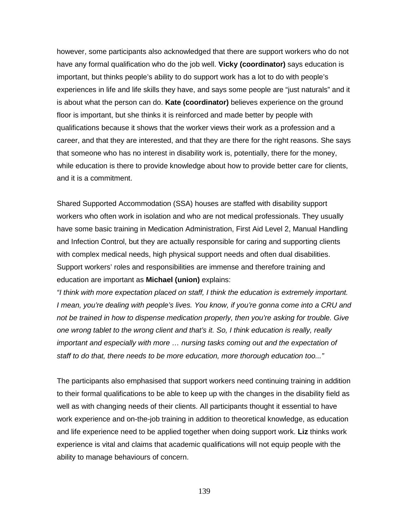however, some participants also acknowledged that there are support workers who do not have any formal qualification who do the job well. **Vicky (coordinator)** says education is important, but thinks people's ability to do support work has a lot to do with people's experiences in life and life skills they have, and says some people are "just naturals" and it is about what the person can do. **Kate (coordinator)** believes experience on the ground floor is important, but she thinks it is reinforced and made better by people with qualifications because it shows that the worker views their work as a profession and a career, and that they are interested, and that they are there for the right reasons. She says that someone who has no interest in disability work is, potentially, there for the money, while education is there to provide knowledge about how to provide better care for clients, and it is a commitment.

Shared Supported Accommodation (SSA) houses are staffed with disability support workers who often work in isolation and who are not medical professionals. They usually have some basic training in Medication Administration, First Aid Level 2, Manual Handling and Infection Control, but they are actually responsible for caring and supporting clients with complex medical needs, high physical support needs and often dual disabilities. Support workers' roles and responsibilities are immense and therefore training and education are important as **Michael (union)** explains:

*"I think with more expectation placed on staff, I think the education is extremely important. I* mean, you're dealing with people's lives. You know, if you're gonna come into a CRU and *not be trained in how to dispense medication properly, then you're asking for trouble. Give one wrong tablet to the wrong client and that's it. So, I think education is really, really important and especially with more ... nursing tasks coming out and the expectation of staff to do that, there needs to be more education, more thorough education too..."*

The participants also emphasised that support workers need continuing training in addition to their formal qualifications to be able to keep up with the changes in the disability field as well as with changing needs of their clients. All participants thought it essential to have work experience and on-the-job training in addition to theoretical knowledge, as education and life experience need to be applied together when doing support work. **Liz** thinks work experience is vital and claims that academic qualifications will not equip people with the ability to manage behaviours of concern.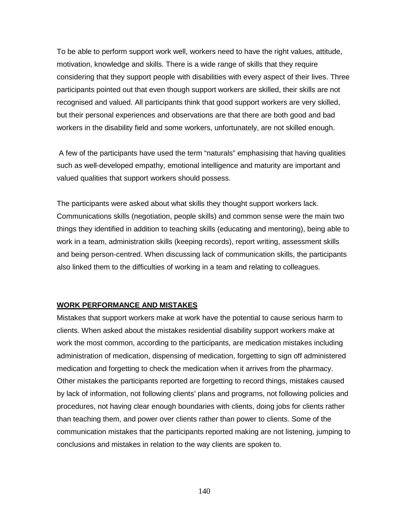To be able to perform support work well, workers need to have the right values, attitude, motivation, knowledge and skills. There is a wide range of skills that they require considering that they support people with disabilities with every aspect of their lives. Three participants pointed out that even though support workers are skilled, their skills are not recognised and valued. All participants think that good support workers are very skilled, but their personal experiences and observations are that there are both good and bad workers in the disability field and some workers, unfortunately, are not skilled enough.

A few of the participants have used the term "naturals" emphasising that having qualities such as well-developed empathy, emotional intelligence and maturity are important and valued qualities that support workers should possess.

The participants were asked about what skills they thought support workers lack. Communications skills (negotiation, people skills) and common sense were the main two things they identified in addition to teaching skills (educating and mentoring), being able to work in a team, administration skills (keeping records), report writing, assessment skills and being person-centred. When discussing lack of communication skills, the participants also linked them to the difficulties of working in a team and relating to colleagues.

## **WORK PERFORMANCE AND MISTAKES**

Mistakes that support workers make at work have the potential to cause serious harm to clients. When asked about the mistakes residential disability support workers make at work the most common, according to the participants, are medication mistakes including administration of medication, dispensing of medication, forgetting to sign off administered medication and forgetting to check the medication when it arrives from the pharmacy. Other mistakes the participants reported are forgetting to record things, mistakes caused by lack of information, not following clients' plans and programs, not following policies and procedures, not having clear enough boundaries with clients, doing jobs for clients rather than teaching them, and power over clients rather than power to clients. Some of the communication mistakes that the participants reported making are not listening, jumping to conclusions and mistakes in relation to the way clients are spoken to.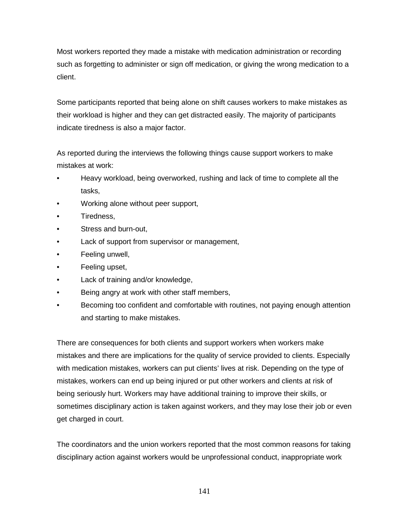Most workers reported they made a mistake with medication administration or recording such as forgetting to administer or sign off medication, or giving the wrong medication to a client.

Some participants reported that being alone on shift causes workers to make mistakes as their workload is higher and they can get distracted easily. The majority of participants indicate tiredness is also a major factor.

As reported during the interviews the following things cause support workers to make mistakes at work:

- Heavy workload, being overworked, rushing and lack of time to complete all the tasks,
- Working alone without peer support,
- Tiredness,
- Stress and burn-out,
- Lack of support from supervisor or management,
- Feeling unwell,
- Feeling upset,
- Lack of training and/or knowledge,
- Being angry at work with other staff members,
- Becoming too confident and comfortable with routines, not paying enough attention and starting to make mistakes.

There are consequences for both clients and support workers when workers make mistakes and there are implications for the quality of service provided to clients. Especially with medication mistakes, workers can put clients' lives at risk. Depending on the type of mistakes, workers can end up being injured or put other workers and clients at risk of being seriously hurt. Workers may have additional training to improve their skills, or sometimes disciplinary action is taken against workers, and they may lose their job or even get charged in court.

The coordinators and the union workers reported that the most common reasons for taking disciplinary action against workers would be unprofessional conduct, inappropriate work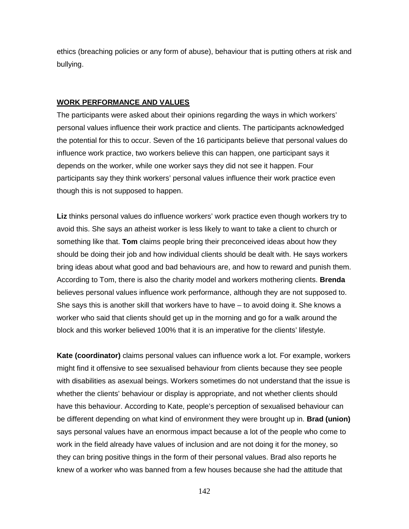ethics (breaching policies or any form of abuse), behaviour that is putting others at risk and bullying.

# **WORK PERFORMANCE AND VALUES**

The participants were asked about their opinions regarding the ways in which workers' personal values influence their work practice and clients. The participants acknowledged the potential for this to occur. Seven of the 16 participants believe that personal values do influence work practice, two workers believe this can happen, one participant says it depends on the worker, while one worker says they did not see it happen. Four participants say they think workers' personal values influence their work practice even though this is not supposed to happen.

**Liz** thinks personal values do influence workers' work practice even though workers try to avoid this. She says an atheist worker is less likely to want to take a client to church or something like that. **Tom** claims people bring their preconceived ideas about how they should be doing their job and how individual clients should be dealt with. He says workers bring ideas about what good and bad behaviours are, and how to reward and punish them. According to Tom, there is also the charity model and workers mothering clients. **Brenda** believes personal values influence work performance, although they are not supposed to. She says this is another skill that workers have to have – to avoid doing it. She knows a worker who said that clients should get up in the morning and go for a walk around the block and this worker believed 100% that it is an imperative for the clients' lifestyle.

**Kate (coordinator)** claims personal values can influence work a lot. For example, workers might find it offensive to see sexualised behaviour from clients because they see people with disabilities as asexual beings. Workers sometimes do not understand that the issue is whether the clients' behaviour or display is appropriate, and not whether clients should have this behaviour. According to Kate, people's perception of sexualised behaviour can be different depending on what kind of environment they were brought up in. **Brad (union)** says personal values have an enormous impact because a lot of the people who come to work in the field already have values of inclusion and are not doing it for the money, so they can bring positive things in the form of their personal values. Brad also reports he knew of a worker who was banned from a few houses because she had the attitude that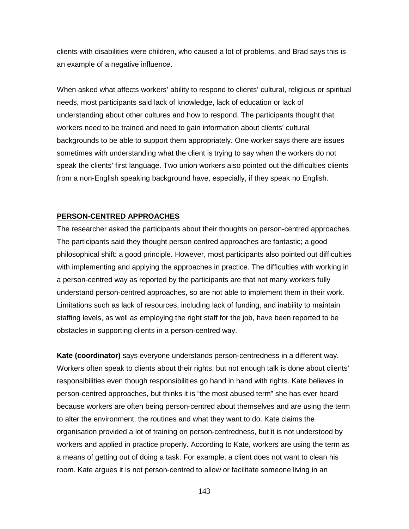clients with disabilities were children, who caused a lot of problems, and Brad says this is an example of a negative influence.

When asked what affects workers' ability to respond to clients' cultural, religious or spiritual needs, most participants said lack of knowledge, lack of education or lack of understanding about other cultures and how to respond. The participants thought that workers need to be trained and need to gain information about clients' cultural backgrounds to be able to support them appropriately. One worker says there are issues sometimes with understanding what the client is trying to say when the workers do not speak the clients' first language. Two union workers also pointed out the difficulties clients from a non-English speaking background have, especially, if they speak no English.

## **PERSON-CENTRED APPROACHES**

The researcher asked the participants about their thoughts on person-centred approaches. The participants said they thought person centred approaches are fantastic; a good philosophical shift: a good principle. However, most participants also pointed out difficulties with implementing and applying the approaches in practice. The difficulties with working in a person-centred way as reported by the participants are that not many workers fully understand person-centred approaches, so are not able to implement them in their work. Limitations such as lack of resources, including lack of funding, and inability to maintain staffing levels, as well as employing the right staff for the job, have been reported to be obstacles in supporting clients in a person-centred way.

**Kate (coordinator)** says everyone understands person-centredness in a different way. Workers often speak to clients about their rights, but not enough talk is done about clients' responsibilities even though responsibilities go hand in hand with rights. Kate believes in person-centred approaches, but thinks it is "the most abused term" she has ever heard because workers are often being person-centred about themselves and are using the term to alter the environment, the routines and what they want to do. Kate claims the organisation provided a lot of training on person-centredness, but it is not understood by workers and applied in practice properly. According to Kate, workers are using the term as a means of getting out of doing a task. For example, a client does not want to clean his room. Kate argues it is not person-centred to allow or facilitate someone living in an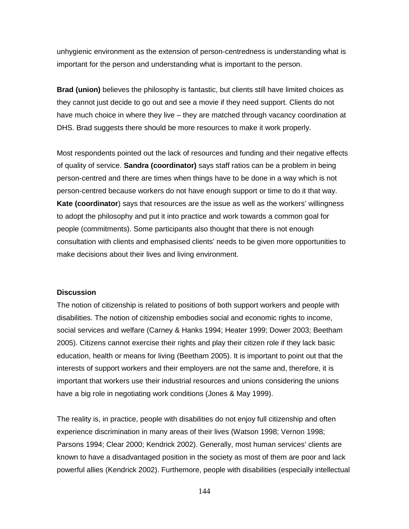unhygienic environment as the extension of person-centredness is understanding what is important for the person and understanding what is important to the person.

**Brad (union)** believes the philosophy is fantastic, but clients still have limited choices as they cannot just decide to go out and see a movie if they need support. Clients do not have much choice in where they live – they are matched through vacancy coordination at DHS. Brad suggests there should be more resources to make it work properly.

Most respondents pointed out the lack of resources and funding and their negative effects of quality of service. **Sandra (coordinator)** says staff ratios can be a problem in being person-centred and there are times when things have to be done in a way which is not person-centred because workers do not have enough support or time to do it that way. **Kate (coordinator**) says that resources are the issue as well as the workers' willingness to adopt the philosophy and put it into practice and work towards a common goal for people (commitments). Some participants also thought that there is not enough consultation with clients and emphasised clients' needs to be given more opportunities to make decisions about their lives and living environment.

#### **Discussion**

The notion of citizenship is related to positions of both support workers and people with disabilities. The notion of citizenship embodies social and economic rights to income, social services and welfare (Carney & Hanks 1994; Heater 1999; Dower 2003; Beetham 2005). Citizens cannot exercise their rights and play their citizen role if they lack basic education, health or means for living (Beetham 2005). It is important to point out that the interests of support workers and their employers are not the same and, therefore, it is important that workers use their industrial resources and unions considering the unions have a big role in negotiating work conditions (Jones & May 1999).

The reality is, in practice, people with disabilities do not enjoy full citizenship and often experience discrimination in many areas of their lives (Watson 1998; Vernon 1998; Parsons 1994; Clear 2000; Kendrick 2002). Generally, most human services' clients are known to have a disadvantaged position in the society as most of them are poor and lack powerful allies (Kendrick 2002). Furthemore, people with disabilities (especially intellectual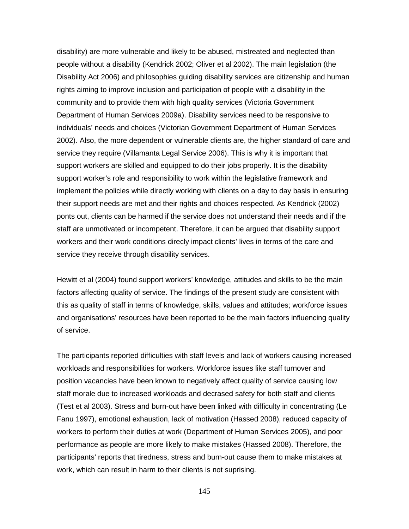disability) are more vulnerable and likely to be abused, mistreated and neglected than people without a disability (Kendrick 2002; Oliver et al 2002). The main legislation (the Disability Act 2006) and philosophies guiding disability services are citizenship and human rights aiming to improve inclusion and participation of people with a disability in the community and to provide them with high quality services (Victoria Government Department of Human Services 2009a). Disability services need to be responsive to individuals' needs and choices (Victorian Government Department of Human Services 2002). Also, the more dependent or vulnerable clients are, the higher standard of care and service they require (Villamanta Legal Service 2006). This is why it is important that support workers are skilled and equipped to do their jobs properly. It is the disability support worker's role and responsibility to work within the legislative framework and implement the policies while directly working with clients on a day to day basis in ensuring their support needs are met and their rights and choices respected. As Kendrick (2002) ponts out, clients can be harmed if the service does not understand their needs and if the staff are unmotivated or incompetent. Therefore, it can be argued that disability support workers and their work conditions direcly impact clients' lives in terms of the care and service they receive through disability services.

Hewitt et al (2004) found support workers' knowledge, attitudes and skills to be the main factors affecting quality of service. The findings of the present study are consistent with this as quality of staff in terms of knowledge, skills, values and attitudes; workforce issues and organisations' resources have been reported to be the main factors influencing quality of service.

The participants reported difficulties with staff levels and lack of workers causing increased workloads and responsibilities for workers. Workforce issues like staff turnover and position vacancies have been known to negatively affect quality of service causing low staff morale due to increased workloads and decrased safety for both staff and clients (Test et al 2003). Stress and burn-out have been linked with difficulty in concentrating (Le Fanu 1997), emotional exhaustion, lack of motivation (Hassed 2008), reduced capacity of workers to perform their duties at work (Department of Human Services 2005), and poor performance as people are more likely to make mistakes (Hassed 2008). Therefore, the participants' reports that tiredness, stress and burn-out cause them to make mistakes at work, which can result in harm to their clients is not suprising.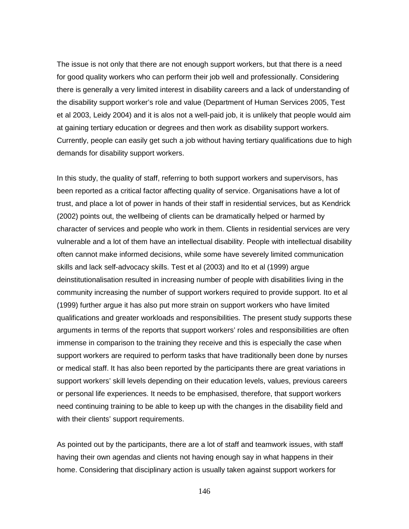The issue is not only that there are not enough support workers, but that there is a need for good quality workers who can perform their job well and professionally. Considering there is generally a very limited interest in disability careers and a lack of understanding of the disability support worker's role and value (Department of Human Services 2005, Test et al 2003, Leidy 2004) and it is alos not a well-paid job, it is unlikely that people would aim at gaining tertiary education or degrees and then work as disability support workers. Currently, people can easily get such a job without having tertiary qualifications due to high demands for disability support workers.

In this study, the quality of staff, referring to both support workers and supervisors, has been reported as a critical factor affecting quality of service. Organisations have a lot of trust, and place a lot of power in hands of their staff in residential services, but as Kendrick (2002) points out, the wellbeing of clients can be dramatically helped or harmed by character of services and people who work in them. Clients in residential services are very vulnerable and a lot of them have an intellectual disability. People with intellectual disability often cannot make informed decisions, while some have severely limited communication skills and lack self-advocacy skills. Test et al (2003) and Ito et al (1999) argue deinstitutionalisation resulted in increasing number of people with disabilities living in the community increasing the number of support workers required to provide support. Ito et al (1999) further argue it has also put more strain on support workers who have limited qualifications and greater workloads and responsibilities. The present study supports these arguments in terms of the reports that support workers' roles and responsibilities are often immense in comparison to the training they receive and this is especially the case when support workers are required to perform tasks that have traditionally been done by nurses or medical staff. It has also been reported by the participants there are great variations in support workers' skill levels depending on their education levels, values, previous careers or personal life experiences. It needs to be emphasised, therefore, that support workers need continuing training to be able to keep up with the changes in the disability field and with their clients' support requirements.

As pointed out by the participants, there are a lot of staff and teamwork issues, with staff having their own agendas and clients not having enough say in what happens in their home. Considering that disciplinary action is usually taken against support workers for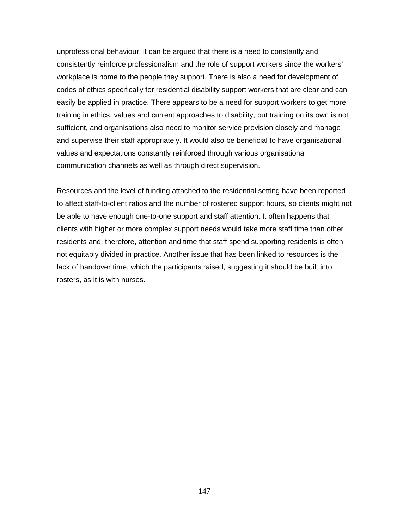unprofessional behaviour, it can be argued that there is a need to constantly and consistently reinforce professionalism and the role of support workers since the workers' workplace is home to the people they support. There is also a need for development of codes of ethics specifically for residential disability support workers that are clear and can easily be applied in practice. There appears to be a need for support workers to get more training in ethics, values and current approaches to disability, but training on its own is not sufficient, and organisations also need to monitor service provision closely and manage and supervise their staff appropriately. It would also be beneficial to have organisational values and expectations constantly reinforced through various organisational communication channels as well as through direct supervision.

Resources and the level of funding attached to the residential setting have been reported to affect staff-to-client ratios and the number of rostered support hours, so clients might not be able to have enough one-to-one support and staff attention. It often happens that clients with higher or more complex support needs would take more staff time than other residents and, therefore, attention and time that staff spend supporting residents is often not equitably divided in practice. Another issue that has been linked to resources is the lack of handover time, which the participants raised, suggesting it should be built into rosters, as it is with nurses.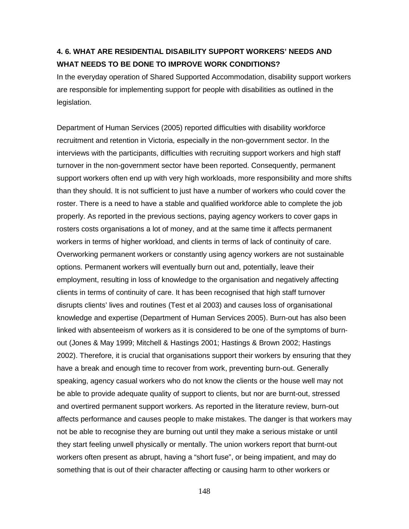# **4. 6. WHAT ARE RESIDENTIAL DISABILITY SUPPORT WORKERS' NEEDS AND WHAT NEEDS TO BE DONE TO IMPROVE WORK CONDITIONS?**

In the everyday operation of Shared Supported Accommodation, disability support workers are responsible for implementing support for people with disabilities as outlined in the legislation.

Department of Human Services (2005) reported difficulties with disability workforce recruitment and retention in Victoria, especially in the non-government sector. In the interviews with the participants, difficulties with recruiting support workers and high staff turnover in the non-government sector have been reported. Consequently, permanent support workers often end up with very high workloads, more responsibility and more shifts than they should. It is not sufficient to just have a number of workers who could cover the roster. There is a need to have a stable and qualified workforce able to complete the job properly. As reported in the previous sections, paying agency workers to cover gaps in rosters costs organisations a lot of money, and at the same time it affects permanent workers in terms of higher workload, and clients in terms of lack of continuity of care. Overworking permanent workers or constantly using agency workers are not sustainable options. Permanent workers will eventually burn out and, potentially, leave their employment, resulting in loss of knowledge to the organisation and negatively affecting clients in terms of continuity of care. It has been recognised that high staff turnover disrupts clients' lives and routines (Test et al 2003) and causes loss of organisational knowledge and expertise (Department of Human Services 2005). Burn-out has also been linked with absenteeism of workers as it is considered to be one of the symptoms of burnout (Jones & May 1999; Mitchell & Hastings 2001; Hastings & Brown 2002; Hastings 2002). Therefore, it is crucial that organisations support their workers by ensuring that they have a break and enough time to recover from work, preventing burn-out. Generally speaking, agency casual workers who do not know the clients or the house well may not be able to provide adequate quality of support to clients, but nor are burnt-out, stressed and overtired permanent support workers. As reported in the literature review, burn-out affects performance and causes people to make mistakes. The danger is that workers may not be able to recognise they are burning out until they make a serious mistake or until they start feeling unwell physically or mentally. The union workers report that burnt-out workers often present as abrupt, having a "short fuse", or being impatient, and may do something that is out of their character affecting or causing harm to other workers or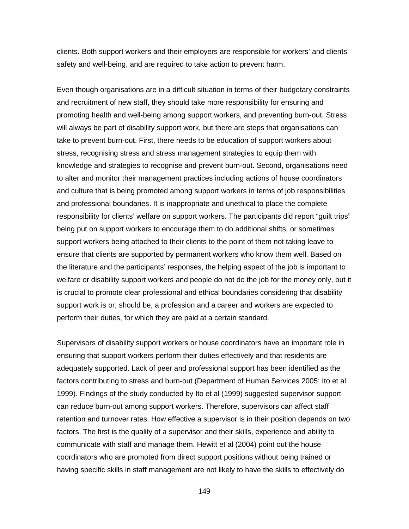clients. Both support workers and their employers are responsible for workers' and clients' safety and well-being, and are required to take action to prevent harm.

Even though organisations are in a difficult situation in terms of their budgetary constraints and recruitment of new staff, they should take more responsibility for ensuring and promoting health and well-being among support workers, and preventing burn-out. Stress will always be part of disability support work, but there are steps that organisations can take to prevent burn-out. First, there needs to be education of support workers about stress, recognising stress and stress management strategies to equip them with knowledge and strategies to recognise and prevent burn-out. Second, organisations need to alter and monitor their management practices including actions of house coordinators and culture that is being promoted among support workers in terms of job responsibilities and professional boundaries. It is inappropriate and unethical to place the complete responsibility for clients' welfare on support workers. The participants did report "guilt trips" being put on support workers to encourage them to do additional shifts, or sometimes support workers being attached to their clients to the point of them not taking leave to ensure that clients are supported by permanent workers who know them well. Based on the literature and the participants' responses, the helping aspect of the job is important to welfare or disability support workers and people do not do the job for the money only, but it is crucial to promote clear professional and ethical boundaries considering that disability support work is or, should be, a profession and a career and workers are expected to perform their duties, for which they are paid at a certain standard.

Supervisors of disability support workers or house coordinators have an important role in ensuring that support workers perform their duties effectively and that residents are adequately supported. Lack of peer and professional support has been identified as the factors contributing to stress and burn-out (Department of Human Services 2005; Ito et al 1999). Findings of the study conducted by Ito et al (1999) suggested supervisor support can reduce burn-out among support workers. Therefore, supervisors can affect staff retention and turnover rates. How effective a supervisor is in their position depends on two factors. The first is the quality of a supervisor and their skills, experience and ability to communicate with staff and manage them. Hewitt et al (2004) point out the house coordinators who are promoted from direct support positions without being trained or having specific skills in staff management are not likely to have the skills to effectively do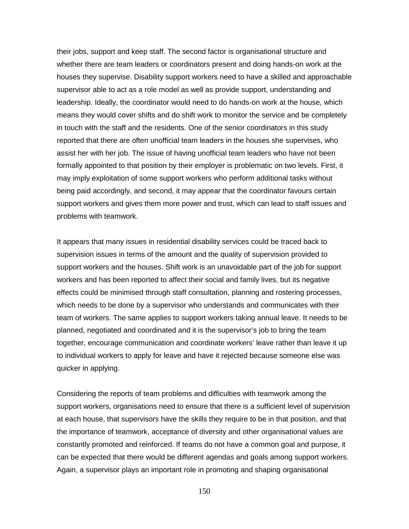their jobs, support and keep staff. The second factor is organisational structure and whether there are team leaders or coordinators present and doing hands-on work at the houses they supervise. Disability support workers need to have a skilled and approachable supervisor able to act as a role model as well as provide support, understanding and leadership. Ideally, the coordinator would need to do hands-on work at the house, which means they would cover shifts and do shift work to monitor the service and be completely in touch with the staff and the residents. One of the senior coordinators in this study reported that there are often unofficial team leaders in the houses she supervises, who assist her with her job. The issue of having unofficial team leaders who have not been formally appointed to that position by their employer is problematic on two levels. First, it may imply exploitation of some support workers who perform additional tasks without being paid accordingly, and second, it may appear that the coordinator favours certain support workers and gives them more power and trust, which can lead to staff issues and problems with teamwork.

It appears that many issues in residential disability services could be traced back to supervision issues in terms of the amount and the quality of supervision provided to support workers and the houses. Shift work is an unavoidable part of the job for support workers and has been reported to affect their social and family lives, but its negative effects could be minimised through staff consultation, planning and rostering processes, which needs to be done by a supervisor who understands and communicates with their team of workers. The same applies to support workers taking annual leave. It needs to be planned, negotiated and coordinated and it is the supervisor's job to bring the team together, encourage communication and coordinate workers' leave rather than leave it up to individual workers to apply for leave and have it rejected because someone else was quicker in applying.

Considering the reports of team problems and difficulties with teamwork among the support workers, organisations need to ensure that there is a sufficient level of supervision at each house, that supervisors have the skills they require to be in that position, and that the importance of teamwork, acceptance of diversity and other organisational values are constantly promoted and reinforced. If teams do not have a common goal and purpose, it can be expected that there would be different agendas and goals among support workers. Again, a supervisor plays an important role in promoting and shaping organisational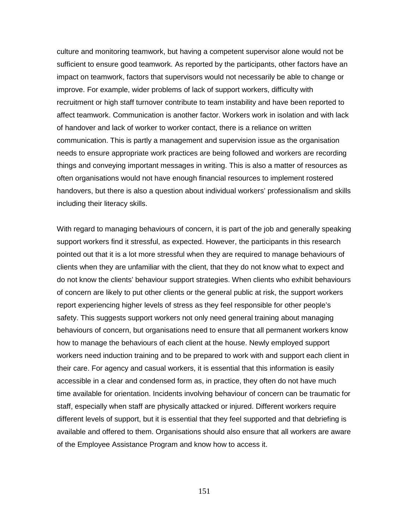culture and monitoring teamwork, but having a competent supervisor alone would not be sufficient to ensure good teamwork. As reported by the participants, other factors have an impact on teamwork, factors that supervisors would not necessarily be able to change or improve. For example, wider problems of lack of support workers, difficulty with recruitment or high staff turnover contribute to team instability and have been reported to affect teamwork. Communication is another factor. Workers work in isolation and with lack of handover and lack of worker to worker contact, there is a reliance on written communication. This is partly a management and supervision issue as the organisation needs to ensure appropriate work practices are being followed and workers are recording things and conveying important messages in writing. This is also a matter of resources as often organisations would not have enough financial resources to implement rostered handovers, but there is also a question about individual workers' professionalism and skills including their literacy skills.

With regard to managing behaviours of concern, it is part of the job and generally speaking support workers find it stressful, as expected. However, the participants in this research pointed out that it is a lot more stressful when they are required to manage behaviours of clients when they are unfamiliar with the client, that they do not know what to expect and do not know the clients' behaviour support strategies. When clients who exhibit behaviours of concern are likely to put other clients or the general public at risk, the support workers report experiencing higher levels of stress as they feel responsible for other people's safety. This suggests support workers not only need general training about managing behaviours of concern, but organisations need to ensure that all permanent workers know how to manage the behaviours of each client at the house. Newly employed support workers need induction training and to be prepared to work with and support each client in their care. For agency and casual workers, it is essential that this information is easily accessible in a clear and condensed form as, in practice, they often do not have much time available for orientation. Incidents involving behaviour of concern can be traumatic for staff, especially when staff are physically attacked or injured. Different workers require different levels of support, but it is essential that they feel supported and that debriefing is available and offered to them. Organisations should also ensure that all workers are aware of the Employee Assistance Program and know how to access it.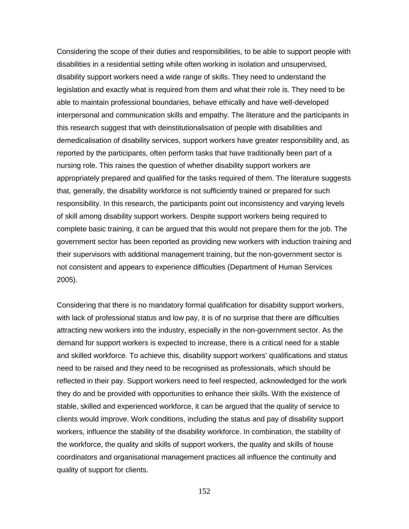Considering the scope of their duties and responsibilities, to be able to support people with disabilities in a residential setting while often working in isolation and unsupervised, disability support workers need a wide range of skills. They need to understand the legislation and exactly what is required from them and what their role is. They need to be able to maintain professional boundaries, behave ethically and have well-developed interpersonal and communication skills and empathy. The literature and the participants in this research suggest that with deinstitutionalisation of people with disabilities and demedicalisation of disability services, support workers have greater responsibility and, as reported by the participants, often perform tasks that have traditionally been part of a nursing role. This raises the question of whether disability support workers are appropriately prepared and qualified for the tasks required of them. The literature suggests that, generally, the disability workforce is not sufficiently trained or prepared for such responsibility. In this research, the participants point out inconsistency and varying levels of skill among disability support workers. Despite support workers being required to complete basic training, it can be argued that this would not prepare them for the job. The government sector has been reported as providing new workers with induction training and their supervisors with additional management training, but the non-government sector is not consistent and appears to experience difficulties (Department of Human Services 2005).

Considering that there is no mandatory formal qualification for disability support workers, with lack of professional status and low pay, it is of no surprise that there are difficulties attracting new workers into the industry, especially in the non-government sector. As the demand for support workers is expected to increase, there is a critical need for a stable and skilled workforce. To achieve this, disability support workers' qualifications and status need to be raised and they need to be recognised as professionals, which should be reflected in their pay. Support workers need to feel respected, acknowledged for the work they do and be provided with opportunities to enhance their skills. With the existence of stable, skilled and experienced workforce, it can be argued that the quality of service to clients would improve. Work conditions, including the status and pay of disability support workers, influence the stability of the disability workforce. In combination, the stability of the workforce, the quality and skills of support workers, the quality and skills of house coordinators and organisational management practices all influence the continuity and quality of support for clients.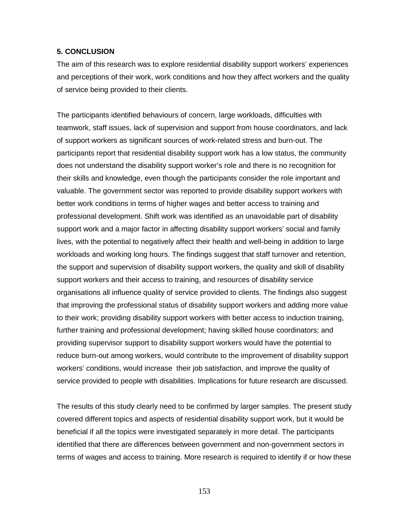#### **5. CONCLUSION**

The aim of this research was to explore residential disability support workers' experiences and perceptions of their work, work conditions and how they affect workers and the quality of service being provided to their clients.

The participants identified behaviours of concern, large workloads, difficulties with teamwork, staff issues, lack of supervision and support from house coordinators, and lack of support workers as significant sources of work-related stress and burn-out. The participants report that residential disability support work has a low status, the community does not understand the disability support worker's role and there is no recognition for their skills and knowledge, even though the participants consider the role important and valuable. The government sector was reported to provide disability support workers with better work conditions in terms of higher wages and better access to training and professional development. Shift work was identified as an unavoidable part of disability support work and a major factor in affecting disability support workers' social and family lives, with the potential to negatively affect their health and well-being in addition to large workloads and working long hours. The findings suggest that staff turnover and retention, the support and supervision of disability support workers, the quality and skill of disability support workers and their access to training, and resources of disability service organisations all influence quality of service provided to clients. The findings also suggest that improving the professional status of disability support workers and adding more value to their work; providing disability support workers with better access to induction training, further training and professional development; having skilled house coordinators; and providing supervisor support to disability support workers would have the potential to reduce burn-out among workers, would contribute to the improvement of disability support workers' conditions, would increase their job satisfaction, and improve the quality of service provided to people with disabilities. Implications for future research are discussed.

The results of this study clearly need to be confirmed by larger samples. The present study covered different topics and aspects of residential disability support work, but it would be beneficial if all the topics were investigated separately in more detail. The participants identified that there are differences between government and non-government sectors in terms of wages and access to training. More research is required to identify if or how these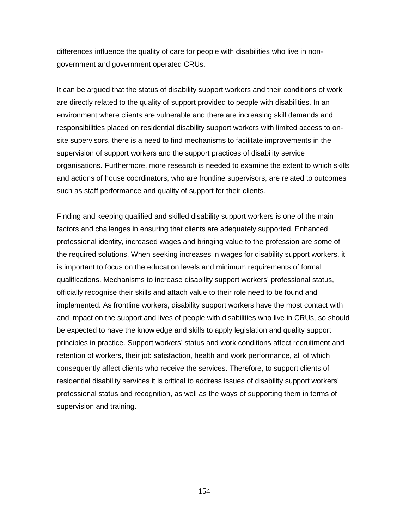differences influence the quality of care for people with disabilities who live in nongovernment and government operated CRUs.

It can be argued that the status of disability support workers and their conditions of work are directly related to the quality of support provided to people with disabilities. In an environment where clients are vulnerable and there are increasing skill demands and responsibilities placed on residential disability support workers with limited access to onsite supervisors, there is a need to find mechanisms to facilitate improvements in the supervision of support workers and the support practices of disability service organisations. Furthermore, more research is needed to examine the extent to which skills and actions of house coordinators, who are frontline supervisors, are related to outcomes such as staff performance and quality of support for their clients.

Finding and keeping qualified and skilled disability support workers is one of the main factors and challenges in ensuring that clients are adequately supported. Enhanced professional identity, increased wages and bringing value to the profession are some of the required solutions. When seeking increases in wages for disability support workers, it is important to focus on the education levels and minimum requirements of formal qualifications. Mechanisms to increase disability support workers' professional status, officially recognise their skills and attach value to their role need to be found and implemented. As frontline workers, disability support workers have the most contact with and impact on the support and lives of people with disabilities who live in CRUs, so should be expected to have the knowledge and skills to apply legislation and quality support principles in practice. Support workers' status and work conditions affect recruitment and retention of workers, their job satisfaction, health and work performance, all of which consequently affect clients who receive the services. Therefore, to support clients of residential disability services it is critical to address issues of disability support workers' professional status and recognition, as well as the ways of supporting them in terms of supervision and training.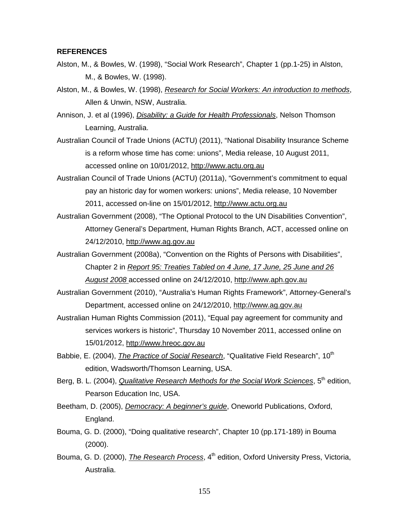#### **REFERENCES**

- Alston, M., & Bowles, W. (1998), "Social Work Research", Chapter 1 (pp.1-25) in Alston, M., & Bowles, W. (1998).
- Alston, M., & Bowles, W. (1998), *Research for Social Workers: An introduction to methods*, Allen & Unwin, NSW, Australia.
- Annison, J. et al (1996), *Disability: a Guide for Health Professionals*, Nelson Thomson Learning, Australia.
- Australian Council of Trade Unions (ACTU) (2011), "National Disability Insurance Scheme is a reform whose time has come: unions", Media release, 10 August 2011, accessed online on 10/01/2012, [http://www.actu.org.au](http://www.actu.org.au/)
- Australian Council of Trade Unions (ACTU) (2011a), "Government's commitment to equal pay an historic day for women workers: unions", Media release, 10 November 2011, accessed on-line on 15/01/2012, [http://www.actu.org.au](http://www.actu.org.au/)
- Australian Government (2008), "The Optional Protocol to the UN Disabilities Convention", Attorney General's Department, Human Rights Branch, ACT, accessed online on 24/12/2010, [http://www.ag.gov.au](http://www.ag.gov.au/)
- Australian Government (2008a), "Convention on the Rights of Persons with Disabilities", Chapter 2 in *Report 95: Treaties Tabled on 4 June, 17 June, 25 June and 26 August 2008* accessed online on 24/12/2010, [http://www.aph.gov.au](http://www.aph.gov.au/)
- Australian Government (2010), "Australia's Human Rights Framework", Attorney-General's Department, accessed online on 24/12/2010, [http://www.ag.gov.au](http://www.ag.gov.au/)
- Australian Human Rights Commission (2011), "Equal pay agreement for community and services workers is historic", Thursday 10 November 2011, accessed online on 15/01/2012, [http://www.hreoc.gov.au](http://www.hreoc.gov.au/)
- Babbie, E. (2004), *The Practice of Social Research*, "Qualitative Field Research", 10<sup>th</sup> edition, Wadsworth/Thomson Learning, USA.
- Berg, B. L. (2004), *Qualitative Research Methods for the Social Work Sciences*, 5<sup>th</sup> edition, Pearson Education Inc, USA.
- Beetham, D. (2005), *Democracy: A beginner's guide*, Oneworld Publications, Oxford, England.
- Bouma, G. D. (2000), "Doing qualitative research", Chapter 10 (pp.171-189) in Bouma (2000).
- Bouma, G. D. (2000), *The Research Process*, 4<sup>th</sup> edition, Oxford University Press, Victoria, Australia.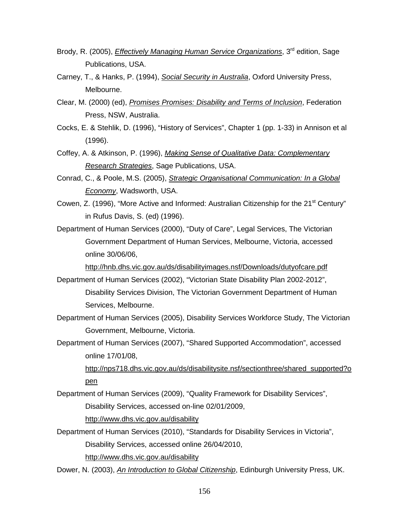- Brody, R. (2005), *Effectively Managing Human Service Organizations*, 3<sup>rd</sup> edition, Sage Publications, USA.
- Carney, T., & Hanks, P. (1994), *Social Security in Australia*, Oxford University Press, Melbourne.
- Clear, M. (2000) (ed), *Promises Promises: Disability and Terms of Inclusion*, Federation Press, NSW, Australia.
- Cocks, E. & Stehlik, D. (1996), "History of Services", Chapter 1 (pp. 1-33) in Annison et al (1996).
- Coffey, A. & Atkinson, P. (1996), *Making Sense of Qualitative Data: Complementary Research Strategies*, Sage Publications, USA.
- Conrad, C., & Poole, M.S. (2005), *Strategic Organisational Communication: In a Global Economy*, Wadsworth, USA.
- Cowen, Z. (1996), "More Active and Informed: Australian Citizenship for the 21<sup>st</sup> Century" in Rufus Davis, S. (ed) (1996).

Department of Human Services (2000), "Duty of Care", Legal Services, The Victorian Government Department of Human Services, Melbourne, Victoria, accessed online 30/06/06,

<http://hnb.dhs.vic.gov.au/ds/disabilityimages.nsf/Downloads/dutyofcare.pdf>

- Department of Human Services (2002), "Victorian State Disability Plan 2002-2012", Disability Services Division, The Victorian Government Department of Human Services, Melbourne.
- Department of Human Services (2005), Disability Services Workforce Study, The Victorian Government, Melbourne, Victoria.
- Department of Human Services (2007), "Shared Supported Accommodation", accessed online 17/01/08,

[http://nps718.dhs.vic.gov.au/ds/disabilitysite.nsf/sectionthree/shared\\_supported?o](http://nps718.dhs.vic.gov.au/ds/disabilitysite.nsf/sectionthree/shared_supported?open) [pen](http://nps718.dhs.vic.gov.au/ds/disabilitysite.nsf/sectionthree/shared_supported?open)

Department of Human Services (2009), "Quality Framework for Disability Services", Disability Services, accessed on-line 02/01/2009,

<http://www.dhs.vic.gov.au/disability>

- Department of Human Services (2010), "Standards for Disability Services in Victoria", Disability Services, accessed online 26/04/2010, <http://www.dhs.vic.gov.au/disability>
- Dower, N. (2003), *An Introduction to Global Citizenship*, Edinburgh University Press, UK.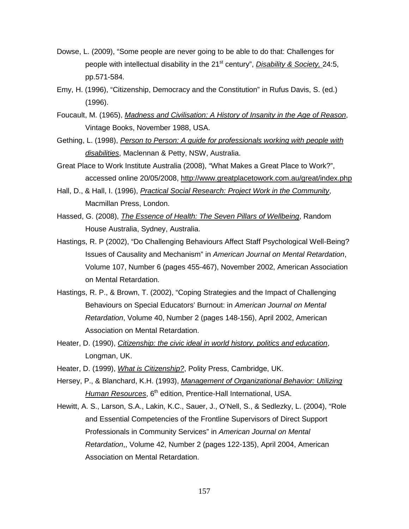- Dowse, L. (2009), "Some people are never going to be able to do that: Challenges for people with intellectual disability in the 21<sup>st</sup> century", *Disability & Society,* 24:5, pp.571-584.
- Emy, H. (1996), "Citizenship, Democracy and the Constitution" in Rufus Davis, S. (ed.) (1996).
- Foucault, M. (1965), *Madness and Civilisation: A History of Insanity in the Age of Reason*, Vintage Books, November 1988, USA.
- Gething, L. (1998), *Person to Person: A guide for professionals working with people with disabilities*, Maclennan & Petty, NSW, Australia.
- Great Place to Work Institute Australia (2008), "What Makes a Great Place to Work?", accessed online 20/05/2008,<http://www.greatplacetowork.com.au/great/index.php>
- Hall, D., & Hall, I. (1996), *Practical Social Research: Project Work in the Community*, Macmillan Press, London.
- Hassed, G. (2008), *The Essence of Health: The Seven Pillars of Wellbeing*, Random House Australia, Sydney, Australia.
- Hastings, R. P (2002), "Do Challenging Behaviours Affect Staff Psychological Well-Being? Issues of Causality and Mechanism" in *American Journal on Mental Retardation*, Volume 107, Number 6 (pages 455-467), November 2002, American Association on Mental Retardation.
- Hastings, R. P., & Brown, T. (2002), "Coping Strategies and the Impact of Challenging Behaviours on Special Educators' Burnout: in *American Journal on Mental Retardation*, Volume 40, Number 2 (pages 148-156), April 2002, American Association on Mental Retardation.
- Heater, D. (1990), *Citizenship: the civic ideal in world history, politics and education*, Longman, UK.
- Heater, D. (1999), *What is Citizenship?*, Polity Press, Cambridge, UK.
- Hersey, P., & Blanchard, K.H. (1993), *Management of Organizational Behavior: Utilizing*  Human Resources, 6<sup>th</sup> edition, Prentice-Hall International, USA.
- Hewitt, A. S., Larson, S.A., Lakin, K.C., Sauer, J., O'Nell, S., & Sedlezky, L. (2004), "Role and Essential Competencies of the Frontline Supervisors of Direct Support Professionals in Community Services" in *American Journal on Mental Retardation*,, Volume 42, Number 2 (pages 122-135), April 2004, American Association on Mental Retardation.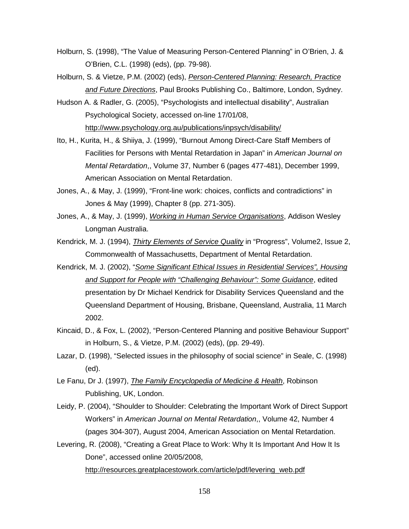- Holburn, S. (1998), "The Value of Measuring Person-Centered Planning" in O'Brien, J. & O'Brien, C.L. (1998) (eds), (pp. 79-98).
- Holburn, S. & Vietze, P.M. (2002) (eds), *Person-Centered Planning: Research, Practice and Future Directions*, Paul Brooks Publishing Co., Baltimore, London, Sydney.
- Hudson A. & Radler, G. (2005), "Psychologists and intellectual disability", Australian Psychological Society, accessed on-line 17/01/08, <http://www.psychology.org.au/publications/inpsych/disability/>
- Ito, H., Kurita, H., & Shiiya, J. (1999), "Burnout Among Direct-Care Staff Members of Facilities for Persons with Mental Retardation in Japan" in *American Journal on Mental Retardation*,, Volume 37, Number 6 (pages 477-481), December 1999, American Association on Mental Retardation.
- Jones, A., & May, J. (1999), "Front-line work: choices, conflicts and contradictions" in Jones & May (1999), Chapter 8 (pp. 271-305).
- Jones, A., & May, J. (1999), *Working in Human Service Organisations*, Addison Wesley Longman Australia.
- Kendrick, M. J. (1994), *Thirty Elements of Service Quality* in "Progress", Volume2, Issue 2, Commonwealth of Massachusetts, Department of Mental Retardation.
- Kendrick, M. J. (2002), "*Some Significant Ethical Issues in Residential Services", Housing and Support for People with "Challenging Behaviour": Some Guidance*, edited presentation by Dr Michael Kendrick for Disability Services Queensland and the Queensland Department of Housing, Brisbane, Queensland, Australia, 11 March 2002.
- Kincaid, D., & Fox, L. (2002), "Person-Centered Planning and positive Behaviour Support" in Holburn, S., & Vietze, P.M. (2002) (eds), (pp. 29-49).
- Lazar, D. (1998), "Selected issues in the philosophy of social science" in Seale, C. (1998) (ed).
- Le Fanu, Dr J. (1997), *The Family Encyclopedia of Medicine & Health*, Robinson Publishing, UK, London.
- Leidy, P. (2004), "Shoulder to Shoulder: Celebrating the Important Work of Direct Support Workers" in *American Journal on Mental Retardation*,, Volume 42, Number 4 (pages 304-307), August 2004, American Association on Mental Retardation.
- Levering, R. (2008), "Creating a Great Place to Work: Why It Is Important And How It Is Done", accessed online 20/05/2008, [http://resources.greatplacestowork.com/article/pdf/levering\\_web.pdf](http://resources.greatplacestowork.com/article/pdf/levering_web.pdf)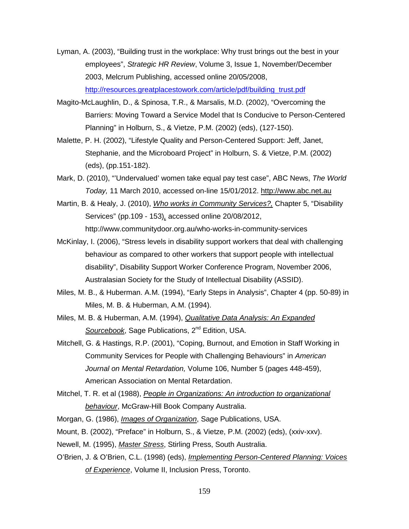- Lyman, A. (2003), "Building trust in the workplace: Why trust brings out the best in your employees", *Strategic HR Review*, Volume 3, Issue 1, November/December 2003, Melcrum Publishing, accessed online 20/05/2008, [http://resources.greatplacestowork.com/article/pdf/building\\_trust.pdf](http://resources.greatplacestowork.com/article/pdf/building_trust.pdf)
- Magito-McLaughlin, D., & Spinosa, T.R., & Marsalis, M.D. (2002), "Overcoming the Barriers: Moving Toward a Service Model that Is Conducive to Person-Centered Planning" in Holburn, S., & Vietze, P.M. (2002) (eds), (127-150).
- Malette, P. H. (2002), "Lifestyle Quality and Person-Centered Support: Jeff, Janet, Stephanie, and the Microboard Project" in Holburn, S. & Vietze, P.M. (2002) (eds), (pp.151-182).
- Mark, D. (2010), "'Undervalued' women take equal pay test case", ABC News, *The World Today,* 11 March 2010, accessed on-line 15/01/2012. [http://www.abc.net.au](http://www.abc.net.au/)
- Martin, B. & Healy, J. (2010), *Who works in Community Services?,* Chapter 5, "Disability Services" (pp.109 - 153)*,* accessed online 20/08/2012, http://www.communitydoor.org.au/who-works-in-community-services
- McKinlay, I. (2006), "Stress levels in disability support workers that deal with challenging behaviour as compared to other workers that support people with intellectual disability", Disability Support Worker Conference Program, November 2006, Australasian Society for the Study of Intellectual Disability (ASSID).
- Miles, M. B., & Huberman. A.M. (1994), "Early Steps in Analysis", Chapter 4 (pp. 50-89) in Miles, M. B. & Huberman, A.M. (1994).
- Miles, M. B. & Huberman, A.M. (1994), *Qualitative Data Analysis: An Expanded*  Sourcebook, Sage Publications, 2<sup>nd</sup> Edition, USA.
- Mitchell, G. & Hastings, R.P. (2001), "Coping, Burnout, and Emotion in Staff Working in Community Services for People with Challenging Behaviours" in *American Journal on Mental Retardation,* Volume 106, Number 5 (pages 448-459), American Association on Mental Retardation.
- Mitchel, T. R. et al (1988), *People in Organizations: An introduction to organizational behaviour*, McGraw-Hill Book Company Australia.
- Morgan, G. (1986), *Images of Organization*, Sage Publications, USA.
- Mount, B. (2002), "Preface" in Holburn, S., & Vietze, P.M. (2002) (eds), (xxiv-xxv).
- Newell, M. (1995), *Master Stress*, Stirling Press, South Australia.
- O'Brien, J. & O'Brien, C.L. (1998) (eds), *Implementing Person-Centered Planning: Voices of Experience*, Volume II, Inclusion Press, Toronto.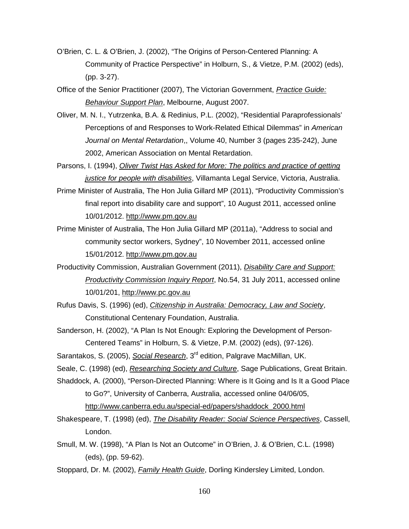- O'Brien, C. L. & O'Brien, J. (2002), "The Origins of Person-Centered Planning: A Community of Practice Perspective" in Holburn, S., & Vietze, P.M. (2002) (eds), (pp. 3-27).
- Office of the Senior Practitioner (2007), The Victorian Government, *Practice Guide: Behaviour Support Plan*, Melbourne, August 2007.
- Oliver, M. N. I., Yutrzenka, B.A. & Redinius, P.L. (2002), "Residential Paraprofessionals' Perceptions of and Responses to Work-Related Ethical Dilemmas" in *American Journal on Mental Retardation*,, Volume 40, Number 3 (pages 235-242), June 2002, American Association on Mental Retardation.
- Parsons, I. (1994), *Oliver Twist Has Asked for More: The politics and practice of getting justice for people with disabilities*, Villamanta Legal Service, Victoria, Australia.
- Prime Minister of Australia, The Hon Julia Gillard MP (2011), "Productivity Commission's final report into disability care and support", 10 August 2011, accessed online 10/01/2012. [http://www.pm.gov.au](http://www.pm.gov.au/)
- Prime Minister of Australia, The Hon Julia Gillard MP (2011a), "Address to social and community sector workers, Sydney", 10 November 2011, accessed online 15/01/2012. [http://www.pm.gov.au](http://www.pm.gov.au/)
- Productivity Commission, Australian Government (2011), *Disability Care and Support: Productivity Commission Inquiry Report*, No.54, 31 July 2011, accessed online 10/01/201, [http://www.pc.gov.au](http://www.pc.gov.au/)
- Rufus Davis, S. (1996) (ed), *Citizenship in Australia: Democracy, Law and Society*, Constitutional Centenary Foundation, Australia.
- Sanderson, H. (2002), "A Plan Is Not Enough: Exploring the Development of Person-Centered Teams" in Holburn, S. & Vietze, P.M. (2002) (eds), (97-126).
- Sarantakos, S. (2005), *Social Research*, 3<sup>rd</sup> edition, Palgrave MacMillan, UK.
- Seale, C. (1998) (ed), *Researching Society and Culture*, Sage Publications, Great Britain.
- Shaddock, A. (2000), "Person-Directed Planning: Where is It Going and Is It a Good Place to Go?", University of Canberra, Australia, accessed online 04/06/05, [http://www.canberra.edu.au/special-ed/papers/shaddock\\_2000.html](http://www.canberra.edu.au/special-ed/papers/shaddock_2000.html)
- Shakespeare, T. (1998) (ed), *The Disability Reader: Social Science Perspectives*, Cassell, London.
- Smull, M. W. (1998), "A Plan Is Not an Outcome" in O'Brien, J. & O'Brien, C.L. (1998) (eds), (pp. 59-62).
- Stoppard, Dr. M. (2002), *Family Health Guide*, Dorling Kindersley Limited, London.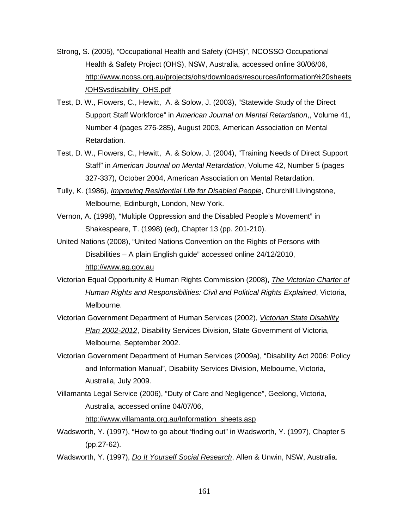- Strong, S. (2005), "Occupational Health and Safety (OHS)", NCOSSO Occupational Health & Safety Project (OHS), NSW, Australia, accessed online 30/06/06, [http://www.ncoss.org.au/projects/ohs/downloads/resources/information%20sheets](http://www.ncoss.org.au/projects/ohs/downloads/resources/information%20sheets/OHSvsdisability_OHS.pdf) [/OHSvsdisability\\_OHS.pdf](http://www.ncoss.org.au/projects/ohs/downloads/resources/information%20sheets/OHSvsdisability_OHS.pdf)
- Test, D. W., Flowers, C., Hewitt, A. & Solow, J. (2003), "Statewide Study of the Direct Support Staff Workforce" in *American Journal on Mental Retardation*,, Volume 41, Number 4 (pages 276-285), August 2003, American Association on Mental Retardation.
- Test, D. W., Flowers, C., Hewitt, A. & Solow, J. (2004), "Training Needs of Direct Support Staff" in *American Journal on Mental Retardation*, Volume 42, Number 5 (pages 327-337), October 2004, American Association on Mental Retardation.
- Tully, K. (1986), *Improving Residential Life for Disabled People*, Churchill Livingstone, Melbourne, Edinburgh, London, New York.
- Vernon, A. (1998), "Multiple Oppression and the Disabled People's Movement" in Shakespeare, T. (1998) (ed), Chapter 13 (pp. 201-210).
- United Nations (2008), "United Nations Convention on the Rights of Persons with Disabilities – A plain English guide" accessed online 24/12/2010, [http://www.ag.gov.au](http://www.ag.gov.au/)
- Victorian Equal Opportunity & Human Rights Commission (2008), *The Victorian Charter of Human Rights and Responsibilities: Civil and Political Rights Explained*, Victoria, Melbourne.
- Victorian Government Department of Human Services (2002), *Victorian State Disability Plan 2002-2012*, Disability Services Division, State Government of Victoria, Melbourne, September 2002.
- Victorian Government Department of Human Services (2009a), "Disability Act 2006: Policy and Information Manual", Disability Services Division, Melbourne, Victoria, Australia, July 2009.
- Villamanta Legal Service (2006), "Duty of Care and Negligence", Geelong, Victoria, Australia, accessed online 04/07/06,

[http://www.villamanta.org.au/Information\\_sheets.asp](http://www.villamanta.org.au/Information_sheets.asp)

- Wadsworth, Y. (1997), "How to go about 'finding out" in Wadsworth, Y. (1997), Chapter 5 (pp.27-62).
- Wadsworth, Y. (1997), *Do It Yourself Social Research*, Allen & Unwin, NSW, Australia.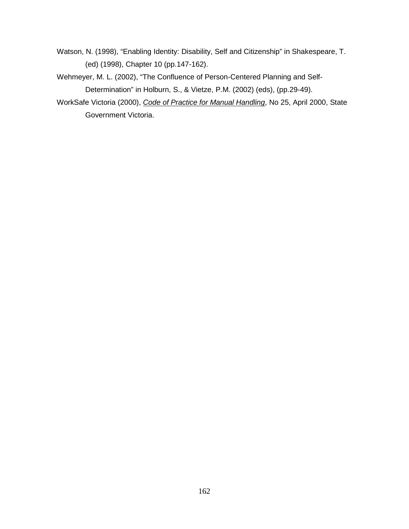- Watson, N. (1998), "Enabling Identity: Disability, Self and Citizenship" in Shakespeare, T. (ed) (1998), Chapter 10 (pp.147-162).
- Wehmeyer, M. L. (2002), "The Confluence of Person-Centered Planning and Self-Determination" in Holburn, S., & Vietze, P.M. (2002) (eds), (pp.29-49).
- WorkSafe Victoria (2000), *Code of Practice for Manual Handling*, No 25, April 2000, State Government Victoria.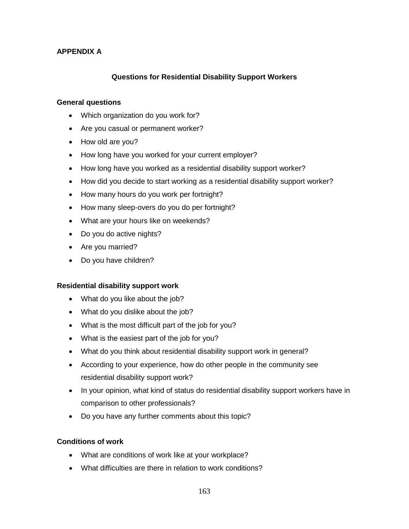# **APPENDIX A**

# **Questions for Residential Disability Support Workers**

#### **General questions**

- Which organization do you work for?
- Are you casual or permanent worker?
- How old are you?
- How long have you worked for your current employer?
- How long have you worked as a residential disability support worker?
- How did you decide to start working as a residential disability support worker?
- How many hours do you work per fortnight?
- How many sleep-overs do you do per fortnight?
- What are your hours like on weekends?
- Do you do active nights?
- Are you married?
- Do you have children?

### **Residential disability support work**

- What do you like about the job?
- What do you dislike about the job?
- What is the most difficult part of the job for you?
- What is the easiest part of the job for you?
- What do you think about residential disability support work in general?
- According to your experience, how do other people in the community see residential disability support work?
- In your opinion, what kind of status do residential disability support workers have in comparison to other professionals?
- Do you have any further comments about this topic?

### **Conditions of work**

- What are conditions of work like at your workplace?
- What difficulties are there in relation to work conditions?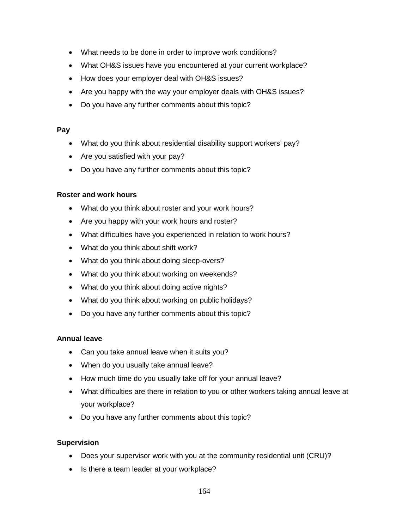- What needs to be done in order to improve work conditions?
- What OH&S issues have you encountered at your current workplace?
- How does your employer deal with OH&S issues?
- Are you happy with the way your employer deals with OH&S issues?
- Do you have any further comments about this topic?

#### **Pay**

- What do you think about residential disability support workers' pay?
- Are you satisfied with your pay?
- Do you have any further comments about this topic?

### **Roster and work hours**

- What do you think about roster and your work hours?
- Are you happy with your work hours and roster?
- What difficulties have you experienced in relation to work hours?
- What do you think about shift work?
- What do you think about doing sleep-overs?
- What do you think about working on weekends?
- What do you think about doing active nights?
- What do you think about working on public holidays?
- Do you have any further comments about this topic?

### **Annual leave**

- Can you take annual leave when it suits you?
- When do you usually take annual leave?
- How much time do you usually take off for your annual leave?
- What difficulties are there in relation to you or other workers taking annual leave at your workplace?
- Do you have any further comments about this topic?

### **Supervision**

- Does your supervisor work with you at the community residential unit (CRU)?
- Is there a team leader at your workplace?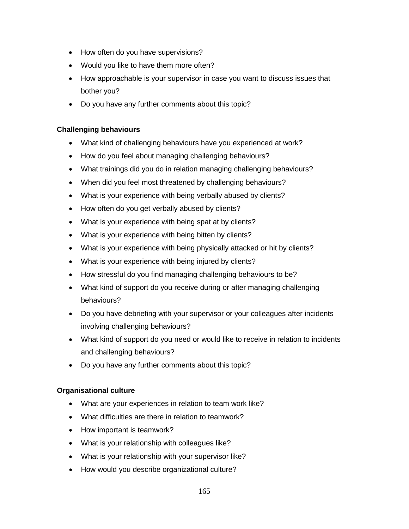- How often do you have supervisions?
- Would you like to have them more often?
- How approachable is your supervisor in case you want to discuss issues that bother you?
- Do you have any further comments about this topic?

## **Challenging behaviours**

- What kind of challenging behaviours have you experienced at work?
- How do you feel about managing challenging behaviours?
- What trainings did you do in relation managing challenging behaviours?
- When did you feel most threatened by challenging behaviours?
- What is your experience with being verbally abused by clients?
- How often do you get verbally abused by clients?
- What is your experience with being spat at by clients?
- What is your experience with being bitten by clients?
- What is your experience with being physically attacked or hit by clients?
- What is your experience with being injured by clients?
- How stressful do you find managing challenging behaviours to be?
- What kind of support do you receive during or after managing challenging behaviours?
- Do you have debriefing with your supervisor or your colleagues after incidents involving challenging behaviours?
- What kind of support do you need or would like to receive in relation to incidents and challenging behaviours?
- Do you have any further comments about this topic?

### **Organisational culture**

- What are your experiences in relation to team work like?
- What difficulties are there in relation to teamwork?
- How important is teamwork?
- What is your relationship with colleagues like?
- What is your relationship with your supervisor like?
- How would you describe organizational culture?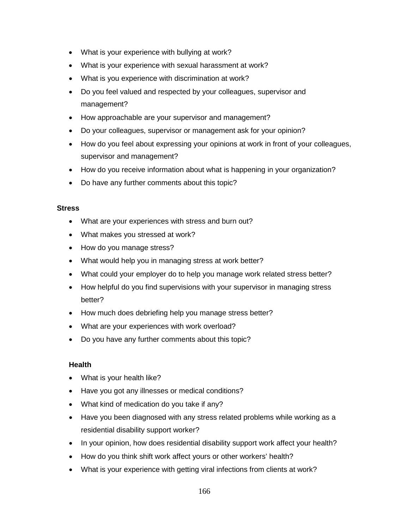- What is your experience with bullying at work?
- What is your experience with sexual harassment at work?
- What is you experience with discrimination at work?
- Do you feel valued and respected by your colleagues, supervisor and management?
- How approachable are your supervisor and management?
- Do your colleagues, supervisor or management ask for your opinion?
- How do you feel about expressing your opinions at work in front of your colleagues, supervisor and management?
- How do you receive information about what is happening in your organization?
- Do have any further comments about this topic?

### **Stress**

- What are your experiences with stress and burn out?
- What makes you stressed at work?
- How do you manage stress?
- What would help you in managing stress at work better?
- What could your employer do to help you manage work related stress better?
- How helpful do you find supervisions with your supervisor in managing stress better?
- How much does debriefing help you manage stress better?
- What are your experiences with work overload?
- Do you have any further comments about this topic?

### **Health**

- What is your health like?
- Have you got any illnesses or medical conditions?
- What kind of medication do you take if any?
- Have you been diagnosed with any stress related problems while working as a residential disability support worker?
- In your opinion, how does residential disability support work affect your health?
- How do you think shift work affect yours or other workers' health?
- What is your experience with getting viral infections from clients at work?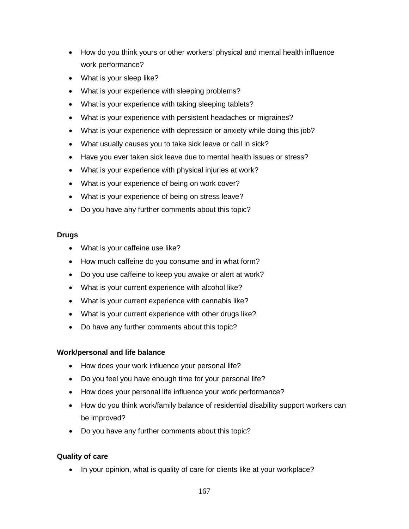- How do you think yours or other workers' physical and mental health influence work performance?
- What is your sleep like?
- What is your experience with sleeping problems?
- What is your experience with taking sleeping tablets?
- What is your experience with persistent headaches or migraines?
- What is your experience with depression or anxiety while doing this job?
- What usually causes you to take sick leave or call in sick?
- Have you ever taken sick leave due to mental health issues or stress?
- What is your experience with physical injuries at work?
- What is your experience of being on work cover?
- What is your experience of being on stress leave?
- Do you have any further comments about this topic?

# **Drugs**

- What is your caffeine use like?
- How much caffeine do you consume and in what form?
- Do you use caffeine to keep you awake or alert at work?
- What is your current experience with alcohol like?
- What is your current experience with cannabis like?
- What is your current experience with other drugs like?
- Do have any further comments about this topic?

# **Work/personal and life balance**

- How does your work influence your personal life?
- Do you feel you have enough time for your personal life?
- How does your personal life influence your work performance?
- How do you think work/family balance of residential disability support workers can be improved?
- Do you have any further comments about this topic?

# **Quality of care**

• In your opinion, what is quality of care for clients like at your workplace?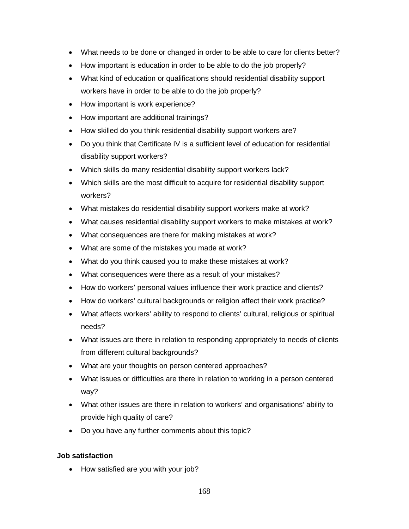- What needs to be done or changed in order to be able to care for clients better?
- How important is education in order to be able to do the job properly?
- What kind of education or qualifications should residential disability support workers have in order to be able to do the job properly?
- How important is work experience?
- How important are additional trainings?
- How skilled do you think residential disability support workers are?
- Do you think that Certificate IV is a sufficient level of education for residential disability support workers?
- Which skills do many residential disability support workers lack?
- Which skills are the most difficult to acquire for residential disability support workers?
- What mistakes do residential disability support workers make at work?
- What causes residential disability support workers to make mistakes at work?
- What consequences are there for making mistakes at work?
- What are some of the mistakes you made at work?
- What do you think caused you to make these mistakes at work?
- What consequences were there as a result of your mistakes?
- How do workers' personal values influence their work practice and clients?
- How do workers' cultural backgrounds or religion affect their work practice?
- What affects workers' ability to respond to clients' cultural, religious or spiritual needs?
- What issues are there in relation to responding appropriately to needs of clients from different cultural backgrounds?
- What are your thoughts on person centered approaches?
- What issues or difficulties are there in relation to working in a person centered way?
- What other issues are there in relation to workers' and organisations' ability to provide high quality of care?
- Do you have any further comments about this topic?

### **Job satisfaction**

• How satisfied are you with your job?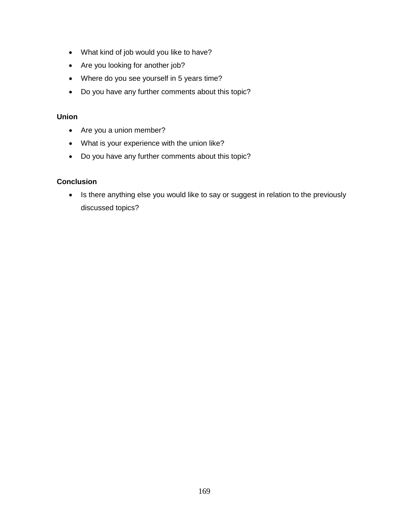- What kind of job would you like to have?
- Are you looking for another job?
- Where do you see yourself in 5 years time?
- Do you have any further comments about this topic?

### **Union**

- Are you a union member?
- What is your experience with the union like?
- Do you have any further comments about this topic?

# **Conclusion**

• Is there anything else you would like to say or suggest in relation to the previously discussed topics?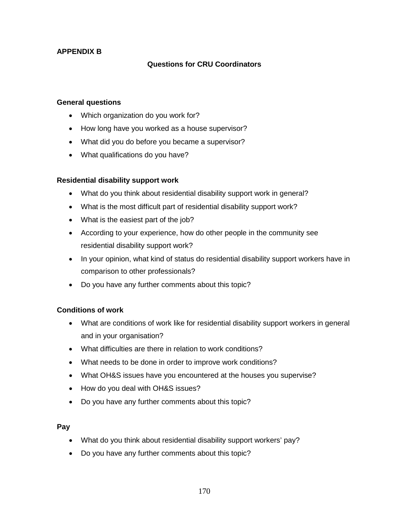# **APPENDIX B**

# **Questions for CRU Coordinators**

#### **General questions**

- Which organization do you work for?
- How long have you worked as a house supervisor?
- What did you do before you became a supervisor?
- What qualifications do you have?

### **Residential disability support work**

- What do you think about residential disability support work in general?
- What is the most difficult part of residential disability support work?
- What is the easiest part of the job?
- According to your experience, how do other people in the community see residential disability support work?
- In your opinion, what kind of status do residential disability support workers have in comparison to other professionals?
- Do you have any further comments about this topic?

### **Conditions of work**

- What are conditions of work like for residential disability support workers in general and in your organisation?
- What difficulties are there in relation to work conditions?
- What needs to be done in order to improve work conditions?
- What OH&S issues have you encountered at the houses you supervise?
- How do you deal with OH&S issues?
- Do you have any further comments about this topic?

### **Pay**

- What do you think about residential disability support workers' pay?
- Do you have any further comments about this topic?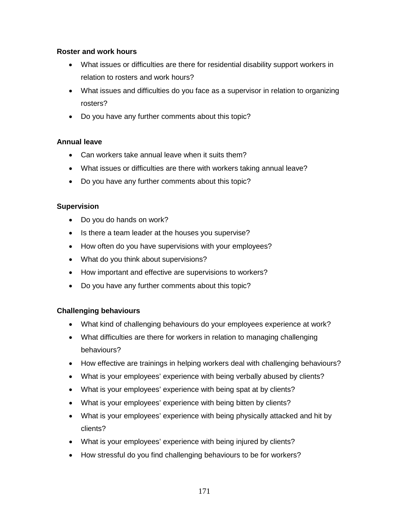## **Roster and work hours**

- What issues or difficulties are there for residential disability support workers in relation to rosters and work hours?
- What issues and difficulties do you face as a supervisor in relation to organizing rosters?
- Do you have any further comments about this topic?

# **Annual leave**

- Can workers take annual leave when it suits them?
- What issues or difficulties are there with workers taking annual leave?
- Do you have any further comments about this topic?

# **Supervision**

- Do you do hands on work?
- Is there a team leader at the houses you supervise?
- How often do you have supervisions with your employees?
- What do you think about supervisions?
- How important and effective are supervisions to workers?
- Do you have any further comments about this topic?

# **Challenging behaviours**

- What kind of challenging behaviours do your employees experience at work?
- What difficulties are there for workers in relation to managing challenging behaviours?
- How effective are trainings in helping workers deal with challenging behaviours?
- What is your employees' experience with being verbally abused by clients?
- What is your employees' experience with being spat at by clients?
- What is your employees' experience with being bitten by clients?
- What is your employees' experience with being physically attacked and hit by clients?
- What is your employees' experience with being injured by clients?
- How stressful do you find challenging behaviours to be for workers?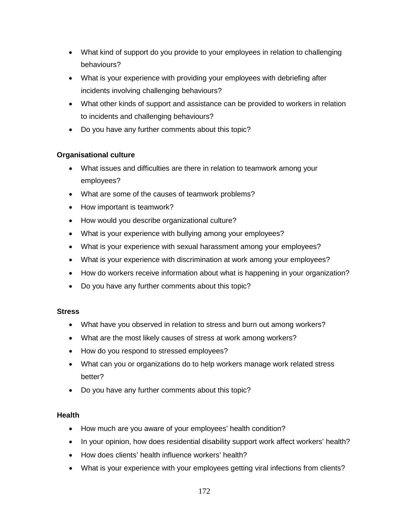- What kind of support do you provide to your employees in relation to challenging behaviours?
- What is your experience with providing your employees with debriefing after incidents involving challenging behaviours?
- What other kinds of support and assistance can be provided to workers in relation to incidents and challenging behaviours?
- Do you have any further comments about this topic?

# **Organisational culture**

- What issues and difficulties are there in relation to teamwork among your employees?
- What are some of the causes of teamwork problems?
- How important is teamwork?
- How would you describe organizational culture?
- What is your experience with bullying among your employees?
- What is your experience with sexual harassment among your employees?
- What is your experience with discrimination at work among your employees?
- How do workers receive information about what is happening in your organization?
- Do you have any further comments about this topic?

# **Stress**

- What have you observed in relation to stress and burn out among workers?
- What are the most likely causes of stress at work among workers?
- How do you respond to stressed employees?
- What can you or organizations do to help workers manage work related stress better?
- Do you have any further comments about this topic?

# **Health**

- How much are you aware of your employees' health condition?
- In your opinion, how does residential disability support work affect workers' health?
- How does clients' health influence workers' health?
- What is your experience with your employees getting viral infections from clients?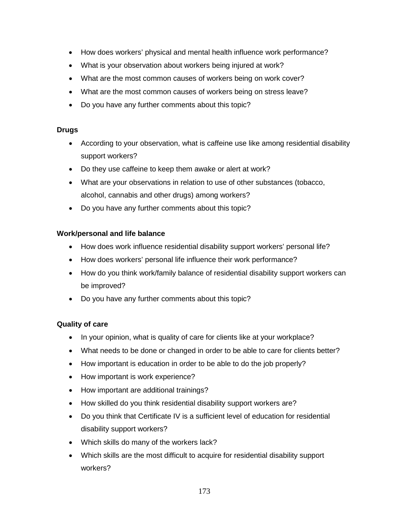- How does workers' physical and mental health influence work performance?
- What is your observation about workers being injured at work?
- What are the most common causes of workers being on work cover?
- What are the most common causes of workers being on stress leave?
- Do you have any further comments about this topic?

### **Drugs**

- According to your observation, what is caffeine use like among residential disability support workers?
- Do they use caffeine to keep them awake or alert at work?
- What are your observations in relation to use of other substances (tobacco, alcohol, cannabis and other drugs) among workers?
- Do you have any further comments about this topic?

# **Work/personal and life balance**

- How does work influence residential disability support workers' personal life?
- How does workers' personal life influence their work performance?
- How do you think work/family balance of residential disability support workers can be improved?
- Do you have any further comments about this topic?

# **Quality of care**

- In your opinion, what is quality of care for clients like at your workplace?
- What needs to be done or changed in order to be able to care for clients better?
- How important is education in order to be able to do the job properly?
- How important is work experience?
- How important are additional trainings?
- How skilled do you think residential disability support workers are?
- Do you think that Certificate IV is a sufficient level of education for residential disability support workers?
- Which skills do many of the workers lack?
- Which skills are the most difficult to acquire for residential disability support workers?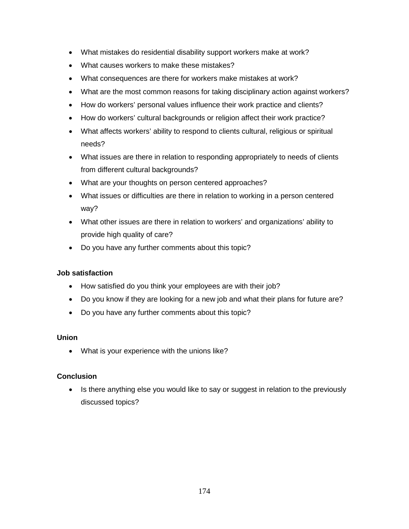- What mistakes do residential disability support workers make at work?
- What causes workers to make these mistakes?
- What consequences are there for workers make mistakes at work?
- What are the most common reasons for taking disciplinary action against workers?
- How do workers' personal values influence their work practice and clients?
- How do workers' cultural backgrounds or religion affect their work practice?
- What affects workers' ability to respond to clients cultural, religious or spiritual needs?
- What issues are there in relation to responding appropriately to needs of clients from different cultural backgrounds?
- What are your thoughts on person centered approaches?
- What issues or difficulties are there in relation to working in a person centered way?
- What other issues are there in relation to workers' and organizations' ability to provide high quality of care?
- Do you have any further comments about this topic?

### **Job satisfaction**

- How satisfied do you think your employees are with their job?
- Do you know if they are looking for a new job and what their plans for future are?
- Do you have any further comments about this topic?

### **Union**

• What is your experience with the unions like?

### **Conclusion**

• Is there anything else you would like to say or suggest in relation to the previously discussed topics?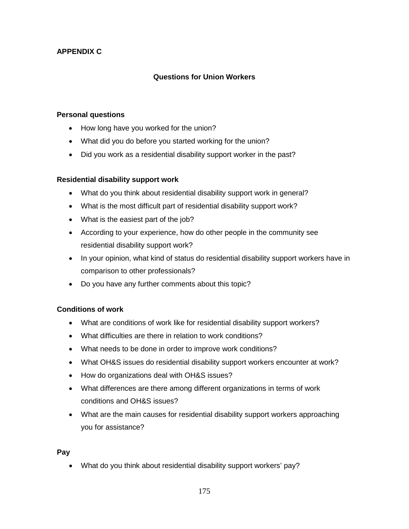# **APPENDIX C**

# **Questions for Union Workers**

#### **Personal questions**

- How long have you worked for the union?
- What did you do before you started working for the union?
- Did you work as a residential disability support worker in the past?

### **Residential disability support work**

- What do you think about residential disability support work in general?
- What is the most difficult part of residential disability support work?
- What is the easiest part of the job?
- According to your experience, how do other people in the community see residential disability support work?
- In your opinion, what kind of status do residential disability support workers have in comparison to other professionals?
- Do you have any further comments about this topic?

### **Conditions of work**

- What are conditions of work like for residential disability support workers?
- What difficulties are there in relation to work conditions?
- What needs to be done in order to improve work conditions?
- What OH&S issues do residential disability support workers encounter at work?
- How do organizations deal with OH&S issues?
- What differences are there among different organizations in terms of work conditions and OH&S issues?
- What are the main causes for residential disability support workers approaching you for assistance?

### **Pay**

• What do you think about residential disability support workers' pay?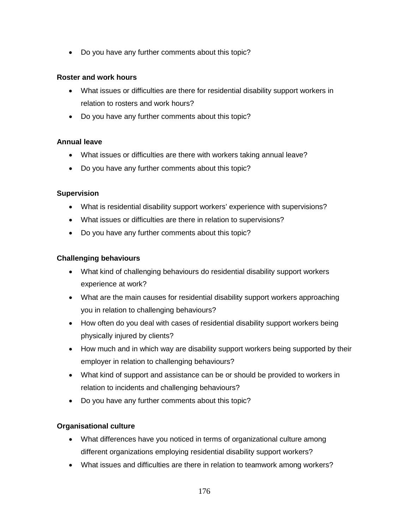• Do you have any further comments about this topic?

#### **Roster and work hours**

- What issues or difficulties are there for residential disability support workers in relation to rosters and work hours?
- Do you have any further comments about this topic?

#### **Annual leave**

- What issues or difficulties are there with workers taking annual leave?
- Do you have any further comments about this topic?

#### **Supervision**

- What is residential disability support workers' experience with supervisions?
- What issues or difficulties are there in relation to supervisions?
- Do you have any further comments about this topic?

### **Challenging behaviours**

- What kind of challenging behaviours do residential disability support workers experience at work?
- What are the main causes for residential disability support workers approaching you in relation to challenging behaviours?
- How often do you deal with cases of residential disability support workers being physically injured by clients?
- How much and in which way are disability support workers being supported by their employer in relation to challenging behaviours?
- What kind of support and assistance can be or should be provided to workers in relation to incidents and challenging behaviours?
- Do you have any further comments about this topic?

### **Organisational culture**

- What differences have you noticed in terms of organizational culture among different organizations employing residential disability support workers?
- What issues and difficulties are there in relation to teamwork among workers?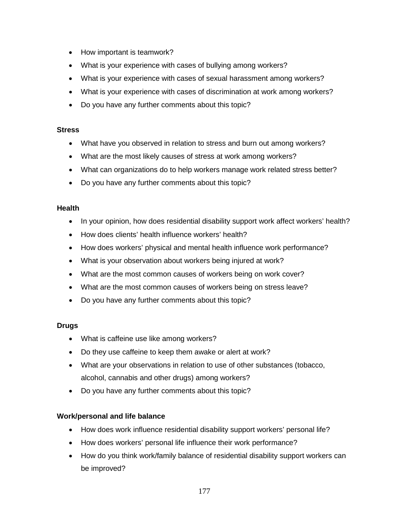- How important is teamwork?
- What is your experience with cases of bullying among workers?
- What is your experience with cases of sexual harassment among workers?
- What is your experience with cases of discrimination at work among workers?
- Do you have any further comments about this topic?

#### **Stress**

- What have you observed in relation to stress and burn out among workers?
- What are the most likely causes of stress at work among workers?
- What can organizations do to help workers manage work related stress better?
- Do you have any further comments about this topic?

#### **Health**

- In your opinion, how does residential disability support work affect workers' health?
- How does clients' health influence workers' health?
- How does workers' physical and mental health influence work performance?
- What is your observation about workers being injured at work?
- What are the most common causes of workers being on work cover?
- What are the most common causes of workers being on stress leave?
- Do you have any further comments about this topic?

### **Drugs**

- What is caffeine use like among workers?
- Do they use caffeine to keep them awake or alert at work?
- What are your observations in relation to use of other substances (tobacco, alcohol, cannabis and other drugs) among workers?
- Do you have any further comments about this topic?

### **Work/personal and life balance**

- How does work influence residential disability support workers' personal life?
- How does workers' personal life influence their work performance?
- How do you think work/family balance of residential disability support workers can be improved?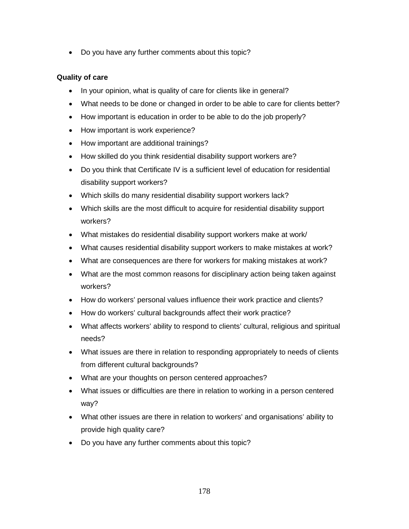• Do you have any further comments about this topic?

# **Quality of care**

- In your opinion, what is quality of care for clients like in general?
- What needs to be done or changed in order to be able to care for clients better?
- How important is education in order to be able to do the job properly?
- How important is work experience?
- How important are additional trainings?
- How skilled do you think residential disability support workers are?
- Do you think that Certificate IV is a sufficient level of education for residential disability support workers?
- Which skills do many residential disability support workers lack?
- Which skills are the most difficult to acquire for residential disability support workers?
- What mistakes do residential disability support workers make at work/
- What causes residential disability support workers to make mistakes at work?
- What are consequences are there for workers for making mistakes at work?
- What are the most common reasons for disciplinary action being taken against workers?
- How do workers' personal values influence their work practice and clients?
- How do workers' cultural backgrounds affect their work practice?
- What affects workers' ability to respond to clients' cultural, religious and spiritual needs?
- What issues are there in relation to responding appropriately to needs of clients from different cultural backgrounds?
- What are your thoughts on person centered approaches?
- What issues or difficulties are there in relation to working in a person centered way?
- What other issues are there in relation to workers' and organisations' ability to provide high quality care?
- Do you have any further comments about this topic?